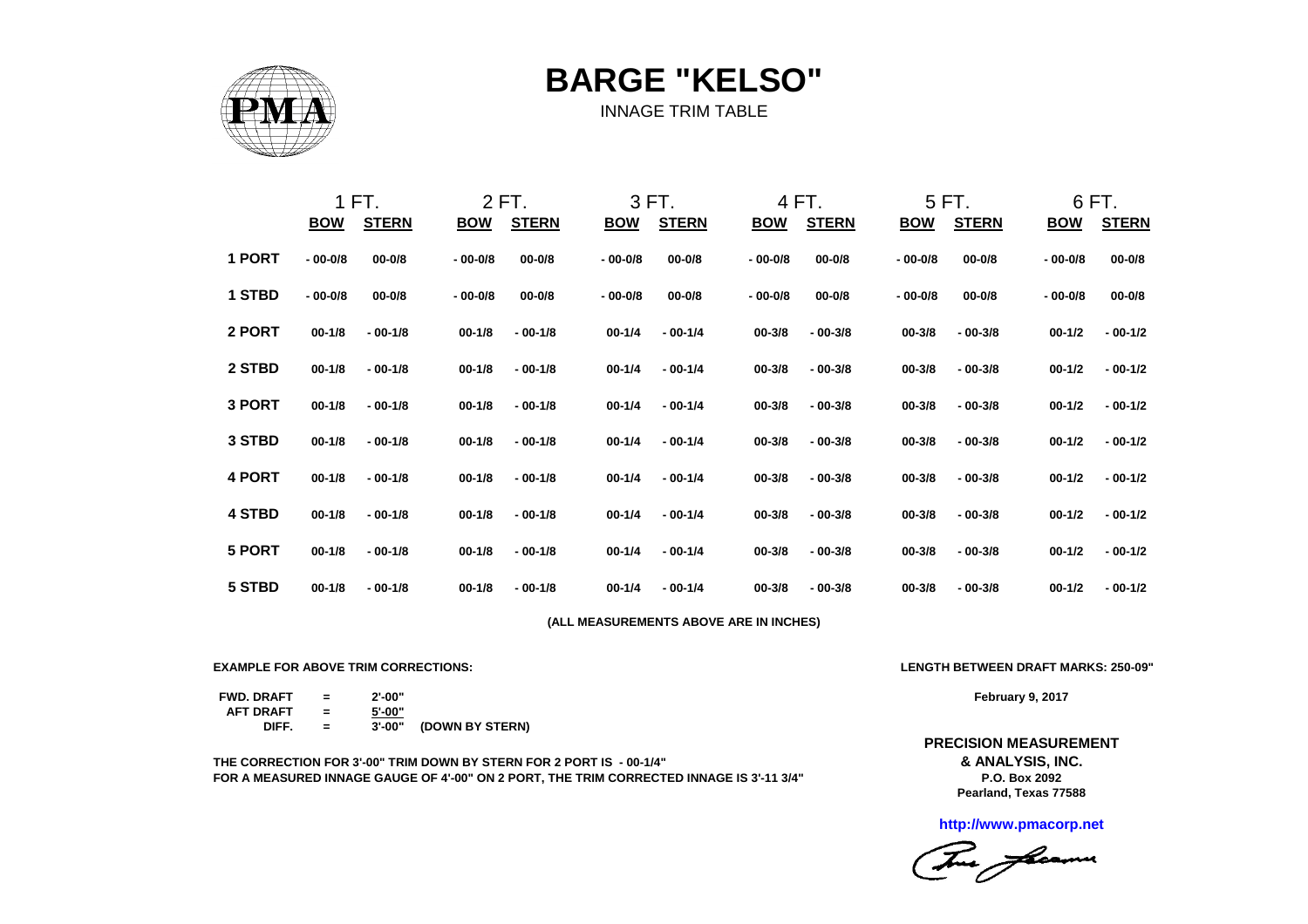

**BARGE "KELSO"**

INNAGE TRIM TABLE

|        |             | 1 FT.        |             | 2 FT.        |                                        | 3 FT.        |             | 4 FT.        |             | 5 FT.        |             | 6 FT.        |
|--------|-------------|--------------|-------------|--------------|----------------------------------------|--------------|-------------|--------------|-------------|--------------|-------------|--------------|
|        | <u>BOW</u>  | <b>STERN</b> | <b>BOW</b>  | <b>STERN</b> | <b>BOW</b>                             | <b>STERN</b> | <b>BOW</b>  | <b>STERN</b> | <b>BOW</b>  | <b>STERN</b> | <b>BOW</b>  | <b>STERN</b> |
| 1 PORT | $-00 - 0/8$ | $00 - 0/8$   | $-00 - 0/8$ | $00 - 0/8$   | $-00 - 0/8$                            | $00 - 0/8$   | $-00 - 0/8$ | $00 - 0/8$   | $-00-0/8$   | $00 - 0/8$   | $-00 - 0/8$ | $00 - 0/8$   |
| 1 STBD | $-00 - 0/8$ | $00 - 0/8$   | $-00 - 0/8$ | $00 - 0/8$   | $-00 - 0/8$                            | $00 - 0/8$   | $-00-0/8$   | $00 - 0/8$   | $-00 - 0/8$ | $00 - 0/8$   | $-00 - 0/8$ | $00 - 0/8$   |
| 2 PORT | $00 - 1/8$  | $-00-1/8$    | $00 - 1/8$  | $-00-1/8$    | $00 - 1/4$                             | $-00-1/4$    | $00 - 3/8$  | $-00-3/8$    | $00 - 3/8$  | $-00-3/8$    | $00 - 1/2$  | $-00-1/2$    |
| 2 STBD | $00 - 1/8$  | $-00-1/8$    | $00 - 1/8$  | $-00-1/8$    | $00 - 1/4$                             | $-00-1/4$    | $00 - 3/8$  | $-00-3/8$    | $00 - 3/8$  | $-00-3/8$    | $00 - 1/2$  | $-00-1/2$    |
| 3 PORT | $00 - 1/8$  | $-00-1/8$    | $00 - 1/8$  | $-00-1/8$    | $00 - 1/4$                             | $-00-1/4$    | $00 - 3/8$  | $-00-3/8$    | $00 - 3/8$  | $-00-3/8$    | $00 - 1/2$  | $-00-1/2$    |
| 3 STBD | $00 - 1/8$  | $-00-1/8$    | $00 - 1/8$  | $-00-1/8$    | $00 - 1/4$                             | $-00-1/4$    | $00 - 3/8$  | $-00-3/8$    | $00 - 3/8$  | $-00-3/8$    | $00 - 1/2$  | $-00-1/2$    |
| 4 PORT | $00 - 1/8$  | $-00-1/8$    | $00 - 1/8$  | $-00-1/8$    | $00 - 1/4$                             | $-00-1/4$    | $00 - 3/8$  | $-00-3/8$    | $00 - 3/8$  | $-00-3/8$    | $00 - 1/2$  | $-00-1/2$    |
| 4 STBD | $00 - 1/8$  | $-00-1/8$    | $00 - 1/8$  | $-00-1/8$    | $00 - 1/4$                             | $-00-1/4$    | $00 - 3/8$  | $-00-3/8$    | $00 - 3/8$  | $-00-3/8$    | $00 - 1/2$  | $-00-1/2$    |
| 5 PORT | $00 - 1/8$  | $-00-1/8$    | $00 - 1/8$  | $-00-1/8$    | $00 - 1/4$                             | $-00-1/4$    | $00 - 3/8$  | $-00-3/8$    | $00 - 3/8$  | $-00-3/8$    | $00 - 1/2$  | $-00-1/2$    |
| 5 STBD | $00 - 1/8$  | $-00-1/8$    | $00 - 1/8$  | $-00-1/8$    | $00 - 1/4$                             | $-00-1/4$    | $00 - 3/8$  | $-00-3/8$    | $00 - 3/8$  | $-00-3/8$    | $00 - 1/2$  | $-00-1/2$    |
|        |             |              |             |              | (ALL MEASUREMENTS ABOVE ARE IN INCHES) |              |             |              |             |              |             |              |

**EXAMPLE FOR ABOVE TRIM CORRECTIONS: LENGTH BETWEEN DRAFT MARKS: 250-09"**

**FWD. DRAFT = 2'-00" AFT DRAFT = 5'-00"**  $=$   $\overline{3' \cdot 00''}$  (DOWN BY STERN)

**THE CORRECTION FOR 3'-00" TRIM DOWN BY STERN FOR 2 PORT IS - 00-1/4" FOR A MEASURED INNAGE GAUGE OF 4'-00" ON 2 PORT, THE TRIM CORRECTED INNAGE IS 3'-11 3/4"**

**February 9, 2017**

**& ANALYSIS, INC. PRECISION MEASUREMENT**

> **Pearland, Texas 77588 P.O. Box 2092**

**http://www.pmacorp.net**

Tome floamer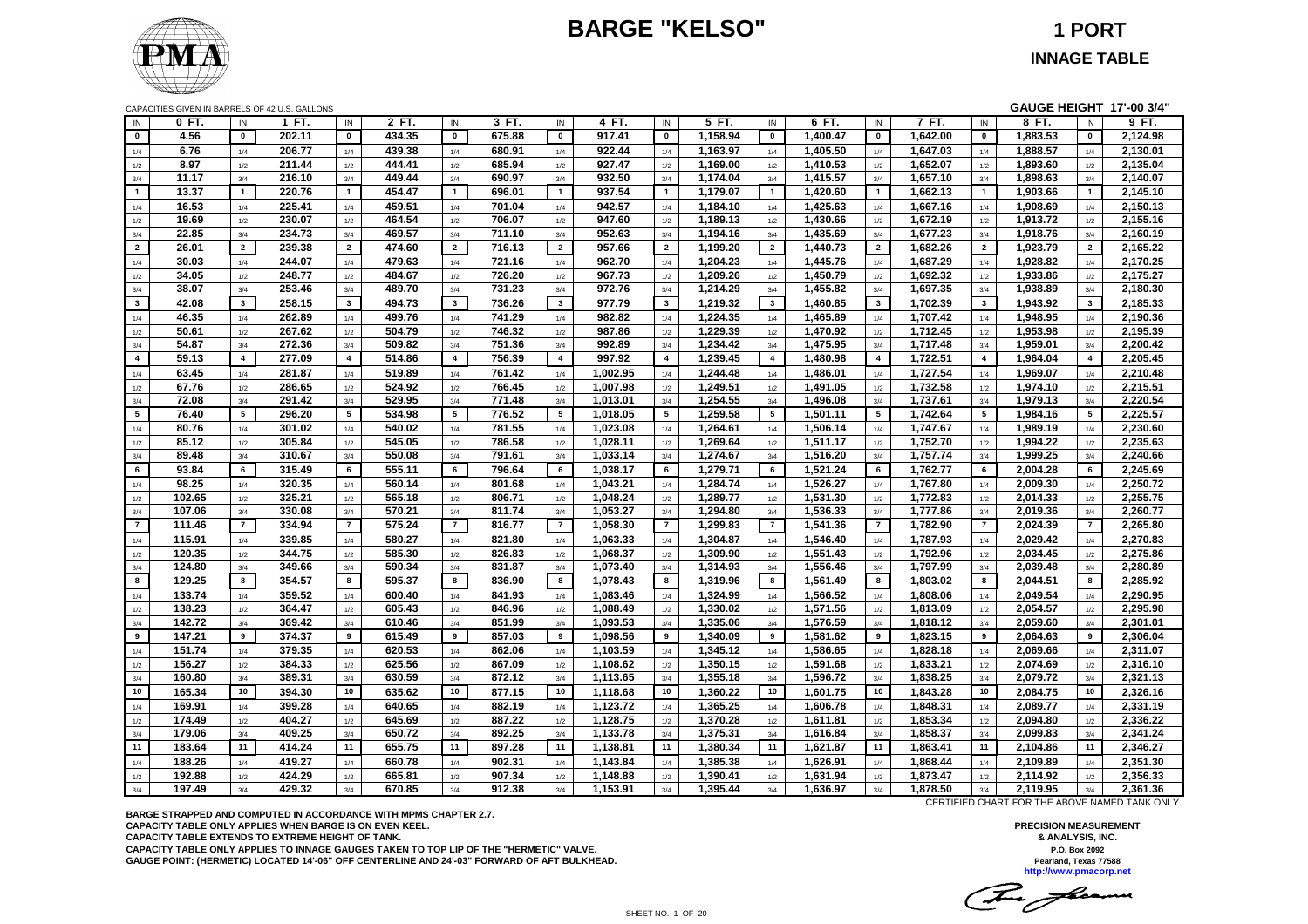# **BARGE "KELSO" 1 PORT**



# **INNAGE TABLE**

|                 | GAUGE HEIGHT 17'-00 3/4"<br>CAPACITIES GIVEN IN BARRELS OF 42 U.S. GALLONS<br>2 FT.<br>3 FT.<br>4 FT.<br>5 FT.<br>6 FT.<br>7 FT.<br>8 FT.<br>9 FT.<br>0 FT.<br>1 FT.<br>IN<br>IN<br>IN<br>IN<br>IN<br>IN<br>IN<br>IN<br>IN |                         |                  |                 |        |                |                  |                |          |                |                      |                         |          |                         |                      |                         |          |                         |          |
|-----------------|----------------------------------------------------------------------------------------------------------------------------------------------------------------------------------------------------------------------------|-------------------------|------------------|-----------------|--------|----------------|------------------|----------------|----------|----------------|----------------------|-------------------------|----------|-------------------------|----------------------|-------------------------|----------|-------------------------|----------|
| IN              |                                                                                                                                                                                                                            |                         |                  |                 |        |                |                  |                |          |                |                      |                         |          |                         |                      |                         |          |                         |          |
| $\mathbf{0}$    | 4.56                                                                                                                                                                                                                       | $\mathbf{0}$            | 202.11           | $\mathbf{0}$    | 434.35 | $\mathbf{0}$   | 675.88           | $\mathbf{0}$   | 917.41   | $\mathbf{0}$   | 1,158.94             | $\mathbf 0$             | 1,400.47 | $\mathbf 0$             | 1,642.00             | $\mathbf{0}$            | 1,883.53 | $\mathbf{0}$            | 2,124.98 |
| 1/4             | 6.76                                                                                                                                                                                                                       | 1/4                     | 206.77           | 1/4             | 439.38 | 1/4            | 680.91           | 1/4            | 922.44   | 1/4            | 1,163.97             | 1/4                     | 1,405.50 | 1/4                     | 1,647.03             | 1/4                     | 1,888.57 | 1/4                     | 2,130.01 |
| 1/2             | 8.97                                                                                                                                                                                                                       | 1/2                     | 211.44           | 1/2             | 444.41 | 1/2            | 685.94           | 1/2            | 927.47   | 1/2            | 1,169.00             | 1/2                     | 1,410.53 | 1/2                     | 1,652.07             | 1/2                     | 1,893.60 | 1/2                     | 2,135.04 |
| 3/4             | 11.17                                                                                                                                                                                                                      | 3/4                     | 216.10           | 3/4             | 449.44 | 3/4            | 690.97           | 3/4            | 932.50   | 3/4            | 1,174.04             | 3/4                     | 1,415.57 | 3/4                     | 1,657.10             | 3/4                     | 1,898.63 | 3/4                     | 2,140.07 |
| $\mathbf{1}$    | 13.37                                                                                                                                                                                                                      | 1                       | 220.76           | $\mathbf{1}$    | 454.47 | $\overline{1}$ | 696.01           | $\mathbf{1}$   | 937.54   | $\mathbf{1}$   | 1,179.07             | $\mathbf{1}$            | 1,420.60 | $\mathbf{1}$            | 1,662.13             | $\overline{1}$          | 1,903.66 | $\mathbf{1}$            | 2,145.10 |
| 1/4             | 16.53                                                                                                                                                                                                                      | 1/4                     | 225.41           | 1/4             | 459.51 | 1/4            | 701.04           | 1/4            | 942.57   | 1/4            | 1,184.10             | 1/4                     | 1,425.63 | 1/4                     | 1,667.16             | 1/4                     | 1,908.69 | 1/4                     | 2,150.13 |
| 1/2             | 19.69                                                                                                                                                                                                                      | 1/2                     | 230.07           | 1/2             | 464.54 | 1/2            | 706.07           | 1/2            | 947.60   | 1/2            | 1,189.13             | 1/2                     | 1,430.66 | 1/2                     | 1,672.19             | 1/2                     | 1,913.72 | 1/2                     | 2,155.16 |
| 3/4             | 22.85                                                                                                                                                                                                                      | 3/4                     | 234.73           | 3/4             | 469.57 | 3/4            | 711.10           | 3/4            | 952.63   | 3/4            | 1,194.16             | 3/4                     | 1,435.69 | 3/4                     | 1,677.23             | 3/4                     | 1,918.76 | 3/4                     | 2,160.19 |
| $\overline{2}$  | 26.01                                                                                                                                                                                                                      | $\overline{2}$          | 239.38           | $\overline{2}$  | 474.60 | $\overline{2}$ | 716.13           | $\overline{2}$ | 957.66   | $\overline{2}$ | 1,199.20             | $\overline{2}$          | 1,440.73 | $\overline{2}$          | 1,682.26             | $\overline{2}$          | 1,923.79 | $\overline{2}$          | 2,165.22 |
| 1/4             | 30.03                                                                                                                                                                                                                      | 1/4                     | 244.07           | 1/4             | 479.63 | 1/4            | 721.16           | 1/4            | 962.70   | 1/4            | 1,204.23             | 1/4                     | 1,445.76 | 1/4                     | 1,687.29             | 1/4                     | 1,928.82 | 1/4                     | 2,170.25 |
| 1/2             | 34.05                                                                                                                                                                                                                      | 1/2                     | 248.77           | 1/2             | 484.67 | 1/2            | 726.20           | 1/2            | 967.73   | 1/2            | 1,209.26             | 1/2                     | 1,450.79 | 1/2                     | 1,692.32             | 1/2                     | 1,933.86 | 1/2                     | 2,175.27 |
| 3/4             | 38.07                                                                                                                                                                                                                      | 3/4                     | 253.46           | 3/4             | 489.70 | 3/4            | 731.23           | 3/4            | 972.76   | 3/4            | 1,214.29             | 3/4                     | 1,455.82 | 3/4                     | 1,697.35             | 3/4                     | 1,938.89 | 3/4                     | 2,180.30 |
| $\mathbf{3}$    | 42.08                                                                                                                                                                                                                      | $\overline{\mathbf{3}}$ | 258.15           | $\mathbf{3}$    | 494.73 | $\mathbf{3}$   | 736.26           | $\mathbf{3}$   | 977.79   | $\mathbf{3}$   | 1,219.32             | $\overline{\mathbf{3}}$ | 1,460.85 | $\mathbf{3}$            | 1,702.39             | $\overline{\mathbf{3}}$ | 1,943.92 | $\mathbf{3}$            | 2,185.33 |
| 1/4             | 46.35                                                                                                                                                                                                                      | 1/4                     | 262.89           | $1/4$           | 499.76 | 1/4            | 741.29           | 1/4            | 982.82   | 1/4            | 1,224.35             | 1/4                     | 1,465.89 | 1/4                     | 1,707.42             | 1/4                     | 1,948.95 | 1/4                     | 2,190.36 |
| 1/2             | 50.61                                                                                                                                                                                                                      | 1/2                     | 267.62           | $1/2$           | 504.79 | 1/2            | 746.32           | 1/2            | 987.86   | 1/2            | 1,229.39             | $1/2$                   | 1,470.92 | 1/2                     | 1,712.45             | 1/2                     | 1,953.98 | 1/2                     | 2,195.39 |
| 3/4             | 54.87                                                                                                                                                                                                                      | 3/4                     | 272.36           | 3/4             | 509.82 | 3/4            | 751.36           | 3/4            | 992.89   | 3/4            | 1,234.42             | 3/4                     | 1,475.95 | 3/4                     | 1,717.48             | 3/4                     | 1,959.01 | 3/4                     | 2,200.42 |
| $\overline{4}$  | 59.13                                                                                                                                                                                                                      | $\overline{4}$          | 277.09           | $\overline{4}$  | 514.86 | $\overline{4}$ | 756.39           | $\overline{4}$ | 997.92   | $\overline{4}$ | 1,239.45             | $\overline{4}$          | 1,480.98 | $\overline{\mathbf{4}}$ | 1,722.51             | $\overline{4}$          | 1,964.04 | $\overline{\mathbf{4}}$ | 2,205.45 |
| 1/4             | 63.45                                                                                                                                                                                                                      | 1/4                     | 281.87           | 1/4             | 519.89 | 1/4            | 761.42           | 1/4            | 1,002.95 | 1/4            | 1,244.48             | 1/4                     | 1,486.01 | 1/4                     | 1,727.54             | 1/4                     | 1,969.07 | 1/4                     | 2,210.48 |
| 1/2             | 67.76                                                                                                                                                                                                                      | 1/2                     | 286.65           | $1/2$           | 524.92 | 1/2            | 766.45           | 1/2            | 1,007.98 | 1/2            | 1,249.51             | $1/2$                   | 1,491.05 | 1/2                     | 1,732.58             | 1/2                     | 1,974.10 | 1/2                     | 2,215.51 |
| 3/4             | 72.08                                                                                                                                                                                                                      | 3/4                     | 291.42           | 3/4             | 529.95 | 3/4            | 771.48           | 3/4            | 1,013.01 | 3/4            | 1,254.55             | 3/4                     | 1,496.08 | 3/4                     | 1,737.61             | 3/4                     | 1,979.13 | 3/4                     | 2,220.54 |
| $5\overline{5}$ | 76.40                                                                                                                                                                                                                      | $5\phantom{.0}$         | 296.20           | $5\phantom{.0}$ | 534.98 | $\sqrt{5}$     | 776.52           | 5              | 1,018.05 | 5              | 1,259.58             | $\sqrt{5}$              | 1,501.11 | $5\phantom{.0}$         | 1,742.64             | 5                       | 1,984.16 | $5\overline{5}$         | 2,225.57 |
| 1/4             | 80.76                                                                                                                                                                                                                      | 1/4                     | 301.02           | 1/4             | 540.02 | 1/4            | 781.55           | 1/4            | 1,023.08 | 1/4            | 1,264.61             | 1/4                     | 1,506.14 | 1/4                     | 1,747.67             | 1/4                     | 1,989.19 | 1/4                     | 2,230.60 |
| 1/2             | 85.12                                                                                                                                                                                                                      | 1/2                     | 305.84           | $1/2$           | 545.05 | 1/2            | 786.58           | 1/2            | 1,028.11 | 1/2            | 1,269.64             | 1/2                     | 1,511.17 | 1/2                     | 1,752.70             | 1/2                     | 1,994.22 | 1/2                     | 2,235.63 |
| 3/4             | 89.48                                                                                                                                                                                                                      | 3/4                     | 310.67           | 3/4             | 550.08 | 3/4            | 791.61           | 3/4            | 1,033.14 | 3/4            | 1,274.67             | 3/4                     | 1,516.20 | 3/4                     | 1,757.74             | 3/4                     | 1,999.25 | 3/4                     | 2,240.66 |
| 6               | 93.84                                                                                                                                                                                                                      | 6                       | 315.49           | 6               | 555.11 | 6              | 796.64           | $6\phantom{a}$ | 1.038.17 | 6              | 1.279.71             | 6                       | 1.521.24 | 6                       | 1.762.77             | 6                       | 2.004.28 | $6\phantom{.0}$         | 2.245.69 |
| 1/4             | 98.25                                                                                                                                                                                                                      | 1/4                     | 320.35           | 1/4             | 560.14 | 1/4            | 801.68           | 1/4            | 1,043.21 | 1/4            | 1.284.74             | 1/4                     | 1,526.27 | 1/4                     | 1,767.80             | 1/4                     | 2,009.30 | 1/4                     | 2,250.72 |
| 1/2             | 102.65                                                                                                                                                                                                                     | 1/2                     | 325.21           | 1/2             | 565.18 | 1/2            | 806.71           | 1/2            | 1.048.24 | 1/2            | 1.289.77             | 1/2                     | 1,531.30 | 1/2                     | 1,772.83             | 1/2                     | 2.014.33 | 1/2                     | 2.255.75 |
| 3/4             | 107.06                                                                                                                                                                                                                     | 3/4                     | 330.08           | 3/4             | 570.21 | 3/4            | 811.74           | 3/4            | 1,053.27 | 3/4            | 1,294.80             | 3/4                     | 1,536.33 | 3/4                     | 1,777.86             | 3/4                     | 2,019.36 | 3/4                     | 2,260.77 |
| $\overline{7}$  | 111.46                                                                                                                                                                                                                     | $\overline{7}$          | 334.94           | $\overline{7}$  | 575.24 | $\overline{7}$ | 816.77           | $\overline{7}$ | 1.058.30 | $\overline{7}$ | 1.299.83             | $\overline{7}$          | 1.541.36 | $\overline{7}$          | 1.782.90             | $\overline{7}$          | 2.024.39 | $\overline{7}$          | 2.265.80 |
| 1/4             | 115.91                                                                                                                                                                                                                     | 1/4                     | 339.85           | 1/4             | 580.27 | 1/4            | 821.80           | 1/4            | 1,063.33 | 1/4            | 1,304.87             | 1/4                     | 1,546.40 | 1/4                     | 1,787.93             | 1/4                     | 2,029.42 | 1/4                     | 2,270.83 |
| 1/2             | 120.35                                                                                                                                                                                                                     | 1/2                     | 344.75           | 1/2             | 585.30 | 1/2            | 826.83           | 1/2            | 1,068.37 | 1/2            | 1,309.90             | 1/2                     | 1,551.43 | 1/2                     | 1,792.96             | 1/2                     | 2,034.45 | 1/2                     | 2,275.86 |
| 3/4             | 124.80                                                                                                                                                                                                                     | 3/4                     | 349.66           | 3/4             | 590.34 | 3/4            | 831.87           | 3/4            | 1,073.40 | 3/4            | 1,314.93             | 3/4                     | 1,556.46 | 3/4                     | 1,797.99             | 3/4                     | 2,039.48 | 3/4                     | 2,280.89 |
| 8               | 129.25                                                                                                                                                                                                                     | 8                       | 354.57           | 8               | 595.37 | 8              | 836.90           | 8              | 1,078.43 | 8              | 1,319.96             | 8                       | 1,561.49 | 8                       | 1,803.02             | 8                       | 2,044.51 | 8                       | 2,285.92 |
| 1/4             | 133.74                                                                                                                                                                                                                     | 1/4                     | 359.52           | 1/4             | 600.40 | 1/4            | 841.93           | 1/4            | 1,083.46 | 1/4            | 1,324.99             | 1/4                     | 1,566.52 | 1/4                     | 1,808.06             | 1/4                     | 2,049.54 | 1/4                     | 2,290.95 |
| 1/2             | 138.23                                                                                                                                                                                                                     | 1/2                     | 364.47           | 1/2             | 605.43 | 1/2            | 846.96           | 1/2            | 1,088.49 | 1/2            | 1,330.02             | 1/2                     | 1,571.56 | 1/2                     | 1,813.09             | 1/2                     | 2,054.57 | 1/2                     | 2,295.98 |
| 3/4             | 142.72                                                                                                                                                                                                                     | 3/4                     | 369.42           | 3/4             | 610.46 | 3/4            | 851.99           | 3/4            | 1,093.53 | 3/4            | 1,335.06             | 3/4                     | 1,576.59 | 3/4                     | 1,818.12             | 3/4                     | 2,059.60 | 3/4                     | 2,301.01 |
| 9               | 147.21                                                                                                                                                                                                                     | 9                       | 374.37           | 9               | 615.49 | 9              | 857.03           | 9              | 1,098.56 | 9              | 1,340.09             | 9                       | 1,581.62 | 9                       | 1,823.15             | 9                       | 2,064.63 | 9                       | 2,306.04 |
| 1/4             | 151.74                                                                                                                                                                                                                     | 1/4                     | 379.35           | 1/4             | 620.53 | 1/4            | 862.06           | 1/4            | 1,103.59 | 1/4            | 1,345.12             | 1/4                     | 1,586.65 | 1/4                     | 1,828.18             | 1/4                     | 2,069.66 | 1/4                     | 2,311.07 |
| 1/2             | 156.27                                                                                                                                                                                                                     | 1/2                     | 384.33           | 1/2             | 625.56 | 1/2            | 867.09           | 1/2            | 1,108.62 | 1/2            | 1,350.15             | 1/2                     | 1,591.68 | 1/2                     | 1,833.21             | 1/2                     | 2,074.69 | 1/2                     | 2,316.10 |
| 3/4             | 160.80                                                                                                                                                                                                                     | 3/4                     | 389.31           | 3/4             | 630.59 | 3/4            | 872.12           | 3/4            | 1,113.65 | 3/4            | 1,355.18             | 3/4                     | 1,596.72 | 3/4                     | 1,838.25             | 3/4                     | 2,079.72 | 3/4                     | 2,321.13 |
| 10              | 165.34                                                                                                                                                                                                                     | 10                      | 394.30           | 10              | 635.62 | 10             | 877.15           | 10             | 1,118.68 | 10             | 1,360.22             | 10                      | 1,601.75 | 10                      | 1,843.28             | 10                      | 2,084.75 | 10                      | 2,326.16 |
| 1/4             | 169.91                                                                                                                                                                                                                     | 1/4                     | 399.28           | $1/4$           | 640.65 | 1/4            | 882.19           | 1/4            | 1,123.72 | 1/4            | 1,365.25             | 1/4                     | 1,606.78 | 1/4                     | 1,848.31             | 1/4                     | 2,089.77 | 1/4                     | 2,331.19 |
|                 | 174.49                                                                                                                                                                                                                     | 1/2                     | 404.27           |                 | 645.69 | 1/2            | 887.22           | 1/2            | 1,128.75 | 1/2            | 1,370.28             | 1/2                     | 1,611.81 | 1/2                     | 1,853.34             | 1/2                     | 2,094.80 | 1/2                     | 2,336.22 |
| $1/2$<br>3/4    | 179.06                                                                                                                                                                                                                     | 3/4                     | 409.25           | $1/2$<br>3/4    | 650.72 | 3/4            | 892.25           | 3/4            | 1,133.78 | 3/4            | 1,375.31             | 3/4                     | 1,616.84 | 3/4                     | 1,858.37             | 3/4                     | 2,099.83 | 3/4                     | 2,341.24 |
| 11              | 183.64                                                                                                                                                                                                                     | 11                      | 414.24           | 11              | 655.75 | 11             | 897.28           | 11             | 1,138.81 | 11             | 1,380.34             | 11                      | 1,621.87 | 11                      | 1,863.41             | 11                      | 2,104.86 | 11                      | 2,346.27 |
|                 |                                                                                                                                                                                                                            |                         |                  |                 |        |                |                  |                |          |                |                      |                         |          |                         |                      |                         |          |                         |          |
| 1/4             | 188.26                                                                                                                                                                                                                     | 1/4                     | 419.27           | $1/4$           | 660.78 | 1/4            | 902.31           | 1/4            | 1,143.84 | 1/4            | 1,385.38             | 1/4                     | 1,626.91 | $1/4$                   | 1,868.44             | 1/4                     | 2,109.89 | 1/4                     | 2,351.30 |
| $1/2$           | 192.88<br>197.49                                                                                                                                                                                                           | 1/2                     | 424.29<br>429.32 | $1/2\,$         | 665.81 | 1/2            | 907.34<br>912.38 | 1/2            | 1,148.88 | 1/2            | 1,390.41<br>1,395.44 | $1/2\,$                 | 1,631.94 | 1/2                     | 1,873.47<br>1,878.50 | 1/2                     | 2,114.92 | 1/2                     | 2,356.33 |
| 3/4             |                                                                                                                                                                                                                            | 3/4                     |                  | 3/4             | 670.85 | 3/4            |                  | 3/4            | 1,153.91 | 3/4            |                      | 3/4                     | 1,636.97 | 3/4                     |                      | 3/4                     | 2,119.95 | 3/4                     | 2,361.36 |

**BARGE STRAPPED AND COMPUTED IN ACCORDANCE WITH MPMS CHAPTER 2.7. CAPACITY TABLE ONLY APPLIES WHEN BARGE IS ON EVEN KEEL. CAPACITY TABLE EXTENDS TO EXTREME HEIGHT OF TANK. CAPACITY TABLE ONLY APPLIES TO INNAGE GAUGES TAKEN TO TOP LIP OF THE "HERMETIC" VALVE. GAUGE POINT: (HERMETIC) LOCATED 14'-06" OFF CENTERLINE AND 24'-03" FORWARD OF AFT BULKHEAD.** CERTIFIED CHART FOR THE ABOVE NAMED TANK ONLY.

This floam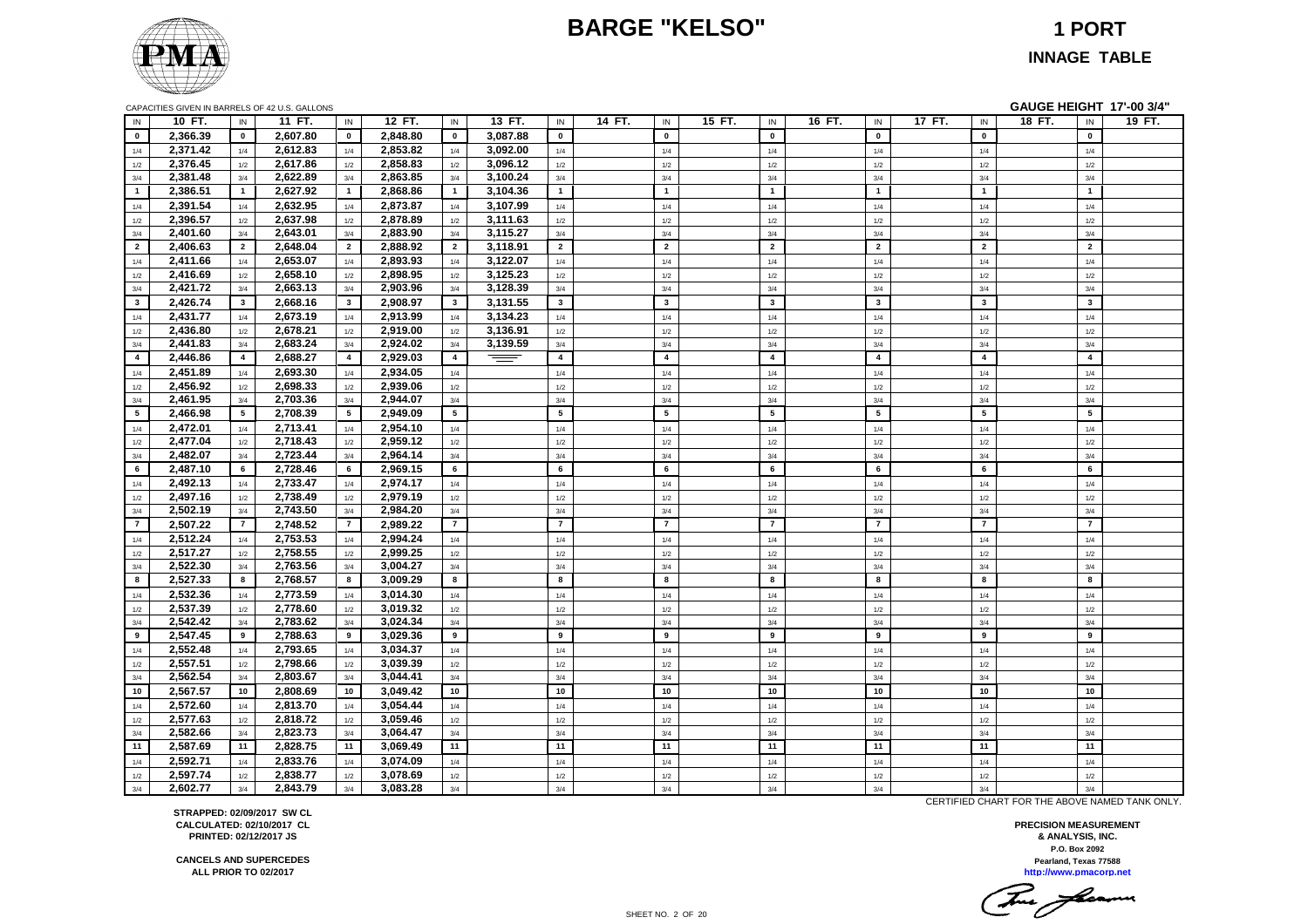# **BARGE "KELSO" 1 PORT**



**INNAGE TABLE**

| CAPACITIES GIVEN IN BARRELS OF 42 U.S. GALLONS |  |  |  |
|------------------------------------------------|--|--|--|
|                                                |  |  |  |

|                |          |                 | CAPACITIES GIVEN IN BARRELS OF 42 U.S. GALLONS |                 |          |                 |          |                |        |                 |        |                |        |                         |                         | GAUGE HEIGHT 17'-00 3/4" |        |
|----------------|----------|-----------------|------------------------------------------------|-----------------|----------|-----------------|----------|----------------|--------|-----------------|--------|----------------|--------|-------------------------|-------------------------|--------------------------|--------|
| IN             | 10 FT.   | IN              | 11 FT.                                         | IN              | 12 FT.   | IN              | 13 FT.   | $\sf IN$       | 14 FT. | $\mathsf{IN}$   | 15 FT. | $\sf IN$       | 16 FT. | $\mathsf{IN}$           | 17 FT.<br>IN            | 18 FT.<br>IN             | 19 FT. |
| $\mathbf{0}$   | 2,366.39 | $\mathbf{0}$    | 2,607.80                                       | $\mathbf{0}$    | 2,848.80 | $\mathbf{0}$    | 3,087.88 | $\mathbf 0$    |        | $\mathbf{0}$    |        | $\mathbf 0$    |        | $\mathbf{0}$            | $\mathbf 0$             | $\mathbf{0}$             |        |
| 1/4            | 2,371.42 | 1/4             | 2,612.83                                       | 1/4             | 2,853.82 | 1/4             | 3,092.00 | 1/4            |        | 1/4             |        | 1/4            |        | 1/4                     | 1/4                     | 1/4                      |        |
| 1/2            | 2,376.45 | 1/2             | 2,617.86                                       | 1/2             | 2,858.83 | 1/2             | 3,096.12 | 1/2            |        | 1/2             |        | 1/2            |        | 1/2                     | 1/2                     | 1/2                      |        |
| 3/4            | 2,381.48 | 3/4             | 2,622.89                                       | 3/4             | 2,863.85 | 3/4             | 3,100.24 | $3/4\,$        |        | 3/4             |        | 3/4            |        | 3/4                     | 3/4                     | 3/4                      |        |
| $\overline{1}$ | 2,386.51 | $\mathbf{1}$    | 2,627.92                                       | $\overline{1}$  | 2,868.86 | $\overline{1}$  | 3,104.36 | $\overline{1}$ |        | $\overline{1}$  |        | $\overline{1}$ |        | $\overline{1}$          | $\overline{\mathbf{1}}$ | $\overline{1}$           |        |
| 1/4            | 2,391.54 | 1/4             | 2,632.95                                       | 1/4             | 2,873.87 | 1/4             | 3,107.99 | 1/4            |        | 1/4             |        | 1/4            |        | 1/4                     | 1/4                     | 1/4                      |        |
| 1/2            | 2,396.57 | 1/2             | 2,637.98                                       | 1/2             | 2,878.89 | 1/2             | 3,111.63 | $1/2\,$        |        | 1/2             |        | $1/2\,$        |        | 1/2                     | $1/2$                   | 1/2                      |        |
| 3/4            | 2,401.60 | 3/4             | 2,643.01                                       | 3/4             | 2,883.90 | 3/4             | 3,115.27 | 3/4            |        | 3/4             |        | 3/4            |        | 3/4                     | 3/4                     | 3/4                      |        |
| $\overline{2}$ | 2,406.63 | $\overline{2}$  | 2,648.04                                       | $\overline{2}$  | 2,888.92 | $\overline{2}$  | 3,118.91 | $\overline{2}$ |        | $\overline{2}$  |        | $\overline{2}$ |        | $\overline{2}$          | $\overline{2}$          | $\overline{2}$           |        |
| 1/4            | 2,411.66 | 1/4             | 2,653.07                                       | 1/4             | 2,893.93 | 1/4             | 3,122.07 | 1/4            |        | 1/4             |        | 1/4            |        | 1/4                     | 1/4                     | 1/4                      |        |
| 1/2            | 2,416.69 | 1/2             | 2,658.10                                       | 1/2             | 2,898.95 | 1/2             | 3,125.23 | 1/2            |        | 1/2             |        | 1/2            |        | 1/2                     | 1/2                     | 1/2                      |        |
| 3/4            | 2,421.72 | 3/4             | 2,663.13                                       | 3/4             | 2,903.96 | 3/4             | 3,128.39 | 3/4            |        | 3/4             |        | 3/4            |        | 3/4                     | 3/4                     | 3/4                      |        |
| $\mathbf{3}$   | 2,426.74 | $\mathbf{3}$    | 2,668.16                                       | $\mathbf{3}$    | 2,908.97 | $\mathbf{3}$    | 3,131.55 | $\mathbf{3}$   |        | $\mathbf{3}$    |        | $\mathbf{3}$   |        | $\overline{\mathbf{3}}$ | $\mathbf{3}$            | $\mathbf{3}$             |        |
| 1/4            | 2,431.77 | 1/4             | 2,673.19                                       | 1/4             | 2,913.99 | 1/4             | 3,134.23 | 1/4            |        | 1/4             |        | 1/4            |        | 1/4                     | 1/4                     | 1/4                      |        |
| 1/2            | 2,436.80 | 1/2             | 2,678.21                                       | $1/2$           | 2,919.00 | 1/2             | 3,136.91 | $1/2\,$        |        | 1/2             |        | $1/2\,$        |        | 1/2                     | $1/2\,$                 | 1/2                      |        |
| 3/4            | 2,441.83 | 3/4             | 2,683.24                                       | 3/4             | 2,924.02 | 3/4             | 3,139.59 | 3/4            |        | 3/4             |        | 3/4            |        | 3/4                     | 3/4                     | 3/4                      |        |
| $\overline{4}$ | 2,446.86 | $\overline{4}$  | 2,688.27                                       | $\overline{4}$  | 2,929.03 | $\overline{4}$  | $\equiv$ | $\overline{4}$ |        | $\overline{4}$  |        | $\overline{4}$ |        | $\overline{4}$          | $\overline{\mathbf{4}}$ | $\overline{\mathbf{4}}$  |        |
| 1/4            | 2,451.89 | 1/4             | 2,693.30                                       | 1/4             | 2,934.05 | 1/4             |          | 1/4            |        | 1/4             |        | 1/4            |        | 1/4                     | 1/4                     | 1/4                      |        |
| 1/2            | 2,456.92 | 1/2             | 2,698.33                                       | 1/2             | 2,939.06 | 1/2             |          | 1/2            |        | 1/2             |        | 1/2            |        | 1/2                     | 1/2                     | 1/2                      |        |
| 3/4            | 2,461.95 | 3/4             | 2,703.36                                       | 3/4             | 2,944.07 | 3/4             |          | 3/4            |        | 3/4             |        | 3/4            |        | 3/4                     | 3/4                     | 3/4                      |        |
| 5              | 2,466.98 | $5\phantom{.0}$ | 2,708.39                                       | $5\overline{5}$ | 2,949.09 | $5\overline{5}$ |          | 5              |        | $5\overline{5}$ |        | 5              |        | 5                       | 5                       | 5                        |        |
| 1/4            | 2,472.01 | 1/4             | 2,713.41                                       | 1/4             | 2,954.10 | 1/4             |          | 1/4            |        | 1/4             |        | 1/4            |        | 1/4                     | 1/4                     | 1/4                      |        |
| 1/2            | 2,477.04 | 1/2             | 2,718.43                                       | 1/2             | 2,959.12 | 1/2             |          | $1/2\,$        |        | 1/2             |        | 1/2            |        | 1/2                     | 1/2                     | 1/2                      |        |
| 3/4            | 2,482.07 | 3/4             | 2,723.44                                       | 3/4             | 2,964.14 | 3/4             |          | 3/4            |        | 3/4             |        | 3/4            |        | 3/4                     | 3/4                     | 3/4                      |        |
| 6              | 2,487.10 | 6               | 2,728.46                                       | 6               | 2,969.15 | 6               |          | 6              |        | 6               |        | 6              |        | 6                       | 6                       | 6                        |        |
| 1/4            | 2,492.13 | 1/4             | 2,733.47                                       | 1/4             | 2,974.17 | 1/4             |          | 1/4            |        | 1/4             |        | 1/4            |        | 1/4                     | 1/4                     | 1/4                      |        |
| 1/2            | 2,497.16 | 1/2             | 2,738.49                                       | 1/2             | 2,979.19 | 1/2             |          | $1/2$          |        | 1/2             |        | 1/2            |        | 1/2                     | 1/2                     | 1/2                      |        |
| 3/4            | 2,502.19 | 3/4             | 2,743.50                                       | 3/4             | 2,984.20 | 3/4             |          | 3/4            |        | 3/4             |        | 3/4            |        | 3/4                     | 3/4                     | 3/4                      |        |
| $\overline{7}$ | 2,507.22 | $\overline{7}$  | 2,748.52                                       | $\overline{7}$  | 2,989.22 | $\overline{7}$  |          | $\overline{7}$ |        | $\overline{7}$  |        | $\overline{7}$ |        | $\overline{7}$          | $\overline{\mathbf{z}}$ | $\overline{7}$           |        |
| 1/4            | 2,512.24 | 1/4             | 2,753.53                                       | 1/4             | 2,994.24 | 1/4             |          | 1/4            |        | 1/4             |        | 1/4            |        | 1/4                     | 1/4                     | 1/4                      |        |
| 1/2            | 2,517.27 | 1/2             | 2,758.55                                       | 1/2             | 2,999.25 | 1/2             |          | 1/2            |        | 1/2             |        | 1/2            |        | 1/2                     | 1/2                     | 1/2                      |        |
| 3/4            | 2,522.30 | 3/4             | 2,763.56                                       | 3/4             | 3,004.27 | 3/4             |          | 3/4            |        | 3/4             |        | 3/4            |        | 3/4                     | 3/4                     | 3/4                      |        |
| 8              | 2,527.33 | 8               | 2,768.57                                       | 8               | 3,009.29 | 8               |          | 8              |        | 8               |        | 8              |        | 8                       | 8                       | 8                        |        |
| 1/4            | 2,532.36 | 1/4             | 2,773.59                                       | $1/4$           | 3,014.30 | 1/4             |          | 1/4            |        | 1/4             |        | 1/4            |        | 1/4                     | 1/4                     | 1/4                      |        |
| 1/2            | 2,537.39 | 1/2             | 2,778.60                                       | 1/2             | 3,019.32 | 1/2             |          | $1/2$          |        | 1/2             |        | 1/2            |        | 1/2                     | 1/2                     | 1/2                      |        |
| 3/4            | 2,542.42 | 3/4             | 2,783.62                                       | 3/4             | 3,024.34 | 3/4             |          | 3/4            |        | 3/4             |        | 3/4            |        | 3/4                     | 3/4                     | 3/4                      |        |
| 9              | 2,547.45 | 9               | 2,788.63                                       | 9               | 3,029.36 | 9               |          | 9              |        | 9               |        | 9              |        | 9                       | 9                       | 9                        |        |
| 1/4            | 2,552.48 | 1/4             | 2,793.65                                       | 1/4             | 3,034.37 | 1/4             |          | 1/4            |        | 1/4             |        | 1/4            |        | 1/4                     | 1/4                     | 1/4                      |        |
| 1/2            | 2,557.51 | 1/2             | 2,798.66                                       | 1/2             | 3.039.39 | 1/2             |          | 1/2            |        | 1/2             |        | 1/2            |        | 1/2                     | 1/2                     | 1/2                      |        |
| 3/4            | 2,562.54 | 3/4             | 2,803.67                                       | 3/4             | 3,044.41 | 3/4             |          | 3/4            |        | 3/4             |        | 3/4            |        | 3/4                     | 3/4                     | 3/4                      |        |
| 10             | 2,567.57 | 10              | 2,808.69                                       | 10              | 3,049.42 | 10              |          | 10             |        | 10              |        | 10             |        | 10                      | 10                      | 10                       |        |
| 1/4            | 2,572.60 | 1/4             | 2,813.70                                       | 1/4             | 3,054.44 | 1/4             |          | 1/4            |        | 1/4             |        | 1/4            |        | 1/4                     | 1/4                     | 1/4                      |        |
| 1/2            | 2,577.63 | 1/2             | 2,818.72                                       | $1/2$           | 3,059.46 | 1/2             |          | 1/2            |        | 1/2             |        | 1/2            |        | 1/2                     | 1/2                     | 1/2                      |        |
| 3/4            | 2,582.66 | 3/4             | 2,823.73                                       | 3/4             | 3,064.47 | 3/4             |          | 3/4            |        | 3/4             |        | 3/4            |        | 3/4                     | 3/4                     | 3/4                      |        |
| 11             | 2,587.69 | 11              | 2,828.75                                       | 11              | 3,069.49 | 11              |          | 11             |        | 11              |        | 11             |        | 11                      | 11                      | 11                       |        |
| 1/4            | 2,592.71 | 1/4             | 2,833.76                                       | 1/4             | 3,074.09 | 1/4             |          | 1/4            |        | 1/4             |        | 1/4            |        | 1/4                     | 1/4                     | 1/4                      |        |
| 1/2            | 2,597.74 | 1/2             | 2,838.77                                       | 1/2             | 3,078.69 | 1/2             |          | 1/2            |        | 1/2             |        | 1/2            |        | 1/2                     | 1/2                     | 1/2                      |        |
| 3/4            | 2,602.77 | 3/4             | 2,843.79                                       | 3/4             | 3,083.28 | 3/4             |          | 3/4            |        | 3/4             |        | 3/4            |        | 3/4                     | 3/4                     | 3/4                      |        |

CERTIFIED CHART FOR THE ABOVE NAMED TANK ONLY.

**P.O. Box 2092 PRECISION MEASUREMENT & ANALYSIS, INC. http://www.pmacorp.net Pearland, Texas 77588**

Two farmer

**STRAPPED: 02/09/2017 SW CL CALCULATED: 02/10/2017 CL PRINTED: 02/12/2017 JS**

**CANCELS AND SUPERCEDES ALL PRIOR TO 02/2017**

SHEET NO. 2 OF 20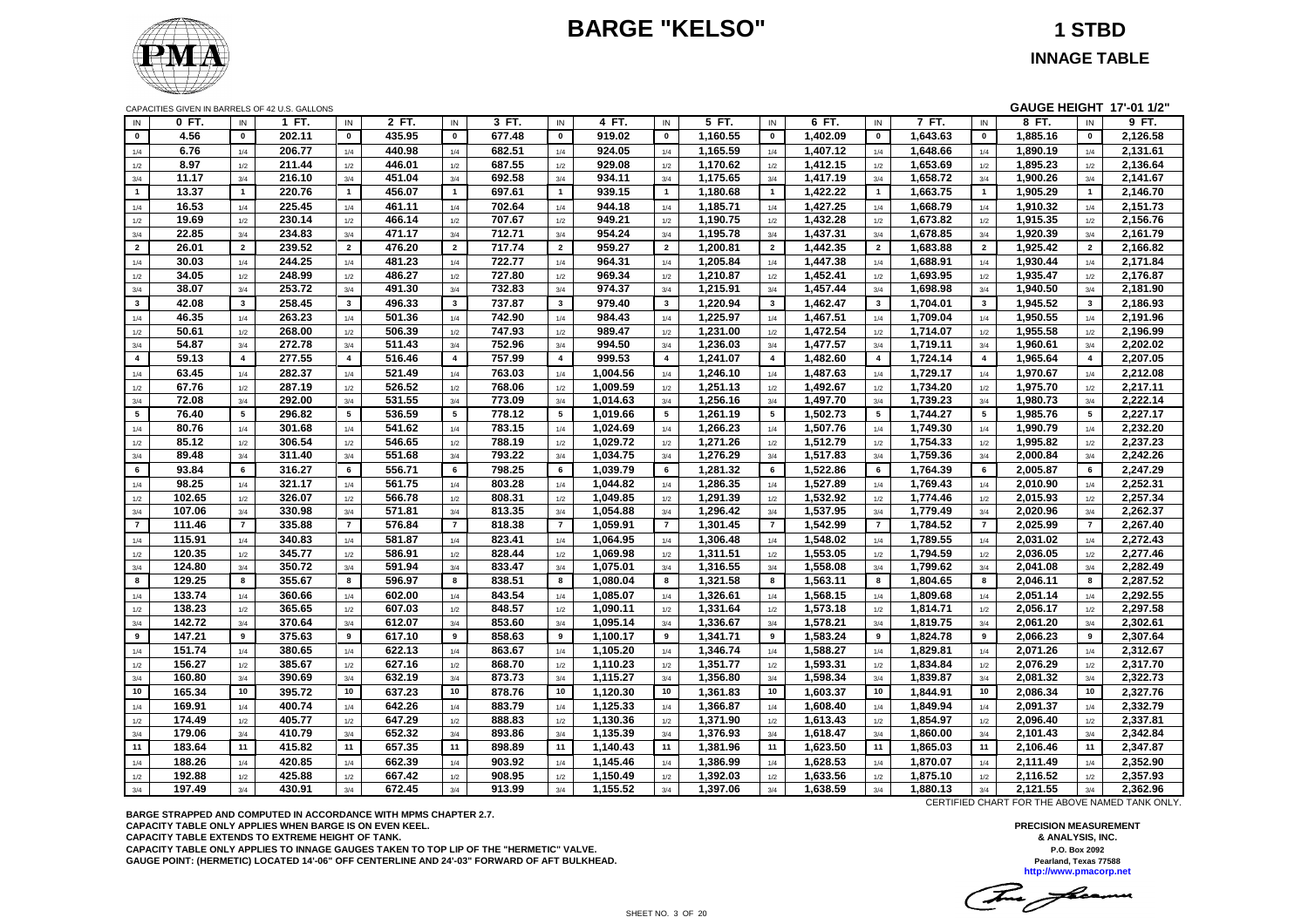# **BARGE "KELSO" 1 STBD**



**INNAGE TABLE**

|                | CAPACITIES GIVEN IN BARRELS OF 42 U.S. GALLONS |                         |                  |                 |                  |                 |                  |                 |                      |                |                      |                         |                      |                 |                      |                | GAUGE HEIGHT 17'-01 1/2" |                 |                      |
|----------------|------------------------------------------------|-------------------------|------------------|-----------------|------------------|-----------------|------------------|-----------------|----------------------|----------------|----------------------|-------------------------|----------------------|-----------------|----------------------|----------------|--------------------------|-----------------|----------------------|
| IN             | 0 FT.                                          | IN                      | 1 FT.            | IN              | 2 FT.            | IN              | 3 FT.            | IN              | 4 FT.                | IN             | 5 FT.                | IN                      | 6 FT.                | IN              | 7 FT.                | IN             | 8 FT.                    | IN              | 9 FT.                |
| $\mathbf{0}$   | 4.56                                           | $\mathbf 0$             | 202.11           | $\mathbf 0$     | 435.95           | $\mathbf 0$     | 677.48           | $\mathbf{0}$    | 919.02               | $\mathbf{0}$   | 1,160.55             | $\mathbf{0}$            | 1,402.09             | $\mathbf 0$     | 1,643.63             | $\pmb{0}$      | 1,885.16                 | $\mathbf{0}$    | 2,126.58             |
| 1/4            | 6.76                                           | 1/4                     | 206.77           | 1/4             | 440.98           | 1/4             | 682.51           | 1/4             | 924.05               | 1/4            | 1,165.59             | 1/4                     | 1,407.12             | 1/4             | 1,648.66             | 1/4            | 1,890.19                 | 1/4             | 2,131.61             |
| 1/2            | 8.97                                           | 1/2                     | 211.44           | 1/2             | 446.01           | 1/2             | 687.55           | 1/2             | 929.08               | 1/2            | 1,170.62             | 1/2                     | 1,412.15             | 1/2             | 1,653.69             | 1/2            | 1,895.23                 | 1/2             | 2,136.64             |
| 3/4            | 11.17                                          | 3/4                     | 216.10           | 3/4             | 451.04           | 3/4             | 692.58           | 3/4             | 934.11               | 3/4            | 1,175.65             | 3/4                     | 1,417.19             | 3/4             | 1,658.72             | 3/4            | 1,900.26                 | 3/4             | 2,141.67             |
| $\mathbf{1}$   | 13.37                                          | 1                       | 220.76           | $\mathbf{1}$    | 456.07           | $\overline{1}$  | 697.61           | $\mathbf{1}$    | 939.15               | $\mathbf{1}$   | 1,180.68             | $\mathbf{1}$            | 1,422.22             | $\mathbf{1}$    | 1,663.75             | $\overline{1}$ | 1,905.29                 | $\mathbf{1}$    | 2,146.70             |
| 1/4            | 16.53                                          | 1/4                     | 225.45           | 1/4             | 461.11           | 1/4             | 702.64           | 1/4             | 944.18               | 1/4            | 1,185.71             | 1/4                     | 1,427.25             | 1/4             | 1,668.79             | 1/4            | 1,910.32                 | 1/4             | 2,151.73             |
| 1/2            | 19.69                                          | 1/2                     | 230.14           | 1/2             | 466.14           | 1/2             | 707.67           | 1/2             | 949.21               | 1/2            | 1,190.75             | 1/2                     | 1,432.28             | 1/2             | 1,673.82             | 1/2            | 1,915.35                 | 1/2             | 2,156.76             |
| 3/4            | 22.85                                          | 3/4                     | 234.83           | 3/4             | 471.17           | 3/4             | 712.71           | 3/4             | 954.24               | 3/4            | 1,195.78             | 3/4                     | 1,437.31             | 3/4             | 1,678.85             | 3/4            | 1,920.39                 | 3/4             | 2,161.79             |
| $\overline{2}$ | 26.01                                          | $\overline{2}$          | 239.52           | $\overline{2}$  | 476.20           | $\overline{2}$  | 717.74           | $\overline{2}$  | 959.27               | $\overline{2}$ | 1,200.81             | $\overline{2}$          | 1,442.35             | $\overline{2}$  | 1,683.88             | $\overline{2}$ | 1,925.42                 | $\overline{2}$  | 2,166.82             |
| 1/4            | 30.03                                          | 1/4                     | 244.25           | 1/4             | 481.23           | 1/4             | 722.77           | 1/4             | 964.31               | 1/4            | 1,205.84             | 1/4                     | 1,447.38             | 1/4             | 1,688.91             | 1/4            | 1,930.44                 | 1/4             | 2,171.84             |
| 1/2            | 34.05                                          | $1/2\,$                 | 248.99           | 1/2             | 486.27           | 1/2             | 727.80           | 1/2             | 969.34               | 1/2            | 1,210.87             | 1/2                     | 1,452.41             | $1/2$           | 1,693.95             | $1/2$          | 1,935.47                 | 1/2             | 2,176.87             |
| 3/4            | 38.07                                          | 3/4                     | 253.72           | 3/4             | 491.30           | 3/4             | 732.83           | 3/4             | 974.37               | 3/4            | 1,215.91             | 3/4                     | 1,457.44             | 3/4             | 1,698.98             | 3/4            | 1,940.50                 | 3/4             | 2,181.90             |
| $3^{\circ}$    | 42.08                                          | $\mathbf{3}$            | 258.45           | $\mathbf{3}$    | 496.33           | $\mathbf{3}$    | 737.87           | $\mathbf{3}$    | 979.40               | $\mathbf{3}$   | 1,220.94             | $\overline{\mathbf{3}}$ | 1,462.47             | $\mathbf{3}$    | 1,704.01             | $\mathbf{3}$   | 1,945.52                 | $\mathbf{3}$    | 2,186.93             |
| 1/4            | 46.35                                          | 1/4                     | 263.23           | $1/4$           | 501.36           | 1/4             | 742.90           | 1/4             | 984.43               | 1/4            | 1,225.97             | 1/4                     | 1,467.51             | 1/4             | 1,709.04             | $1/4$          | 1,950.55                 | 1/4             | 2,191.96             |
| 1/2            | 50.61                                          | 1/2                     | 268.00           | 1/2             | 506.39           | 1/2             | 747.93           | 1/2             | 989.47               | 1/2            | 1,231.00             | 1/2                     | 1,472.54             | 1/2             | 1,714.07             | 1/2            | 1,955.58                 | 1/2             | 2,196.99             |
| 3/4            | 54.87                                          | 3/4                     | 272.78           | 3/4             | 511.43           | 3/4             | 752.96           | 3/4             | 994.50               | 3/4            | 1,236.03             | 3/4                     | 1,477.57             | 3/4             | 1,719.11             | 3/4            | 1,960.61                 | 3/4             | 2,202.02             |
| $\overline{4}$ | 59.13                                          | $\overline{\mathbf{4}}$ | 277.55           | $\overline{4}$  | 516.46           | $\overline{4}$  | 757.99           | $\overline{4}$  | 999.53               | $\overline{4}$ | 1,241.07             | $\overline{4}$          | 1,482.60             | $\overline{4}$  | 1,724.14             | $\overline{4}$ | 1,965.64                 | $\overline{4}$  | 2,207.05             |
| 1/4            | 63.45                                          | 1/4                     | 282.37           | 1/4             | 521.49           | 1/4             | 763.03           | 1/4             | 1,004.56             | 1/4            | 1,246.10             | 1/4                     | 1,487.63             | 1/4             | 1,729.17             | 1/4            | 1,970.67                 | 1/4             | 2,212.08             |
| 1/2            | 67.76                                          | $1/2\,$                 | 287.19           | $1/2$           | 526.52           | 1/2             | 768.06           | 1/2             | 1,009.59             | 1/2            | 1,251.13             | $1/2\,$                 | 1,492.67             | $1/2$           | 1,734.20             | $1/2$          | 1,975.70                 | 1/2             | 2,217.11             |
| 3/4            | 72.08                                          | 3/4                     | 292.00           | 3/4             | 531.55           | 3/4             | 773.09           | 3/4             | 1,014.63             | 3/4            | 1,256.16             | 3/4                     | 1,497.70             | 3/4             | 1,739.23             | 3/4            | 1,980.73                 | 3/4             | 2,222.14             |
| $5^{\circ}$    | 76.40                                          | 5                       | 296.82           | $5\overline{5}$ | 536.59           | $5\overline{5}$ | 778.12           | $5\overline{5}$ | 1,019.66             | 5              | 1,261.19             | 5                       | 1,502.73             | $5\phantom{.0}$ | 1,744.27             | 5              | 1,985.76                 | $5\overline{5}$ | 2,227.17             |
| 1/4            | 80.76                                          | 1/4                     | 301.68           | 1/4             | 541.62           | 1/4             | 783.15           | 1/4             | 1,024.69             | 1/4            | 1,266.23             | 1/4                     | 1,507.76             | 1/4             | 1,749.30             | 1/4            | 1,990.79                 | 1/4             | 2,232.20             |
| 1/2            | 85.12                                          | 1/2                     | 306.54           | 1/2             | 546.65           | 1/2             | 788.19           | 1/2             | 1,029.72             | 1/2            | 1,271.26             | 1/2                     | 1,512.79             | 1/2             | 1,754.33             | 1/2            | 1,995.82                 | 1/2             | 2,237.23             |
| 3/4            | 89.48                                          | 3/4                     | 311.40           | 3/4             | 551.68           | 3/4             | 793.22           | 3/4             | 1,034.75             | 3/4            | 1,276.29             | 3/4                     | 1,517.83             | 3/4             | 1,759.36             | 3/4            | 2,000.84                 | 3/4             | 2,242.26             |
| 6              | 93.84                                          | 6                       | 316.27           | 6               | 556.71           | 6               | 798.25           | 6               | 1.039.79             | 6              | 1,281.32             | 6                       | 1,522.86             | 6               | 1,764.39             | 6              | 2,005.87                 | 6               | 2,247.29             |
| 1/4            | 98.25                                          | 1/4                     | 321.17           | 1/4             | 561.75           | 1/4             | 803.28           | 1/4             | 1,044.82             | 1/4            | 1,286.35             | 1/4                     | 1,527.89             | 1/4             | 1,769.43             | 1/4            | 2.010.90                 | 1/4             | 2,252.31             |
| 1/2            | 102.65                                         | 1/2                     | 326.07           | 1/2             | 566.78           | 1/2             | 808.31           | 1/2             | 1.049.85             | 1/2            | 1.291.39             | 1/2                     | 1,532.92             | 1/2             | 1.774.46             | 1/2            | 2.015.93                 | 1/2             | 2.257.34             |
| 3/4            | 107.06                                         | 3/4                     | 330.98           | 3/4             | 571.81           | 3/4             | 813.35           | 3/4             | 1,054.88             | 3/4            | 1,296.42             | 3/4                     | 1,537.95             | 3/4             | 1,779.49             | 3/4            | 2,020.96                 | 3/4             | 2,262.37             |
| $\overline{7}$ | 111.46                                         | $\overline{7}$          | 335.88           | $\overline{7}$  | 576.84           | $\overline{7}$  | 818.38           | $\overline{7}$  | 1.059.91             | $\overline{7}$ | 1,301.45             | $\overline{7}$          | 1.542.99             | $\overline{7}$  | 1.784.52             | $\overline{7}$ | 2.025.99                 | $\overline{7}$  | 2.267.40             |
| 1/4            | 115.91                                         | 1/4                     | 340.83           | 1/4             | 581.87           | 1/4             | 823.41           | 1/4             | 1,064.95             | 1/4            | 1,306.48             | 1/4                     | 1,548.02             | 1/4             | 1,789.55             | 1/4            | 2,031.02                 | 1/4             | 2,272.43             |
| 1/2            | 120.35                                         | 1/2                     | 345.77           | 1/2             | 586.91           | 1/2             | 828.44           | 1/2             | 1,069.98             | 1/2            | 1,311.51             | 1/2                     | 1,553.05             | 1/2             | 1,794.59             | 1/2            | 2,036.05                 | 1/2             | 2,277.46             |
| 3/4            | 124.80                                         | 3/4                     | 350.72           | 3/4             | 591.94           | 3/4             | 833.47           | 3/4             | 1,075.01             | 3/4            | 1,316.55             | 3/4                     | 1,558.08             | 3/4             | 1,799.62             | 3/4            | 2,041.08                 | 3/4             | 2,282.49             |
| 8              | 129.25                                         | 8                       | 355.67           | 8               | 596.97           | 8               | 838.51           | 8               | 1,080.04             | 8              | 1,321.58             | 8                       | 1,563.11             | 8               | 1,804.65             | 8              | 2,046.11                 | 8               | 2,287.52             |
| 1/4            | 133.74                                         | 1/4                     | 360.66           | 1/4             | 602.00           | 1/4             | 843.54           | 1/4             | 1,085.07             | 1/4            | 1,326.61             | 1/4                     | 1,568.15             | 1/4             | 1,809.68             | 1/4            | 2,051.14                 | 1/4             | 2,292.55             |
| 1/2            | 138.23                                         | 1/2                     | 365.65           | 1/2             | 607.03           | 1/2             | 848.57           | 1/2             | 1,090.11             | 1/2            | 1,331.64             | 1/2                     | 1,573.18             | 1/2             | 1,814.71             | 1/2            | 2,056.17                 | 1/2             | 2,297.58             |
| 3/4            | 142.72                                         | 3/4                     | 370.64           | 3/4             | 612.07           | 3/4             | 853.60           | 3/4             | 1,095.14             | 3/4            | 1,336.67             | 3/4                     | 1,578.21             | 3/4             | 1,819.75             | 3/4            | 2,061.20                 | 3/4             | 2,302.61             |
| 9              | 147.21                                         | 9                       | 375.63           | 9               | 617.10           | 9               | 858.63           | 9               | 1,100.17             | 9              | 1,341.71             | 9                       | 1,583.24             | 9               | 1,824.78             | 9              | 2,066.23                 | 9               | 2,307.64             |
| 1/4            | 151.74                                         | 1/4                     | 380.65           | 1/4             | 622.13           | 1/4             | 863.67           | 1/4             | 1,105.20             | 1/4            | 1,346.74             | 1/4                     | 1,588.27             | 1/4             | 1,829.81             | 1/4            | 2,071.26                 | 1/4             | 2,312.67             |
| 1/2            | 156.27                                         | 1/2                     | 385.67           | 1/2             | 627.16           | 1/2             | 868.70           | 1/2             | 1,110.23             | 1/2            | 1,351.77             | 1/2                     | 1,593.31             | 1/2             | 1,834.84             | 1/2            | 2,076.29                 | 1/2             | 2,317.70             |
| 3/4            | 160.80                                         | 3/4                     | 390.69           | 3/4             | 632.19           | 3/4             | 873.73           | 3/4             | 1,115.27             | 3/4            | 1,356.80             | 3/4                     | 1,598.34             | 3/4             | 1,839.87             | 3/4            | 2,081.32                 | 3/4             | 2,322.73             |
| 10             | 165.34                                         | 10                      | 395.72           | 10              | 637.23           | 10              | 878.76           | 10              | 1,120.30             | 10             | 1,361.83             | 10                      | 1,603.37             | 10              | 1,844.91             | 10             | 2,086.34                 | 10              | 2,327.76             |
|                | 169.91                                         | 1/4                     | 400.74           | 1/4             | 642.26           | 1/4             | 883.79           | 1/4             | 1,125.33             | 1/4            | 1,366.87             | 1/4                     | 1,608.40             | 1/4             | 1,849.94             | $1/4$          | 2,091.37                 | 1/4             | 2,332.79             |
| 1/4            | 174.49                                         | $1/2\,$                 | 405.77           | 1/2             | 647.29           | 1/2             | 888.83           | 1/2             | 1,130.36             | 1/2            | 1,371.90             | 1/2                     | 1,613.43             | 1/2             | 1,854.97             | 1/2            | 2,096.40                 | 1/2             | 2,337.81             |
| 1/2<br>3/4     | 179.06                                         | 3/4                     | 410.79           | 3/4             | 652.32           | 3/4             | 893.86           | 3/4             | 1,135.39             | 3/4            | 1,376.93             | 3/4                     | 1,618.47             | 3/4             | 1,860.00             | 3/4            | 2,101.43                 | 3/4             | 2,342.84             |
| 11             | 183.64                                         | 11                      | 415.82           | 11              | 657.35           | 11              | 898.89           | 11              | 1,140.43             | 11             | 1,381.96             | 11                      | 1,623.50             | 11              | 1,865.03             | 11             | 2,106.46                 | 11              | 2,347.87             |
|                |                                                |                         |                  |                 |                  |                 |                  |                 |                      |                |                      |                         |                      |                 |                      |                |                          |                 |                      |
| 1/4            | 188.26                                         | 1/4                     | 420.85           | 1/4             | 662.39           | 1/4             | 903.92           | 1/4             | 1,145.46             | 1/4            | 1,386.99             | 1/4                     | 1,628.53             | 1/4             | 1,870.07             | 1/4            | 2,111.49                 | 1/4             | 2,352.90             |
| 1/2            | 192.88<br>197.49                               | 1/2<br>3/4              | 425.88<br>430.91 | $1/2$<br>3/4    | 667.42<br>672.45 | 1/2             | 908.95<br>913.99 | 1/2<br>3/4      | 1,150.49<br>1,155.52 | 1/2<br>3/4     | 1,392.03<br>1,397.06 | $1/2\,$<br>3/4          | 1,633.56<br>1,638.59 | 1/2<br>3/4      | 1,875.10<br>1,880.13 | 1/2<br>3/4     | 2,116.52<br>2,121.55     | 1/2<br>3/4      | 2,357.93<br>2,362.96 |
| 3/4            |                                                |                         |                  |                 |                  | 3/4             |                  |                 |                      |                |                      |                         |                      |                 |                      |                |                          |                 |                      |

**BARGE STRAPPED AND COMPUTED IN ACCORDANCE WITH MPMS CHAPTER 2.7. CAPACITY TABLE ONLY APPLIES WHEN BARGE IS ON EVEN KEEL. CAPACITY TABLE EXTENDS TO EXTREME HEIGHT OF TANK. CAPACITY TABLE ONLY APPLIES TO INNAGE GAUGES TAKEN TO TOP LIP OF THE "HERMETIC" VALVE. GAUGE POINT: (HERMETIC) LOCATED 14'-06" OFF CENTERLINE AND 24'-03" FORWARD OF AFT BULKHEAD.** CERTIFIED CHART FOR THE ABOVE NAMED TANK ONLY.

This floam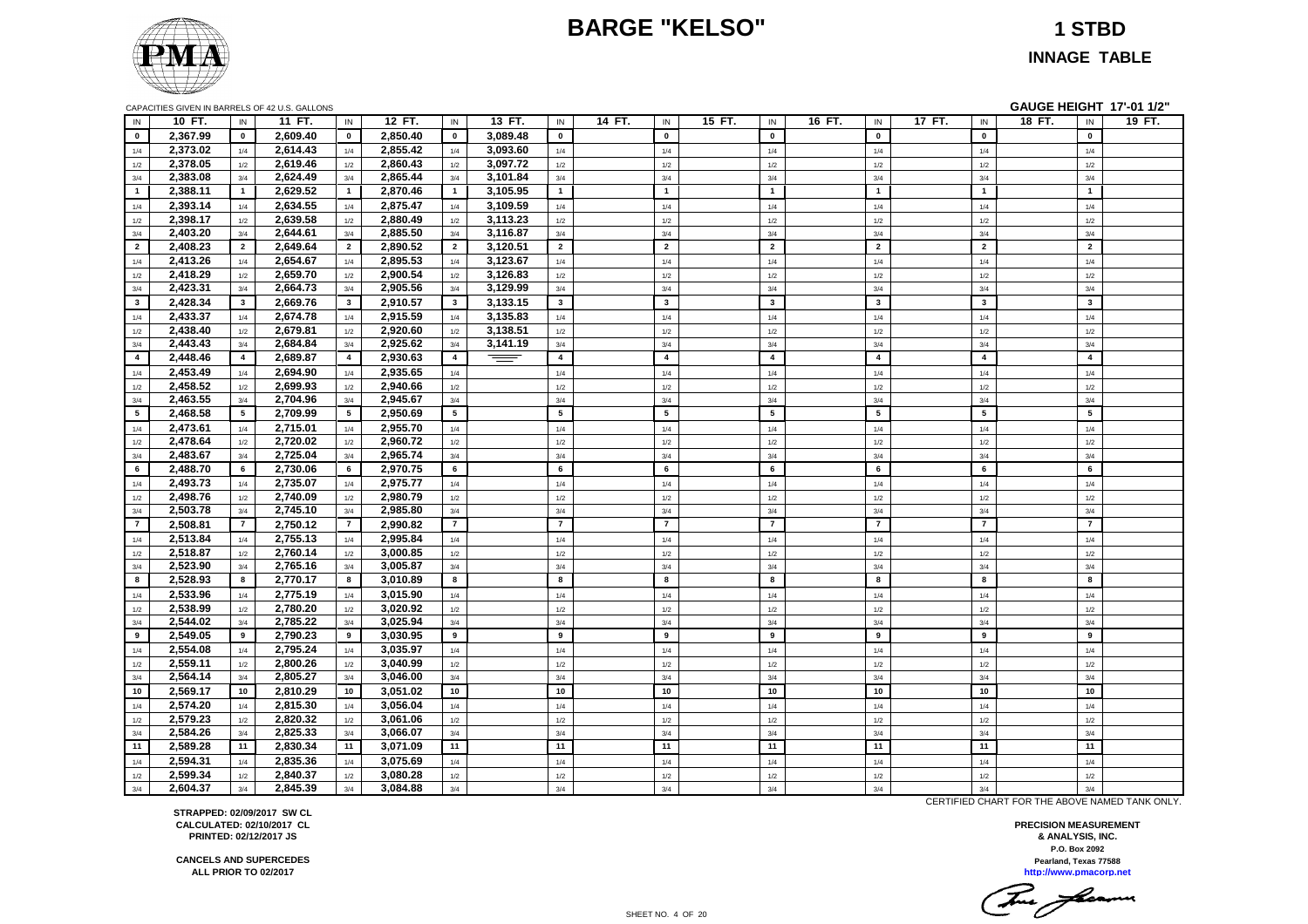# **BARGE "KELSO" 1 STBD**



**INNAGE TABLE**

| CAPACITIES GIVEN IN BARRELS OF 42 U.S. GALLONS |  |
|------------------------------------------------|--|
|                                                |  |

**GAUGE HEIGHT 17'-01 1/2"** 

| IN              | 10 FT.   | IN                      | 11 FT.   | IN              | 12 FT.   | IN             | 13 FT.   | IN             | 14 FT.<br>IN            | 15 FT. | IN                      | 16 FT. | IN                      | 17 FT. | $\sf IN$       | 18 FT. | IN             | 19 FT. |
|-----------------|----------|-------------------------|----------|-----------------|----------|----------------|----------|----------------|-------------------------|--------|-------------------------|--------|-------------------------|--------|----------------|--------|----------------|--------|
| $\mathbf{0}$    | 2,367.99 | $\mathbf 0$             | 2,609.40 | $\mathbf{0}$    | 2,850.40 | $\mathbf 0$    | 3,089.48 | $\mathbf 0$    | $\mathbf 0$             |        | $\pmb{0}$               |        | $\mathbf 0$             |        | $\mathbf 0$    |        | $\mathbf{0}$   |        |
| 1/4             | 2.373.02 | 1/4                     | 2,614.43 | 1/4             | 2.855.42 | 1/4            | 3,093.60 | 1/4            | 1/4                     |        | 1/4                     |        | 1/4                     |        | 1/4            |        | 1/4            |        |
| $1/2$           | 2,378.05 | $1/2\,$                 | 2,619.46 | $1/2$           | 2,860.43 | 1/2            | 3,097.72 | $1/2$          | $1/2\,$                 |        | $1/2\,$                 |        | 1/2                     |        | 1/2            |        | 1/2            |        |
| 3/4             | 2,383.08 | 3/4                     | 2,624.49 | 3/4             | 2,865.44 | 3/4            | 3,101.84 | $3/4$          | 3/4                     |        | 3/4                     |        | 3/4                     |        | 3/4            |        | 3/4            |        |
| $\mathbf{1}$    | 2,388.11 | $\overline{1}$          | 2,629.52 | $\mathbf{1}$    | 2,870.46 | $\mathbf{1}$   | 3,105.95 | $\mathbf{1}$   | $\overline{1}$          |        | $\mathbf{1}$            |        | $\mathbf{1}$            |        | $\overline{1}$ |        | $\overline{1}$ |        |
| 1/4             | 2.393.14 | 1/4                     | 2.634.55 | 1/4             | 2.875.47 | 1/4            | 3,109.59 | 1/4            | 1/4                     |        | 1/4                     |        | 1/4                     |        | 1/4            |        | 1/4            |        |
| 1/2             | 2,398.17 | 1/2                     | 2,639.58 | 1/2             | 2,880.49 | 1/2            | 3,113.23 | $1/2$          | $1/2\,$                 |        | 1/2                     |        | 1/2                     |        | $1/2$          |        | 1/2            |        |
| 3/4             | 2,403.20 | 3/4                     | 2,644.61 | 3/4             | 2,885.50 | 3/4            | 3,116.87 | $3/4$          | 3/4                     |        | 3/4                     |        | 3/4                     |        | 3/4            |        | 3/4            |        |
| $\overline{2}$  | 2,408.23 | $\overline{2}$          | 2,649.64 | $\overline{2}$  | 2,890.52 | $\overline{2}$ | 3,120.51 | $\overline{2}$ | $\overline{2}$          |        | $\overline{2}$          |        | $\overline{2}$          |        | $\overline{2}$ |        | $\overline{2}$ |        |
| 1/4             | 2,413.26 | 1/4                     | 2,654.67 | 1/4             | 2,895.53 | 1/4            | 3,123.67 | 1/4            | 1/4                     |        | 1/4                     |        | 1/4                     |        | 1/4            |        | 1/4            |        |
| 1/2             | 2,418.29 | 1/2                     | 2,659.70 | $1/2$           | 2,900.54 | 1/2            | 3,126.83 | 1/2            | 1/2                     |        | 1/2                     |        | 1/2                     |        | $1/2$          |        | 1/2            |        |
| 3/4             | 2,423.31 | 3/4                     | 2,664.73 | $3/4$           | 2,905.56 | 3/4            | 3,129.99 | $3/4$          | 3/4                     |        | 3/4                     |        | 3/4                     |        | 3/4            |        | 3/4            |        |
| $\mathbf{3}$    | 2,428.34 | $\overline{\mathbf{3}}$ | 2,669.76 | $\mathbf{3}$    | 2,910.57 | $\mathbf{3}$   | 3,133.15 | $\mathbf{3}$   | $\mathbf{3}$            |        | $\mathbf{3}$            |        | $\overline{\mathbf{3}}$ |        | $\mathbf{3}$   |        | $\mathbf{3}$   |        |
| 1/4             | 2,433.37 | 1/4                     | 2,674.78 | 1/4             | 2,915.59 | 1/4            | 3,135.83 | 1/4            | 1/4                     |        | $1/4$                   |        | 1/4                     |        | 1/4            |        | 1/4            |        |
| 1/2             | 2,438.40 | $1/2$                   | 2,679.81 | $1/2$           | 2,920.60 | 1/2            | 3,138.51 | $1/2\,$        | $1/2\,$                 |        | $1/2$                   |        | $1/2$                   |        | $1/2$          |        | 1/2            |        |
| 3/4             | 2,443.43 | 3/4                     | 2,684.84 | 3/4             | 2,925.62 | 3/4            | 3,141.19 | $3/4$          | 3/4                     |        | 3/4                     |        | 3/4                     |        | 3/4            |        | 3/4            |        |
| $\overline{4}$  | 2,448.46 | $\overline{4}$          | 2,689.87 | $\overline{4}$  | 2,930.63 | $\overline{4}$ | $\equiv$ | $\overline{4}$ | $\overline{\mathbf{4}}$ |        | $\overline{\mathbf{4}}$ |        | $\overline{4}$          |        | $\overline{4}$ |        | $\overline{4}$ |        |
| 1/4             | 2,453.49 | 1/4                     | 2,694.90 | 1/4             | 2,935.65 | 1/4            |          | 1/4            | 1/4                     |        | 1/4                     |        | 1/4                     |        | 1/4            |        | 1/4            |        |
| 1/2             | 2,458.52 | 1/2                     | 2,699.93 | 1/2             | 2,940.66 | 1/2            |          | 1/2            | 1/2                     |        | 1/2                     |        | 1/2                     |        | 1/2            |        | 1/2            |        |
| $3/4$           | 2,463.55 | 3/4                     | 2,704.96 | $3/4$           | 2,945.67 | 3/4            |          | 3/4            | 3/4                     |        | 3/4                     |        | 3/4                     |        | 3/4            |        | 3/4            |        |
| $5\overline{ }$ | 2,468.58 | $5\overline{5}$         | 2,709.99 | $5\overline{ }$ | 2,950.69 | 5              |          | ${\bf 5}$      | ${\bf 5}$               |        | 5                       |        | 5                       |        | 5              |        | 5              |        |
| 1/4             | 2,473.61 | 1/4                     | 2,715.01 | 1/4             | 2,955.70 | 1/4            |          | 1/4            | 1/4                     |        | 1/4                     |        | 1/4                     |        | 1/4            |        | 1/4            |        |
| 1/2             | 2,478.64 | 1/2                     | 2,720.02 | 1/2             | 2,960.72 | 1/2            |          | 1/2            | 1/2                     |        | 1/2                     |        | 1/2                     |        | 1/2            |        | 1/2            |        |
| 3/4             | 2,483.67 | 3/4                     | 2,725.04 | 3/4             | 2,965.74 | 3/4            |          | 3/4            | 3/4                     |        | 3/4                     |        | 3/4                     |        | 3/4            |        | 3/4            |        |
| 6               | 2,488.70 | 6                       | 2,730.06 | 6               | 2,970.75 | 6              |          | 6              | 6                       |        | 6                       |        | 6                       |        | 6              |        | 6              |        |
| 1/4             | 2,493.73 | 1/4                     | 2,735.07 | 1/4             | 2,975.77 | 1/4            |          | 1/4            | 1/4                     |        | 1/4                     |        | 1/4                     |        | 1/4            |        | 1/4            |        |
| 1/2             | 2,498.76 | 1/2                     | 2,740.09 | 1/2             | 2,980.79 | 1/2            |          | $1/2$          | 1/2                     |        | 1/2                     |        | 1/2                     |        | $1/2$          |        | 1/2            |        |
| 3/4             | 2,503.78 | 3/4                     | 2,745.10 | 3/4             | 2,985.80 | 3/4            |          | 3/4            | 3/4                     |        | 3/4                     |        | 3/4                     |        | 3/4            |        | 3/4            |        |
| $\overline{7}$  | 2,508.81 | $\overline{7}$          | 2,750.12 | $\overline{7}$  | 2,990.82 | $\overline{7}$ |          | $\overline{7}$ | $\overline{7}$          |        | $\overline{7}$          |        | $\overline{7}$          |        | $\overline{7}$ |        | $\overline{7}$ |        |
| 1/4             | 2,513.84 | 1/4                     | 2,755.13 | 1/4             | 2,995.84 | 1/4            |          | 1/4            | 1/4                     |        | 1/4                     |        | 1/4                     |        | 1/4            |        | 1/4            |        |
| 1/2             | 2,518.87 | 1/2                     | 2,760.14 | 1/2             | 3,000.85 | 1/2            |          | 1/2            | 1/2                     |        | 1/2                     |        | 1/2                     |        | 1/2            |        | 1/2            |        |
| 3/4             | 2,523.90 | 3/4                     | 2,765.16 | 3/4             | 3,005.87 | 3/4            |          | $3/4$          | 3/4                     |        | 3/4                     |        | 3/4                     |        | 3/4            |        | 3/4            |        |
| 8               | 2,528.93 | 8                       | 2,770.17 | 8               | 3,010.89 | 8              |          | 8              | 8                       |        | 8                       |        | 8                       |        | 8              |        | 8              |        |
| 1/4             | 2,533.96 | 1/4                     | 2,775.19 | 1/4             | 3,015.90 | 1/4            |          | 1/4            | 1/4                     |        | 1/4                     |        | 1/4                     |        | 1/4            |        | 1/4            |        |
| 1/2             | 2,538.99 | 1/2                     | 2,780.20 | $1/2$           | 3,020.92 | 1/2            |          | 1/2            | $1/2\,$                 |        | 1/2                     |        | 1/2                     |        | 1/2            |        | 1/2            |        |
| 3/4             | 2,544.02 | 3/4                     | 2,785.22 | 3/4             | 3,025.94 | 3/4            |          | 3/4            | 3/4                     |        | 3/4                     |        | 3/4                     |        | 3/4            |        | 3/4            |        |
| 9               | 2,549.05 | 9                       | 2,790.23 | 9               | 3,030.95 | 9              |          | 9              | 9                       |        | 9                       |        | 9                       |        | 9              |        | 9              |        |
| 1/4             | 2,554.08 | 1/4                     | 2,795.24 | 1/4             | 3,035.97 | 1/4            |          | 1/4            | 1/4                     |        | 1/4                     |        | 1/4                     |        | 1/4            |        | 1/4            |        |
| 1/2             | 2,559.11 | 1/2                     | 2,800.26 | 1/2             | 3,040.99 | 1/2            |          | 1/2            | 1/2                     |        | 1/2                     |        | 1/2                     |        | 1/2            |        | 1/2            |        |
| 3/4             | 2,564.14 | 3/4                     | 2,805.27 | 3/4             | 3,046.00 | 3/4            |          | 3/4            | 3/4                     |        | 3/4                     |        | 3/4                     |        | 3/4            |        | 3/4            |        |
| 10              | 2,569.17 | 10                      | 2,810.29 | 10              | 3,051.02 | 10             |          | 10             | 10                      |        | 10                      |        | 10                      |        | 10             |        | 10             |        |
| 1/4             | 2,574.20 | $1/4$                   | 2,815.30 | $1/4$           | 3,056.04 | $1/4$          |          | $1/4$          | 1/4                     |        | $1/4$                   |        | 1/4                     |        | 1/4            |        | 1/4            |        |
| 1/2             | 2,579.23 | 1/2                     | 2,820.32 | 1/2             | 3,061.06 | 1/2            |          | 1/2            | $1/2\,$                 |        | 1/2                     |        | 1/2                     |        | 1/2            |        | 1/2            |        |
| 3/4             | 2,584.26 | 3/4                     | 2,825.33 | 3/4             | 3,066.07 | 3/4            |          | 3/4            | 3/4                     |        | 3/4                     |        | 3/4                     |        | 3/4            |        | 3/4            |        |
| 11              | 2,589.28 | 11                      | 2,830.34 | 11              | 3,071.09 | 11             |          | 11             | 11                      |        | 11                      |        | 11                      |        | 11             |        | 11             |        |
| 1/4             | 2,594.31 | 1/4                     | 2,835.36 | 1/4             | 3,075.69 | 1/4            |          | 1/4            | 1/4                     |        | 1/4                     |        | 1/4                     |        | 1/4            |        | 1/4            |        |
| 1/2             | 2.599.34 | 1/2                     | 2,840.37 | 1/2             | 3,080.28 | 1/2            |          | 1/2            | 1/2                     |        | 1/2                     |        | 1/2                     |        | 1/2            |        | 1/2            |        |
| 3/4             | 2,604.37 | 3/4                     | 2,845.39 | 3/4             | 3,084.88 | 3/4            |          | 3/4            | 3/4                     |        | 3/4                     |        | 3/4                     |        | 3/4            |        | 3/4            |        |
|                 |          |                         |          |                 |          |                |          |                |                         |        |                         |        |                         |        |                |        |                |        |

**STRAPPED: 02/09/2017 SW CL CALCULATED: 02/10/2017 CL PRINTED: 02/12/2017 JS**

**CANCELS AND SUPERCEDES ALL PRIOR TO 02/2017**

CERTIFIED CHART FOR THE ABOVE NAMED TANK ONLY.

**P.O. Box 2092 PRECISION MEASUREMENT & ANALYSIS, INC. http://www.pmacorp.net Pearland, Texas 77588**

Tomas facerme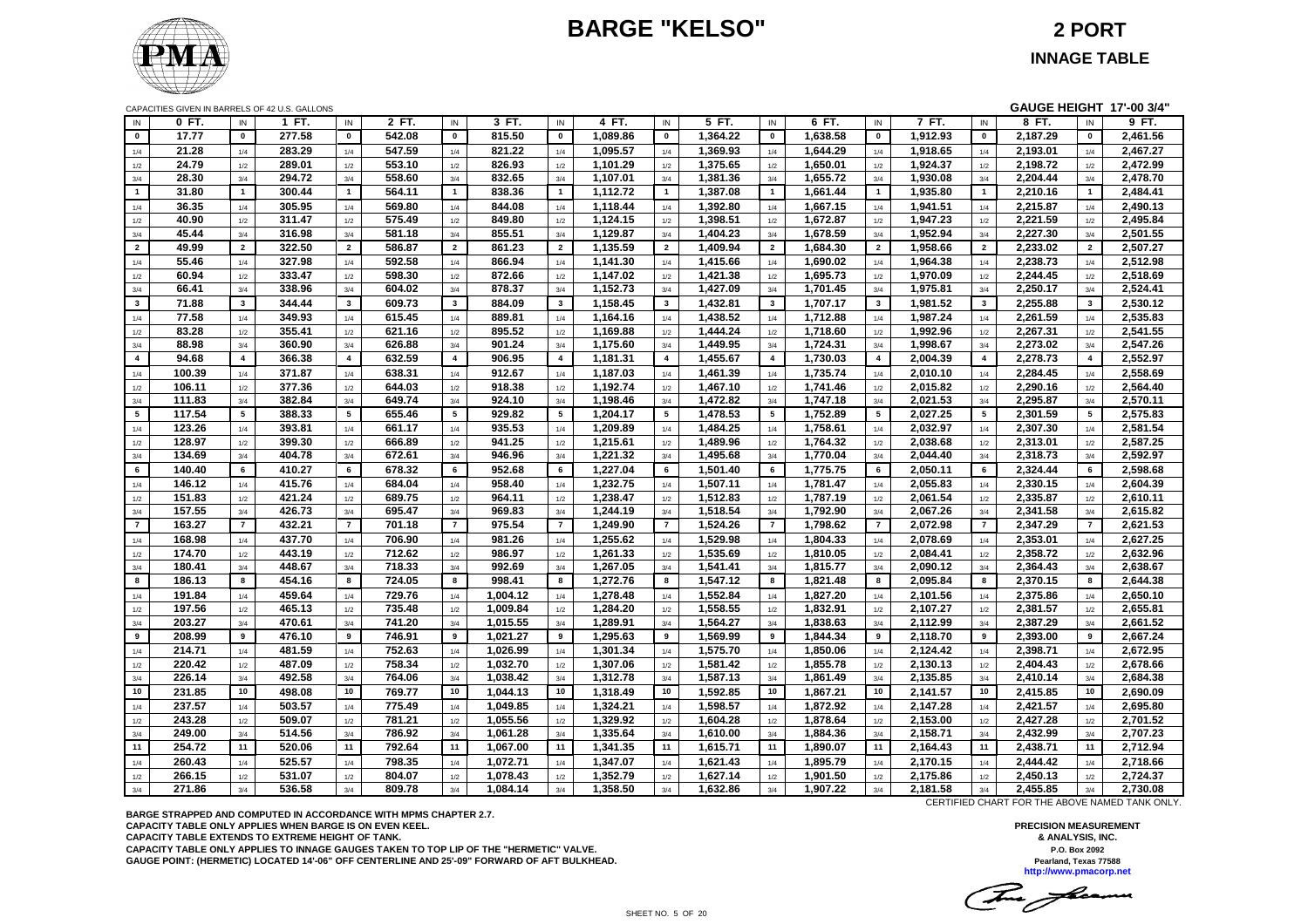# **BARGE "KELSO" 2 PORT**



|                |        |                       | CAPACITIES GIVEN IN BARRELS OF 42 U.S. GALLONS |                       |        |                |          |                         |          |                         |          |                |          |                         |          |                       | GAUGE HEIGHT 17'-00 3/4" |                       |          |
|----------------|--------|-----------------------|------------------------------------------------|-----------------------|--------|----------------|----------|-------------------------|----------|-------------------------|----------|----------------|----------|-------------------------|----------|-----------------------|--------------------------|-----------------------|----------|
| IN             | 0 FT.  | IN                    | 1 FT.                                          | IN                    | 2 FT.  | IN             | 3 FT.    | IN                      | 4 FT.    | IN                      | 5 FT.    | IN             | 6 FT.    | IN                      | 7 FT.    | IN                    | 8 FT.                    | IN                    | 9 FT.    |
| $\mathbf{0}$   | 17.77  | $\mathbf{0}$          | 277.58                                         | $\mathbf{0}$          | 542.08 | $\mathbf{0}$   | 815.50   | $\mathbf 0$             | 1,089.86 | $\mathbf{0}$            | 1,364.22 | $\mathbf 0$    | 1,638.58 | $\mathbf 0$             | 1,912.93 | $\mathbf 0$           | 2,187.29                 | $\mathbf{0}$          | 2,461.56 |
| 1/4            | 21.28  | 1/4                   | 283.29                                         | 1/4                   | 547.59 | 1/4            | 821.22   | 1/4                     | 1,095.57 | 1/4                     | 1,369.93 | 1/4            | 1,644.29 | 1/4                     | 1,918.65 | 1/4                   | 2,193.01                 | 1/4                   | 2,467.27 |
| 1/2            | 24.79  | 1/2                   | 289.01                                         | 1/2                   | 553.10 | 1/2            | 826.93   | 1/2                     | 1,101.29 | 1/2                     | 1,375.65 | 1/2            | 1,650.01 | 1/2                     | 1,924.37 | 1/2                   | 2,198.72                 | 1/2                   | 2,472.99 |
| $3/4$          | 28.30  | 3/4                   | 294.72                                         | 3/4                   | 558.60 | 3/4            | 832.65   | 3/4                     | 1,107.01 | 3/4                     | 1,381.36 | 3/4            | 1,655.72 | 3/4                     | 1,930.08 | 3/4                   | 2,204.44                 | 3/4                   | 2,478.70 |
| $\mathbf 1$    | 31.80  | $\mathbf{1}$          | 300.44                                         | $\overline{1}$        | 564.11 | $\mathbf{1}$   | 838.36   | $\mathbf{1}$            | 1,112.72 | $\overline{1}$          | 1,387.08 | $\mathbf{1}$   | 1,661.44 | $\mathbf{1}$            | 1,935.80 | $\mathbf{1}$          | 2,210.16                 | $\mathbf{1}$          | 2,484.41 |
| 1/4            | 36.35  | 1/4                   | 305.95                                         | 1/4                   | 569.80 | 1/4            | 844.08   | 1/4                     | 1,118.44 | 1/4                     | 1,392.80 | 1/4            | 1,667.15 | 1/4                     | 1,941.51 | 1/4                   | 2,215.87                 | 1/4                   | 2,490.13 |
| 1/2            | 40.90  | 1/2                   | 311.47                                         | $1/2$                 | 575.49 | 1/2            | 849.80   | $1/2$                   | 1,124.15 | 1/2                     | 1,398.51 | 1/2            | 1,672.87 | 1/2                     | 1,947.23 | 1/2                   | 2,221.59                 | 1/2                   | 2,495.84 |
| 3/4            | 45.44  | 3/4                   | 316.98                                         | 3/4                   | 581.18 | 3/4            | 855.51   | 3/4                     | 1,129.87 | 3/4                     | 1,404.23 | 3/4            | 1,678.59 | 3/4                     | 1,952.94 | 3/4                   | 2,227.30                 | 3/4                   | 2,501.55 |
| $\overline{2}$ | 49.99  | $\overline{2}$        | 322.50                                         | $\overline{2}$        | 586.87 | $\overline{2}$ | 861.23   | $\overline{2}$          | 1,135.59 | $\overline{2}$          | 1,409.94 | $\overline{2}$ | 1,684.30 | $\overline{2}$          | 1,958.66 | $\overline{2}$        | 2,233.02                 | $\overline{2}$        | 2,507.27 |
| 1/4            | 55.46  | 1/4                   | 327.98                                         | 1/4                   | 592.58 | 1/4            | 866.94   | 1/4                     | 1,141.30 | 1/4                     | 1,415.66 | 1/4            | 1,690.02 | 1/4                     | 1,964.38 | 1/4                   | 2,238.73                 | 1/4                   | 2,512.98 |
| 1/2            | 60.94  | 1/2                   | 333.47                                         | 1/2                   | 598.30 | 1/2            | 872.66   | 1/2                     | 1,147.02 | 1/2                     | 1,421.38 | 1/2            | 1,695.73 | 1/2                     | 1,970.09 | 1/2                   | 2,244.45                 | 1/2                   | 2,518.69 |
| $3/4$          | 66.41  | 3/4                   | 338.96                                         | 3/4                   | 604.02 | 3/4            | 878.37   | 3/4                     | 1,152.73 | 3/4                     | 1,427.09 | 3/4            | 1,701.45 | 3/4                     | 1,975.81 | 3/4                   | 2,250.17                 | 3/4                   | 2,524.41 |
| $\mathbf{3}$   | 71.88  | $\mathbf{3}$          | 344.44                                         | $\mathbf{3}$          | 609.73 | $\mathbf{3}$   | 884.09   | $\overline{\mathbf{3}}$ | 1,158.45 | $\mathbf{3}$            | 1,432.81 | $\mathbf{3}$   | 1,707.17 | $\mathbf{3}$            | 1,981.52 | $\mathbf{3}$          | 2,255.88                 | $\mathbf{3}$          | 2,530.12 |
| 1/4            | 77.58  | 1/4                   | 349.93                                         | 1/4                   | 615.45 | 1/4            | 889.81   | 1/4                     | 1,164.16 | 1/4                     | 1,438.52 | 1/4            | 1,712.88 | 1/4                     | 1,987.24 | 1/4                   | 2,261.59                 | 1/4                   | 2,535.83 |
| 1/2            | 83.28  | 1/2                   | 355.41                                         | 1/2                   | 621.16 | 1/2            | 895.52   | 1/2                     | 1,169.88 | 1/2                     | 1,444.24 | 1/2            | 1,718.60 | $1/2$                   | 1,992.96 | 1/2                   | 2,267.31                 | 1/2                   | 2,541.55 |
| 3/4            | 88.98  | 3/4                   | 360.90                                         | 3/4                   | 626.88 | 3/4            | 901.24   | 3/4                     | 1,175.60 | 3/4                     | 1,449.95 | 3/4            | 1,724.31 | 3/4                     | 1,998.67 | 3/4                   | 2,273.02                 | 3/4                   | 2,547.26 |
| $\overline{4}$ | 94.68  | $\overline{4}$        | 366.38                                         | $\overline{4}$        | 632.59 | $\overline{4}$ | 906.95   | $\overline{\mathbf{4}}$ | 1,181.31 | $\overline{\mathbf{4}}$ | 1,455.67 | $\overline{4}$ | 1,730.03 | $\overline{\mathbf{4}}$ | 2,004.39 | $\overline{4}$        | 2,278.73                 | $\overline{4}$        | 2,552.97 |
| 1/4            | 100.39 | 1/4                   | 371.87                                         | 1/4                   | 638.31 | 1/4            | 912.67   | 1/4                     | 1,187.03 | 1/4                     | 1,461.39 | 1/4            | 1,735.74 | 1/4                     | 2,010.10 | 1/4                   | 2,284.45                 | 1/4                   | 2,558.69 |
| 1/2            | 106.11 | 1/2                   | 377.36                                         | 1/2                   | 644.03 | 1/2            | 918.38   | 1/2                     | 1,192.74 | 1/2                     | 1,467.10 | 1/2            | 1,741.46 | 1/2                     | 2,015.82 | 1/2                   | 2,290.16                 | 1/2                   | 2,564.40 |
| 3/4            | 111.83 | 3/4                   | 382.84                                         | 3/4                   | 649.74 | 3/4            | 924.10   | 3/4                     | 1,198.46 | 3/4                     | 1,472.82 | 3/4            | 1,747.18 | 3/4                     | 2,021.53 | 3/4                   | 2,295.87                 | 3/4                   | 2,570.11 |
| 5              | 117.54 | 5                     | 388.33                                         | 5                     | 655.46 | 5              | 929.82   | 5                       | 1,204.17 | 5                       | 1,478.53 | 5              | 1,752.89 | 5                       | 2,027.25 | 5                     | 2,301.59                 | 5                     | 2,575.83 |
|                | 123.26 |                       | 393.81                                         | 1/4                   | 661.17 |                | 935.53   | 1/4                     | 1,209.89 |                         | 1,484.25 |                | 1,758.61 |                         | 2,032.97 |                       | 2,307.30                 |                       | 2,581.54 |
| 1/4            | 128.97 | 1/4<br>1/2            | 399.30                                         | 1/2                   | 666.89 | 1/4            | 941.25   | 1/2                     | 1,215.61 | 1/4<br>1/2              | 1,489.96 | 1/4            | 1,764.32 | 1/4                     | 2,038.68 | 1/4                   | 2,313.01                 | 1/4<br>1/2            | 2,587.25 |
| 1/2            | 134.69 | 3/4                   | 404.78                                         | 3/4                   | 672.61 | 1/2<br>3/4     | 946.96   | 3/4                     | 1,221.32 | 3/4                     | 1,495.68 | 1/2<br>3/4     | 1,770.04 | $1/2$<br>3/4            | 2,044.40 | $1/2$<br>3/4          | 2,318.73                 | 3/4                   | 2,592.97 |
| 3/4<br>6       | 140.40 | 6                     | 410.27                                         | 6                     | 678.32 | 6              | 952.68   | 6                       | 1,227.04 | 6                       | 1,501.40 | 6              | 1,775.75 | 6                       | 2,050.11 | 6                     | 2,324.44                 | 6                     | 2,598.68 |
|                |        |                       |                                                |                       |        |                |          |                         |          |                         |          |                |          |                         |          |                       |                          |                       |          |
| 1/4            | 146.12 | 1/4                   | 415.76                                         | 1/4                   | 684.04 | 1/4            | 958.40   | 1/4                     | 1,232.75 | 1/4                     | 1,507.11 | 1/4            | 1,781.47 | 1/4                     | 2,055.83 | $1/4$                 | 2,330.15                 | 1/4                   | 2,604.39 |
| 1/2            | 151.83 | 1/2                   | 421.24                                         | $1/2$                 | 689.75 | 1/2            | 964.11   | 1/2                     | 1,238.47 | 1/2                     | 1,512.83 | 1/2            | 1,787.19 | $1/2$                   | 2,061.54 | $1/2$                 | 2,335.87                 | 1/2                   | 2,610.11 |
| 3/4            | 157.55 | 3/4<br>$\overline{7}$ | 426.73                                         | 3/4<br>$\overline{7}$ | 695.47 | 3/4            | 969.83   | 3/4<br>$\overline{7}$   | 1,244.19 | 3/4<br>$\overline{7}$   | 1,518.54 | 3/4            | 1,792.90 | 3/4<br>$\overline{7}$   | 2,067.26 | 3/4<br>$\overline{7}$ | 2,341.58                 | 3/4<br>$\overline{7}$ | 2,615.82 |
| $\overline{7}$ | 163.27 |                       | 432.21                                         |                       | 701.18 | $\overline{7}$ | 975.54   |                         | 1.249.90 |                         | 1,524.26 | $\overline{7}$ | 1,798.62 |                         | 2,072.98 |                       | 2,347.29                 |                       | 2,621.53 |
| 1/4            | 168.98 | 1/4                   | 437.70                                         | 1/4                   | 706.90 | 1/4            | 981.26   | 1/4                     | 1,255.62 | 1/4                     | 1,529.98 | 1/4            | 1,804.33 | 1/4                     | 2,078.69 | 1/4                   | 2,353.01                 | 1/4                   | 2,627.25 |
| 1/2            | 174.70 | 1/2                   | 443.19                                         | 1/2                   | 712.62 | 1/2            | 986.97   | 1/2                     | 1,261.33 | 1/2                     | 1,535.69 | 1/2            | 1,810.05 | 1/2                     | 2,084.41 | 1/2                   | 2,358.72                 | 1/2                   | 2,632.96 |
| 3/4            | 180.41 | 3/4                   | 448.67                                         | 3/4                   | 718.33 | 3/4            | 992.69   | 3/4                     | 1,267.05 | 3/4                     | 1,541.41 | 3/4            | 1,815.77 | 3/4                     | 2,090.12 | 3/4                   | 2,364.43                 | 3/4                   | 2,638.67 |
| 8              | 186.13 | 8                     | 454.16                                         | 8                     | 724.05 | 8              | 998.41   | 8                       | 1,272.76 | 8                       | 1,547.12 | 8              | 1,821.48 | 8                       | 2,095.84 | 8                     | 2,370.15                 | 8                     | 2,644.38 |
| 1/4            | 191.84 | 1/4                   | 459.64                                         | 1/4                   | 729.76 | 1/4            | 1,004.12 | 1/4                     | 1,278.48 | 1/4                     | 1,552.84 | 1/4            | 1,827.20 | 1/4                     | 2,101.56 | 1/4                   | 2,375.86                 | 1/4                   | 2,650.10 |
| 1/2            | 197.56 | 1/2                   | 465.13                                         | 1/2                   | 735.48 | 1/2            | 1,009.84 | 1/2                     | 1,284.20 | 1/2                     | 1,558.55 | 1/2            | 1,832.91 | $1/2$                   | 2,107.27 | 1/2                   | 2,381.57                 | 1/2                   | 2,655.81 |
| 3/4            | 203.27 | 3/4                   | 470.61                                         | 3/4                   | 741.20 | 3/4            | 1,015.55 | 3/4                     | 1,289.91 | 3/4                     | 1,564.27 | 3/4            | 1,838.63 | 3/4                     | 2,112.99 | 3/4                   | 2,387.29                 | 3/4                   | 2,661.52 |
| 9              | 208.99 | 9                     | 476.10                                         | 9                     | 746.91 | 9              | 1,021.27 | 9                       | 1,295.63 | 9                       | 1,569.99 | 9              | 1,844.34 | 9                       | 2,118.70 | 9                     | 2,393.00                 | 9                     | 2,667.24 |
| 1/4            | 214.71 | 1/4                   | 481.59                                         | 1/4                   | 752.63 | 1/4            | 1,026.99 | 1/4                     | 1,301.34 | 1/4                     | 1,575.70 | 1/4            | 1,850.06 | $1/4$                   | 2,124.42 | $1/4$                 | 2,398.71                 | 1/4                   | 2,672.95 |
| 1/2            | 220.42 | 1/2                   | 487.09                                         | 1/2                   | 758.34 | 1/2            | 1,032.70 | 1/2                     | 1.307.06 | 1/2                     | 1,581.42 | 1/2            | 1,855.78 | 1/2                     | 2,130.13 | 1/2                   | 2.404.43                 | 1/2                   | 2,678.66 |
| 3/4            | 226.14 | 3/4                   | 492.58                                         | 3/4                   | 764.06 | 3/4            | 1,038.42 | 3/4                     | 1,312.78 | 3/4                     | 1,587.13 | 3/4            | 1,861.49 | 3/4                     | 2,135.85 | 3/4                   | 2,410.14                 | 3/4                   | 2,684.38 |
| 10             | 231.85 | 10                    | 498.08                                         | 10                    | 769.77 | 10             | 1,044.13 | 10                      | 1,318.49 | 10                      | 1,592.85 | 10             | 1,867.21 | 10                      | 2,141.57 | 10                    | 2,415.85                 | 10                    | 2,690.09 |
| 1/4            | 237.57 | 1/4                   | 503.57                                         | 1/4                   | 775.49 | 1/4            | 1,049.85 | 1/4                     | 1,324.21 | 1/4                     | 1,598.57 | 1/4            | 1,872.92 | 1/4                     | 2,147.28 | 1/4                   | 2,421.57                 | 1/4                   | 2,695.80 |
| 1/2            | 243.28 | 1/2                   | 509.07                                         | 1/2                   | 781.21 | 1/2            | 1,055.56 | 1/2                     | 1,329.92 | 1/2                     | 1,604.28 | 1/2            | 1,878.64 | 1/2                     | 2,153.00 | 1/2                   | 2,427.28                 | 1/2                   | 2.701.52 |
| 3/4            | 249.00 | 3/4                   | 514.56                                         | 3/4                   | 786.92 | 3/4            | 1,061.28 | 3/4                     | 1,335.64 | 3/4                     | 1,610.00 | 3/4            | 1,884.36 | 3/4                     | 2,158.71 | 3/4                   | 2,432.99                 | 3/4                   | 2,707.23 |
| 11             | 254.72 | 11                    | 520.06                                         | 11                    | 792.64 | 11             | 1,067.00 | 11                      | 1,341.35 | 11                      | 1,615.71 | 11             | 1,890.07 | 11                      | 2,164.43 | 11                    | 2,438.71                 | 11                    | 2,712.94 |
| 1/4            | 260.43 | 1/4                   | 525.57                                         | 1/4                   | 798.35 | 1/4            | 1,072.71 | 1/4                     | 1,347.07 | 1/4                     | 1,621.43 | 1/4            | 1,895.79 | 1/4                     | 2,170.15 | 1/4                   | 2,444.42                 | 1/4                   | 2,718.66 |
| 1/2            | 266.15 | 1/2                   | 531.07                                         | 1/2                   | 804.07 | 1/2            | 1,078.43 | 1/2                     | 1,352.79 | 1/2                     | 1,627.14 | 1/2            | 1,901.50 | 1/2                     | 2,175.86 | 1/2                   | 2,450.13                 | 1/2                   | 2,724.37 |
| 3/4            | 271.86 | 3/4                   | 536.58                                         | 3/4                   | 809.78 | 3/4            | 1,084.14 | 3/4                     | 1,358.50 | 3/4                     | 1,632.86 | 3/4            | 1,907.22 | 3/4                     | 2,181.58 | 3/4                   | 2,455.85                 | 3/4                   | 2,730.08 |

**BARGE STRAPPED AND COMPUTED IN ACCORDANCE WITH MPMS CHAPTER 2.7. CAPACITY TABLE ONLY APPLIES WHEN BARGE IS ON EVEN KEEL. CAPACITY TABLE EXTENDS TO EXTREME HEIGHT OF TANK. CAPACITY TABLE ONLY APPLIES TO INNAGE GAUGES TAKEN TO TOP LIP OF THE "HERMETIC" VALVE. GAUGE POINT: (HERMETIC) LOCATED 14'-06" OFF CENTERLINE AND 25'-09" FORWARD OF AFT BULKHEAD.** CERTIFIED CHART FOR THE ABOVE NAMED TANK ONLY.

This floam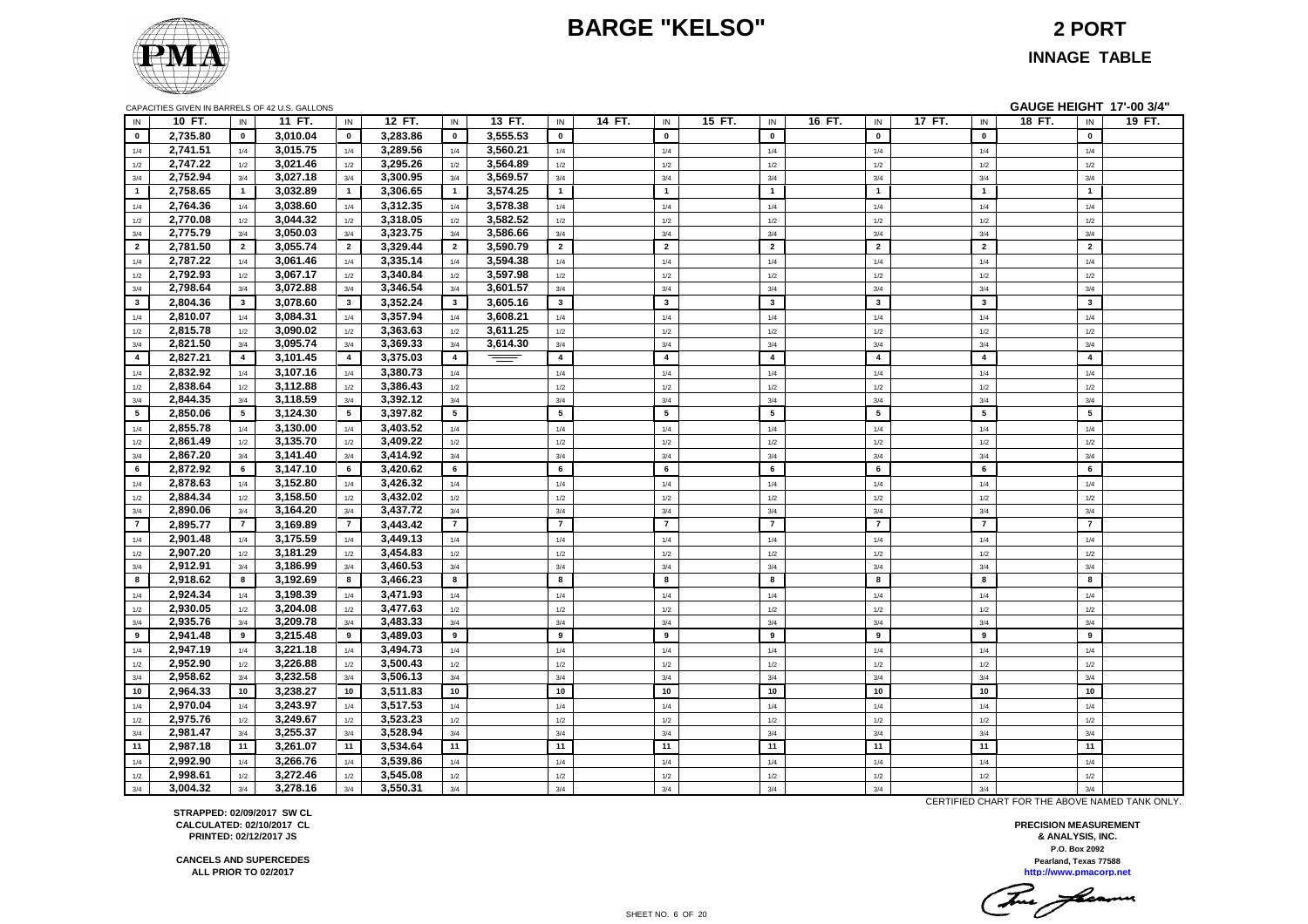# **BARGE "KELSO" 2 PORT**



**INNAGE TABLE**

| CAPACITIES GIVEN IN BARRELS OF 42 U.S. GALLONS |  |
|------------------------------------------------|--|
|                                                |  |

|          |                |          |                |                                                |                |          |                |        |                |        |                         |        |                         |        |                         | GAUGE HEIGHT 17'-00 3/4" |        |
|----------|----------------|----------|----------------|------------------------------------------------|----------------|----------|----------------|--------|----------------|--------|-------------------------|--------|-------------------------|--------|-------------------------|--------------------------|--------|
| 10 FT.   | IN             | 11 FT.   | IN             | 12 FT.                                         | IN             | 13 FT.   | IN             | 14 FT. | IN             | 15 FT. | IN                      | 16 FT. | IN                      | 17 FT. | IN                      | 18 FT.<br>IN             | 19 FT. |
| 2,735.80 | $\mathbf 0$    | 3,010.04 | $\mathbf 0$    | 3,283.86                                       | $\mathbf{0}$   | 3,555.53 | $\mathbf 0$    |        | $\mathbf 0$    |        | $\mathbf{0}$            |        | $\mathbf 0$             |        | $\pmb{0}$               | $\pmb{0}$                |        |
| 2,741.51 | 1/4            | 3,015.75 | 1/4            | 3,289.56                                       | 1/4            | 3,560.21 | $1/4$          |        | 1/4            |        | 1/4                     |        | 1/4                     |        | $1/4$                   | 1/4                      |        |
| 2,747.22 | 1/2            | 3,021.46 | 1/2            | 3,295.26                                       | 1/2            | 3,564.89 | 1/2            |        | 1/2            |        | 1/2                     |        | 1/2                     |        | 1/2                     | 1/2                      |        |
| 2,752.94 | 3/4            | 3,027.18 | 3/4            | 3,300.95                                       | 3/4            | 3,569.57 | 3/4            |        | 3/4            |        | 3/4                     |        | 3/4                     |        | 3/4                     | 3/4                      |        |
| 2,758.65 | $\overline{1}$ | 3,032.89 | $\overline{1}$ | 3,306.65                                       | $\overline{1}$ | 3,574.25 | $\mathbf{1}$   |        | $\overline{1}$ |        | $\overline{1}$          |        | $\mathbf{1}$            |        | $\mathbf{1}$            | $\overline{1}$           |        |
| 2,764.36 | 1/4            | 3,038.60 | 1/4            | 3,312.35                                       | 1/4            | 3,578.38 | 1/4            |        | 1/4            |        | 1/4                     |        | 1/4                     |        | 1/4                     | 1/4                      |        |
| 2,770.08 | 1/2            | 3,044.32 | 1/2            | 3,318.05                                       | 1/2            | 3,582.52 | 1/2            |        | 1/2            |        | 1/2                     |        | 1/2                     |        | $1/2$                   | $1/2$                    |        |
| 2,775.79 | 3/4            | 3,050.03 | 3/4            | 3,323.75                                       | 3/4            | 3,586.66 | 3/4            |        | 3/4            |        | 3/4                     |        | 3/4                     |        | 3/4                     | 3/4                      |        |
| 2,781.50 | $\overline{2}$ | 3,055.74 | $\overline{2}$ | 3,329.44                                       | $\overline{2}$ | 3,590.79 | $\overline{2}$ |        | $\overline{2}$ |        | $\overline{2}$          |        | $\overline{2}$          |        | $\overline{2}$          | $\overline{2}$           |        |
| 2,787.22 | 1/4            | 3,061.46 | 1/4            | 3,335.14                                       | 1/4            | 3,594.38 | 1/4            |        | 1/4            |        | 1/4                     |        | 1/4                     |        | 1/4                     | 1/4                      |        |
| 2,792.93 | 1/2            |          | 1/2            | 3,340.84                                       | 1/2            |          | 1/2            |        | 1/2            |        | 1/2                     |        | 1/2                     |        | 1/2                     |                          |        |
| 2,798.64 | 3/4            | 3,072.88 | 3/4            | 3,346.54                                       | 3/4            | 3,601.57 | 3/4            |        | 3/4            |        | 3/4                     |        | 3/4                     |        | 3/4                     | 3/4                      |        |
| 2,804.36 | 3              | 3,078.60 | $\mathbf{3}$   | 3,352.24                                       | $\mathbf{3}$   | 3,605.16 | $\mathbf{3}$   |        | $\mathbf{3}$   |        | $\overline{\mathbf{3}}$ |        | $\overline{\mathbf{3}}$ |        | $\mathbf{3}$            | $\overline{\mathbf{3}}$  |        |
| 2,810.07 | 1/4            | 3,084.31 | 1/4            | 3,357.94                                       | 1/4            | 3,608.21 | 1/4            |        | 1/4            |        | 1/4                     |        | 1/4                     |        | 1/4                     | 1/4                      |        |
| 2,815.78 | 1/2            | 3,090.02 | 1/2            | 3,363.63                                       | 1/2            | 3,611.25 | 1/2            |        | 1/2            |        | 1/2                     |        | 1/2                     |        | 1/2                     | 1/2                      |        |
| 2,821.50 | 3/4            | 3,095.74 | 3/4            | 3,369.33                                       | 3/4            | 3,614.30 | $3/4$          |        | 3/4            |        | 3/4                     |        | 3/4                     |        | 3/4                     | 3/4                      |        |
| 2,827.21 | $\overline{4}$ | 3,101.45 | $\overline{4}$ | 3,375.03                                       | $\overline{4}$ | $\equiv$ | $\overline{4}$ |        | $\overline{4}$ |        | $\overline{\mathbf{4}}$ |        | $\overline{\mathbf{4}}$ |        | $\overline{\mathbf{4}}$ | $\overline{\mathbf{4}}$  |        |
| 2,832.92 | 1/4            | 3,107.16 | 1/4            | 3,380.73                                       | 1/4            |          | 1/4            |        | 1/4            |        | 1/4                     |        | 1/4                     |        | 1/4                     | 1/4                      |        |
| 2,838.64 | 1/2            | 3,112.88 | 1/2            | 3,386.43                                       | 1/2            |          | 1/2            |        | 1/2            |        | 1/2                     |        | 1/2                     |        | 1/2                     | 1/2                      |        |
| 2,844.35 | 3/4            | 3,118.59 | 3/4            | 3,392.12                                       | 3/4            |          | 3/4            |        | 3/4            |        | 3/4                     |        | 3/4                     |        | 3/4                     | 3/4                      |        |
| 2.850.06 | 5              | 3,124.30 | 5              | 3.397.82                                       | 5              |          | 5              |        | 5              |        | $5\phantom{a}$          |        | 5                       |        | 5                       | 5                        |        |
| 2,855.78 | 1/4            | 3,130.00 | 1/4            | 3,403.52                                       | 1/4            |          | 1/4            |        | 1/4            |        | 1/4                     |        | 1/4                     |        | 1/4                     | 1/4                      |        |
| 2,861.49 | 1/2            | 3,135.70 | 1/2            | 3,409.22                                       | 1/2            |          | 1/2            |        | 1/2            |        | 1/2                     |        | 1/2                     |        | 1/2                     | 1/2                      |        |
| 2,867.20 | 3/4            | 3,141.40 | 3/4            | 3,414.92                                       | 3/4            |          | 3/4            |        | 3/4            |        | 3/4                     |        | 3/4                     |        | 3/4                     | 3/4                      |        |
| 2,872.92 | 6              | 3,147.10 | 6              | 3,420.62                                       | 6              |          | 6              |        | 6              |        | 6                       |        | 6                       |        | 6                       | 6                        |        |
| 2,878.63 | 1/4            | 3,152.80 | 1/4            | 3,426.32                                       | 1/4            |          | 1/4            |        | 1/4            |        | 1/4                     |        | 1/4                     |        | 1/4                     | 1/4                      |        |
| 2,884.34 | 1/2            | 3,158.50 | 1/2            | 3,432.02                                       | 1/2            |          | 1/2            |        | 1/2            |        | 1/2                     |        | 1/2                     |        | 1/2                     | 1/2                      |        |
| 2,890.06 | 3/4            | 3,164.20 | 3/4            | 3,437.72                                       | 3/4            |          | 3/4            |        | 3/4            |        | 3/4                     |        | 3/4                     |        | 3/4                     | 3/4                      |        |
| 2,895.77 | $\overline{7}$ | 3,169.89 | $\overline{7}$ | 3,443.42                                       | $\overline{7}$ |          | $\overline{7}$ |        | $\overline{7}$ |        | $\overline{7}$          |        | $\overline{7}$          |        | $\overline{7}$          | $\overline{7}$           |        |
| 2,901.48 | 1/4            | 3,175.59 | 1/4            | 3,449.13                                       | 1/4            |          | 1/4            |        | 1/4            |        | 1/4                     |        | 1/4                     |        | 1/4                     | 1/4                      |        |
| 2.907.20 | 1/2            | 3,181.29 | 1/2            | 3.454.83                                       | 1/2            |          | 1/2            |        | 1/2            |        | 1/2                     |        | 1/2                     |        | 1/2                     | 1/2                      |        |
| 2,912.91 | 3/4            | 3,186.99 | 3/4            | 3,460.53                                       | 3/4            |          | 3/4            |        | 3/4            |        | 3/4                     |        | 3/4                     |        | 3/4                     | 3/4                      |        |
| 2,918.62 | 8              | 3,192.69 | 8              | 3,466.23                                       | 8              |          | 8              |        | 8              |        | 8                       |        | 8                       |        | 8                       | 8                        |        |
| 2,924.34 | 1/4            | 3,198.39 | 1/4            | 3,471.93                                       | 1/4            |          | 1/4            |        | 1/4            |        | 1/4                     |        | 1/4                     |        | 1/4                     | 1/4                      |        |
| 2.930.05 | 1/2            | 3,204.08 | 1/2            | 3.477.63                                       | 1/2            |          | 1/2            |        | 1/2            |        | 1/2                     |        | 1/2                     |        | 1/2                     | 1/2                      |        |
| 2,935.76 | 3/4            | 3,209.78 | 3/4            | 3,483.33                                       | 3/4            |          | 3/4            |        | 3/4            |        | 3/4                     |        | 3/4                     |        | 3/4                     | 3/4                      |        |
| 2,941.48 | 9              | 3,215.48 | 9              | 3,489.03                                       | 9              |          | 9              |        | 9              |        | 9                       |        | 9                       |        | 9                       | 9                        |        |
| 2,947.19 | 1/4            | 3,221.18 | 1/4            | 3,494.73                                       | 1/4            |          | 1/4            |        | 1/4            |        | 1/4                     |        | 1/4                     |        | 1/4                     | 1/4                      |        |
| 2.952.90 | 1/2            | 3,226.88 | 1/2            | 3.500.43                                       | 1/2            |          | 1/2            |        | 1/2            |        | 1/2                     |        | 1/2                     |        | 1/2                     | 1/2                      |        |
| 2,958.62 | 3/4            | 3,232.58 | 3/4            | 3,506.13                                       | 3/4            |          | 3/4            |        | 3/4            |        | 3/4                     |        | 3/4                     |        | 3/4                     | 3/4                      |        |
| 2,964.33 | 10             | 3,238.27 | 10             | 3,511.83                                       | 10             |          | 10             |        | 10             |        | 10                      |        | 10                      |        | 10                      | 10                       |        |
| 2,970.04 | 1/4            | 3,243.97 | 1/4            | 3,517.53                                       | 1/4            |          | 1/4            |        | 1/4            |        | 1/4                     |        | 1/4                     |        | 1/4                     | 1/4                      |        |
| 2,975.76 | 1/2            | 3,249.67 | $1/2$          | 3,523.23                                       | 1/2            |          | 1/2            |        | 1/2            |        | 1/2                     |        | 1/2                     |        | $1/2$                   | 1/2                      |        |
| 2,981.47 | 3/4            | 3,255.37 | 3/4            | 3,528.94                                       | 3/4            |          | 3/4            |        | 3/4            |        | 3/4                     |        | 3/4                     |        | 3/4                     | 3/4                      |        |
| 2,987.18 | 11             | 3,261.07 | 11             | 3,534.64                                       | 11             |          | 11             |        | 11             |        | 11                      |        | 11                      |        | 11                      | 11                       |        |
| 2,992.90 | 1/4            | 3,266.76 | 1/4            | 3,539.86                                       | 1/4            |          | 1/4            |        | 1/4            |        | 1/4                     |        | 1/4                     |        | 1/4                     | 1/4                      |        |
| 2,998.61 | 1/2            | 3,272.46 | 1/2            | 3,545.08                                       | 1/2            |          | 1/2            |        | 1/2            |        | 1/2                     |        | 1/2                     |        | 1/2                     | 1/2                      |        |
| 3,004.32 | 3/4            | 3,278.16 | 3/4            | 3,550.31                                       | 3/4            |          | 3/4            |        | 3/4            |        | 3/4                     |        | 3/4                     |        | 3/4                     | 3/4                      |        |
|          |                |          | 3,067.17       | CAPACITIES GIVEN IN BARRELS OF 42 U.S. GALLONS |                |          | 3,597.98       |        |                |        |                         |        |                         |        |                         |                          | $1/2$  |

CERTIFIED CHART FOR THE ABOVE NAMED TANK ONLY.

**P.O. Box 2092 PRECISION MEASUREMENT & ANALYSIS, INC. http://www.pmacorp.net Pearland, Texas 77588**

True farmer

**STRAPPED: 02/09/2017 SW CL CALCULATED: 02/10/2017 CL PRINTED: 02/12/2017 JS**

**CANCELS AND SUPERCEDES ALL PRIOR TO 02/2017**

SHEET NO. 6 OF 20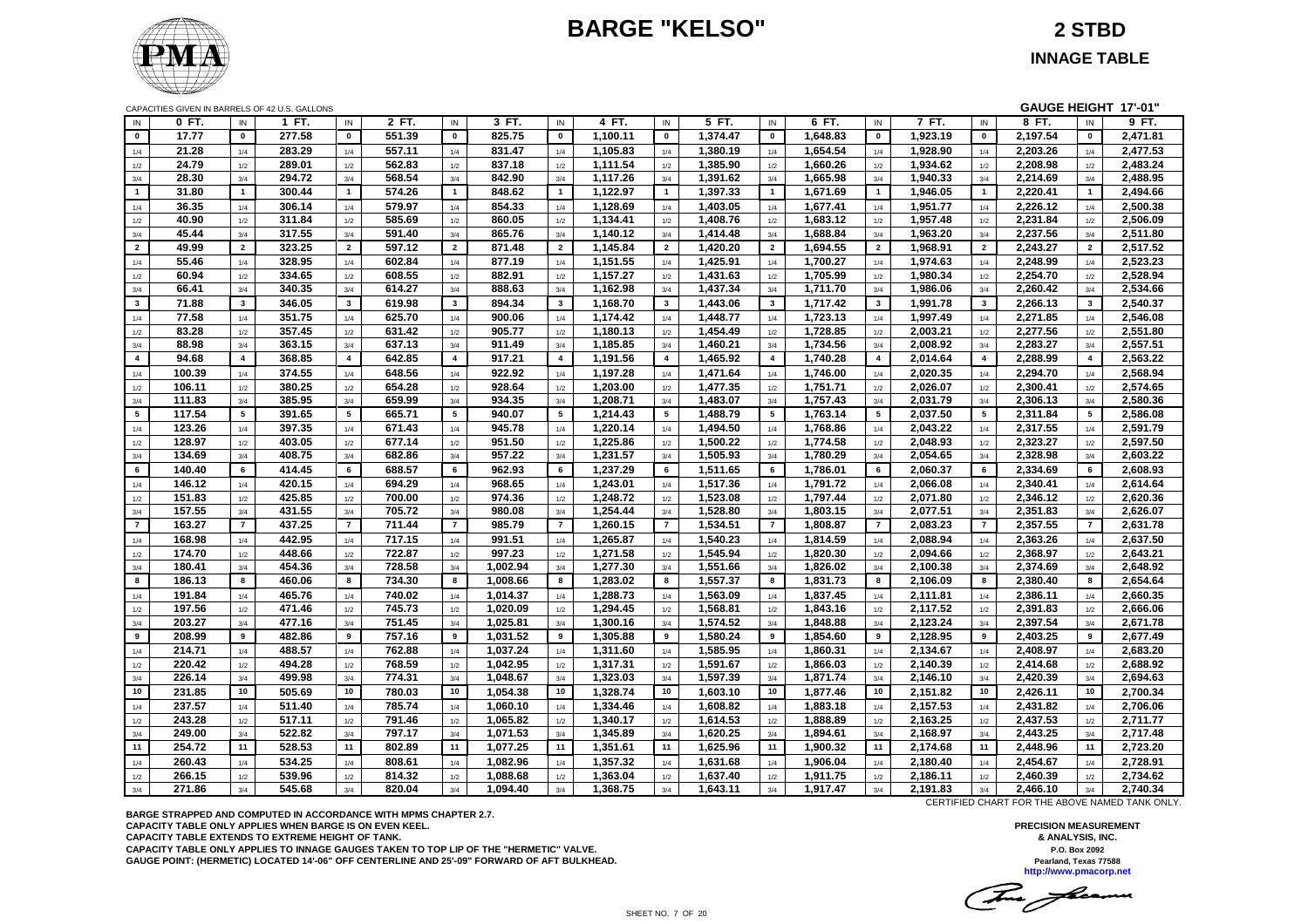# **BARGE "KELSO" 2 STBD**



**INNAGE TABLE**

|                         |        |                 | CAPACITIES GIVEN IN BARRELS OF 42 U.S. GALLONS |                 |        |                |          |                         |                      |                         |                      |                |                      |                         |                      |                | GAUGE HEIGHT 17'-01" |                |                      |
|-------------------------|--------|-----------------|------------------------------------------------|-----------------|--------|----------------|----------|-------------------------|----------------------|-------------------------|----------------------|----------------|----------------------|-------------------------|----------------------|----------------|----------------------|----------------|----------------------|
| IN                      | 0 FT.  | IN              | 1 FT.                                          | IN              | 2 FT.  | IN             | 3 FT.    | IN                      | 4 FT.                | IN                      | 5 FT.                | IN             | 6 FT.                | IN                      | 7 FT.                | IN             | 8 FT.                | IN             | 9 FT.                |
| $\mathbf 0$             | 17.77  | $\mathbf 0$     | 277.58                                         | $\mathbf 0$     | 551.39 | $\mathbf 0$    | 825.75   | $\pmb{0}$               | 1,100.11             | $\pmb{0}$               | 1,374.47             | $\pmb{0}$      | 1,648.83             | $\pmb{0}$               | 1,923.19             | $\mathbf 0$    | 2,197.54             | $\mathbf 0$    | 2,471.81             |
| 1/4                     | 21.28  | 1/4             | 283.29                                         | 1/4             | 557.11 | 1/4            | 831.47   | 1/4                     | 1,105.83             | 1/4                     | 1,380.19             | 1/4            | 1,654.54             | 1/4                     | 1,928.90             | 1/4            | 2,203.26             | 1/4            | 2,477.53             |
| 1/2                     | 24.79  | 1/2             | 289.01                                         | 1/2             | 562.83 | 1/2            | 837.18   | 1/2                     | 1,111.54             | 1/2                     | 1,385.90             | 1/2            | 1,660.26             | $1/2$                   | 1,934.62             | 1/2            | 2,208.98             | 1/2            | 2,483.24             |
| 3/4                     | 28.30  | 3/4             | 294.72                                         | 3/4             | 568.54 | 3/4            | 842.90   | 3/4                     | 1,117.26             | 3/4                     | 1,391.62             | 3/4            | 1,665.98             | 3/4                     | 1,940.33             | 3/4            | 2,214.69             | 3/4            | 2,488.95             |
| $\overline{1}$          | 31.80  | $\overline{1}$  | 300.44                                         | $\overline{1}$  | 574.26 | $\mathbf{1}$   | 848.62   | $\overline{1}$          | 1,122.97             | $\overline{1}$          | 1,397.33             | $\mathbf{1}$   | 1,671.69             | $\mathbf{1}$            | 1,946.05             | $\overline{1}$ | 2,220.41             | $\overline{1}$ | 2,494.66             |
| 1/4                     | 36.35  | 1/4             | 306.14                                         | 1/4             | 579.97 | 1/4            | 854.33   | 1/4                     | 1,128.69             | 1/4                     | 1,403.05             | 1/4            | 1,677.41             | 1/4                     | 1,951.77             | 1/4            | 2,226.12             | 1/4            | 2,500.38             |
| $1/2\,$                 | 40.90  | 1/2             | 311.84                                         | 1/2             | 585.69 | 1/2            | 860.05   | 1/2                     | 1,134.41             | 1/2                     | 1,408.76             | 1/2            | 1,683.12             | 1/2                     | 1,957.48             | 1/2            | 2,231.84             | 1/2            | 2,506.09             |
| 3/4                     | 45.44  | 3/4             | 317.55                                         | 3/4             | 591.40 | 3/4            | 865.76   | 3/4                     | 1,140.12             | 3/4                     | 1,414.48             | 3/4            | 1,688.84             | 3/4                     | 1,963.20             | 3/4            | 2,237.56             | 3/4            | 2,511.80             |
| $\overline{2}$          | 49.99  | $\overline{2}$  | 323.25                                         | $\overline{2}$  | 597.12 | $\overline{2}$ | 871.48   | $\overline{2}$          | 1,145.84             | $\overline{2}$          | 1,420.20             | $\overline{2}$ | 1,694.55             | $\overline{2}$          | 1,968.91             | $\overline{2}$ | 2,243.27             | $\overline{2}$ | 2,517.52             |
|                         | 55.46  |                 | 328.95                                         |                 | 602.84 |                | 877.19   |                         |                      |                         | 1,425.91             |                | 1,700.27             |                         |                      |                | 2,248.99             |                | 2,523.23             |
| 1/4                     |        | 1/4             |                                                | 1/4             |        | 1/4            |          | 1/4                     | 1,151.55             | 1/4                     |                      | 1/4            |                      | 1/4                     | 1,974.63             | 1/4            |                      | 1/4            |                      |
| $1/2\,$                 | 60.94  | 1/2             | 334.65                                         | 1/2             | 608.55 | 1/2            | 882.91   | 1/2                     | 1,157.27             | 1/2                     | 1,431.63             | 1/2            | 1,705.99             | 1/2                     | 1,980.34             | 1/2            | 2,254.70             | 1/2            | 2,528.94             |
| 3/4                     | 66.41  | 3/4             | 340.35                                         | 3/4             | 614.27 | 3/4            | 888.63   | 3/4                     | 1,162.98             | 3/4                     | 1,437.34             | 3/4            | 1,711.70             | 3/4                     | 1,986.06             | 3/4            | 2,260.42             | 3/4            | 2,534.66             |
| $\mathbf{3}$            | 71.88  | $\mathbf{3}$    | 346.05                                         | $\mathbf{3}$    | 619.98 | $\mathbf{3}$   | 894.34   | $\mathbf{3}$            | 1,168.70             | $\mathbf{3}$            | 1,443.06             | $\mathbf{3}$   | 1,717.42             | $\mathbf{3}$            | 1,991.78             | $\mathbf{3}$   | 2,266.13             | $\mathbf{3}$   | 2,540.37             |
| 1/4                     | 77.58  | 1/4             | 351.75                                         | 1/4             | 625.70 | 1/4            | 900.06   | 1/4                     | 1,174.42             | 1/4                     | 1,448.77             | 1/4            | 1,723.13             | 1/4                     | 1,997.49             | 1/4            | 2,271.85             | 1/4            | 2,546.08             |
| 1/2                     | 83.28  | 1/2             | 357.45                                         | 1/2             | 631.42 | 1/2            | 905.77   | 1/2                     | 1,180.13             | 1/2                     | 1,454.49             | 1/2            | 1,728.85             | 1/2                     | 2,003.21             | 1/2            | 2,277.56             | 1/2            | 2,551.80             |
| 3/4                     | 88.98  | 3/4             | 363.15                                         | 3/4             | 637.13 | 3/4            | 911.49   | 3/4                     | 1,185.85             | 3/4                     | 1,460.21             | 3/4            | 1,734.56             | 3/4                     | 2,008.92             | 3/4            | 2,283.27             | 3/4            | 2,557.51             |
| $\overline{\mathbf{4}}$ | 94.68  | $\overline{4}$  | 368.85                                         | $\overline{4}$  | 642.85 | $\overline{4}$ | 917.21   | $\overline{\mathbf{4}}$ | 1,191.56             | $\overline{\mathbf{4}}$ | 1,465.92             | $\overline{4}$ | 1,740.28             | $\overline{\mathbf{4}}$ | 2,014.64             | $\overline{4}$ | 2,288.99             | $\overline{4}$ | 2,563.22             |
| 1/4                     | 100.39 | 1/4             | 374.55                                         | 1/4             | 648.56 | 1/4            | 922.92   | 1/4                     | 1,197.28             | 1/4                     | 1,471.64             | 1/4            | 1,746.00             | 1/4                     | 2,020.35             | 1/4            | 2,294.70             | 1/4            | 2,568.94             |
| 1/2                     | 106.11 | 1/2             | 380.25                                         | 1/2             | 654.28 | 1/2            | 928.64   | 1/2                     | 1,203.00             | 1/2                     | 1,477.35             | 1/2            | 1,751.71             | 1/2                     | 2,026.07             | 1/2            | 2,300.41             | 1/2            | 2,574.65             |
| 3/4                     | 111.83 | 3/4             | 385.95                                         | 3/4             | 659.99 | 3/4            | 934.35   | 3/4                     | 1,208.71             | 3/4                     | 1,483.07             | 3/4            | 1,757.43             | 3/4                     | 2,031.79             | 3/4            | 2,306.13             | 3/4            | 2,580.36             |
| 5                       | 117.54 | $5\phantom{.0}$ | 391.65                                         | $5\phantom{.0}$ | 665.71 | 5              | 940.07   | 5                       | 1,214.43             | 5                       | 1,488.79             | 5              | 1,763.14             | 5                       | 2,037.50             | 5              | 2,311.84             | 5              | 2,586.08             |
| 1/4                     | 123.26 | 1/4             | 397.35                                         | 1/4             | 671.43 | 1/4            | 945.78   | 1/4                     | 1,220.14             | 1/4                     | 1,494.50             | 1/4            | 1,768.86             | 1/4                     | 2,043.22             | 1/4            | 2,317.55             | 1/4            | 2,591.79             |
| 1/2                     | 128.97 | 1/2             | 403.05                                         | 1/2             | 677.14 | 1/2            | 951.50   | 1/2                     | 1,225.86             | 1/2                     | 1,500.22             | 1/2            | 1,774.58             | $1/2$                   | 2,048.93             | 1/2            | 2,323.27             | 1/2            | 2,597.50             |
| 3/4                     | 134.69 | 3/4             | 408.75                                         | 3/4             | 682.86 | 3/4            | 957.22   | 3/4                     | 1,231.57             | 3/4                     | 1,505.93             | 3/4            | 1,780.29             | 3/4                     | 2,054.65             | 3/4            | 2,328.98             | 3/4            | 2,603.22             |
| 6                       | 140.40 | 6               | 414.45                                         | 6               | 688.57 | 6              | 962.93   | 6                       | 1,237.29             | 6                       | 1,511.65             | 6              | 1,786.01             | 6                       | 2,060.37             | 6              | 2,334.69             | 6              | 2,608.93             |
| 1/4                     | 146.12 | 1/4             | 420.15                                         | 1/4             | 694.29 | 1/4            | 968.65   | 1/4                     | 1,243.01             | 1/4                     | 1,517.36             | 1/4            | 1,791.72             | 1/4                     | 2,066.08             | 1/4            | 2,340.41             | 1/4            | 2,614.64             |
| 1/2                     | 151.83 | 1/2             | 425.85                                         | 1/2             | 700.00 | 1/2            | 974.36   | 1/2                     | 1,248.72             | 1/2                     | 1,523.08             | 1/2            | 1,797.44             | 1/2                     | 2,071.80             | 1/2            | 2,346.12             | 1/2            | 2,620.36             |
| 3/4                     | 157.55 | 3/4             | 431.55                                         | $3/4$           | 705.72 | 3/4            | 980.08   | 3/4                     | 1,254.44             | 3/4                     | 1,528.80             | 3/4            | 1,803.15             | 3/4                     | 2,077.51             | 3/4            | 2,351.83             | 3/4            | 2,626.07             |
| $\overline{7}$          | 163.27 | $\overline{7}$  | 437.25                                         | $\overline{7}$  | 711.44 | $\overline{7}$ | 985.79   | $\overline{7}$          | 1.260.15             | $\overline{7}$          | 1,534.51             | $\overline{7}$ | 1,808.87             | $\overline{7}$          | 2.083.23             | $\overline{7}$ | 2,357.55             | $\overline{7}$ | 2,631.78             |
| 1/4                     | 168.98 | 1/4             | 442.95                                         | 1/4             | 717.15 | 1/4            | 991.51   | 1/4                     | 1,265.87             | 1/4                     | 1,540.23             | 1/4            | 1,814.59             | 1/4                     | 2,088.94             | 1/4            | 2,363.26             | 1/4            | 2,637.50             |
| 1/2                     | 174.70 | 1/2             | 448.66                                         | 1/2             | 722.87 | 1/2            | 997.23   | 1/2                     | 1,271.58             | 1/2                     | 1,545.94             | 1/2            | 1,820.30             | 1/2                     | 2,094.66             | 1/2            | 2,368.97             | 1/2            | 2,643.21             |
| 3/4                     | 180.41 | 3/4             | 454.36                                         | 3/4             | 728.58 | 3/4            | 1,002.94 | 3/4                     | 1,277.30             | 3/4                     | 1,551.66             | 3/4            | 1,826.02             | 3/4                     | 2,100.38             | 3/4            | 2,374.69             | 3/4            | 2,648.92             |
| 8                       | 186.13 | 8               | 460.06                                         | 8               | 734.30 | 8              | 1,008.66 | 8                       | 1,283.02             | 8                       | 1,557.37             | 8              | 1,831.73             | 8                       | 2,106.09             | 8              | 2,380.40             | 8              | 2,654.64             |
| 1/4                     | 191.84 | 1/4             | 465.76                                         | 1/4             | 740.02 | 1/4            | 1,014.37 | 1/4                     | 1,288.73             | 1/4                     | 1,563.09             | 1/4            | 1,837.45             | 1/4                     | 2,111.81             | 1/4            | 2,386.11             | 1/4            | 2,660.35             |
| $1/2$                   | 197.56 | 1/2             | 471.46                                         | 1/2             | 745.73 | 1/2            | 1,020.09 | 1/2                     | 1,294.45             | 1/2                     | 1,568.81             | 1/2            | 1,843.16             | 1/2                     | 2,117.52             | 1/2            | 2,391.83             | 1/2            | 2,666.06             |
| 3/4                     | 203.27 | 3/4             | 477.16                                         | 3/4             | 751.45 | 3/4            | 1,025.81 | 3/4                     | 1,300.16             | 3/4                     | 1,574.52             | 3/4            | 1,848.88             | 3/4                     | 2,123.24             | 3/4            | 2,397.54             | 3/4            | 2,671.78             |
| 9                       | 208.99 | 9               | 482.86                                         | 9               | 757.16 | 9              | 1,031.52 | 9                       | 1,305.88             | 9                       | 1,580.24             | 9              | 1,854.60             | 9                       | 2,128.95             | 9              | 2,403.25             | 9              | 2,677.49             |
|                         | 214.71 |                 | 488.57                                         |                 | 762.88 |                | 1,037.24 |                         |                      |                         |                      |                |                      |                         |                      |                |                      |                |                      |
| 1/4                     | 220.42 | 1/4             | 494.28                                         | 1/4             | 768.59 | 1/4            | 1.042.95 | 1/4                     | 1,311.60<br>1.317.31 | 1/4                     | 1,585.95<br>1.591.67 | 1/4            | 1,860.31<br>1.866.03 | 1/4                     | 2,134.67             | 1/4            | 2,408.97<br>2.414.68 | 1/4            | 2,683.20<br>2.688.92 |
| 1/2                     | 226.14 | 1/2             | 499.98                                         | 1/2             | 774.31 | 1/2<br>3/4     | 1,048.67 | 1/2<br>3/4              | 1,323.03             | 1/2                     | 1,597.39             | 1/2<br>3/4     | 1,871.74             | 1/2                     | 2,140.39<br>2,146.10 | 1/2<br>3/4     | 2,420.39             | 1/2            |                      |
| 3/4                     |        | 3/4             |                                                | 3/4             |        |                |          |                         |                      | 3/4                     |                      |                |                      | 3/4                     |                      |                |                      | 3/4            | 2,694.63             |
| 10                      | 231.85 | 10              | 505.69                                         | 10              | 780.03 | 10             | 1,054.38 | 10                      | 1,328.74             | 10                      | 1,603.10             | 10             | 1,877.46             | 10                      | 2,151.82             | 10             | 2,426.11             | 10             | 2,700.34             |
| 1/4                     | 237.57 | 1/4             | 511.40                                         | 1/4             | 785.74 | 1/4            | 1,060.10 | 1/4                     | 1,334.46             | 1/4                     | 1,608.82             | 1/4            | 1,883.18             | 1/4                     | 2,157.53             | 1/4            | 2,431.82             | 1/4            | 2,706.06             |
| 1/2                     | 243.28 | 1/2             | 517.11                                         | 1/2             | 791.46 | 1/2            | 1,065.82 | 1/2                     | 1,340.17             | 1/2                     | 1,614.53             | 1/2            | 1,888.89             | 1/2                     | 2,163.25             | 1/2            | 2,437.53             | 1/2            | 2,711.77             |
| 3/4                     | 249.00 | 3/4             | 522.82                                         | 3/4             | 797.17 | 3/4            | 1,071.53 | 3/4                     | 1,345.89             | 3/4                     | 1,620.25             | 3/4            | 1,894.61             | 3/4                     | 2,168.97             | 3/4            | 2,443.25             | 3/4            | 2,717.48             |
| 11                      | 254.72 | 11              | 528.53                                         | 11              | 802.89 | 11             | 1,077.25 | 11                      | 1,351.61             | 11                      | 1,625.96             | 11             | 1,900.32             | 11                      | 2,174.68             | 11             | 2,448.96             | 11             | 2,723.20             |
| 1/4                     | 260.43 | 1/4             | 534.25                                         | 1/4             | 808.61 | 1/4            | 1,082.96 | 1/4                     | 1,357.32             | 1/4                     | 1,631.68             | 1/4            | 1,906.04             | 1/4                     | 2,180.40             | 1/4            | 2,454.67             | 1/4            | 2,728.91             |
| 1/2                     | 266.15 | 1/2             | 539.96                                         | 1/2             | 814.32 | 1/2            | 1,088.68 | 1/2                     | 1,363.04             | 1/2                     | 1,637.40             | 1/2            | 1,911.75             | 1/2                     | 2,186.11             | 1/2            | 2,460.39             | 1/2            | 2,734.62             |
| 3/4                     | 271.86 | 3/4             | 545.68                                         | 3/4             | 820.04 | 3/4            | 1,094.40 | 3/4                     | 1,368.75             | 3/4                     | 1,643.11             | 3/4            | 1,917.47             | 3/4                     | 2,191.83             | 3/4            | 2,466.10             | 3/4            | 2,740.34             |

**BARGE STRAPPED AND COMPUTED IN ACCORDANCE WITH MPMS CHAPTER 2.7. CAPACITY TABLE ONLY APPLIES WHEN BARGE IS ON EVEN KEEL. CAPACITY TABLE EXTENDS TO EXTREME HEIGHT OF TANK. CAPACITY TABLE ONLY APPLIES TO INNAGE GAUGES TAKEN TO TOP LIP OF THE "HERMETIC" VALVE. GAUGE POINT: (HERMETIC) LOCATED 14'-06" OFF CENTERLINE AND 25'-09" FORWARD OF AFT BULKHEAD.** CERTIFIED CHART FOR THE ABOVE NAMED TANK ONLY.

The fame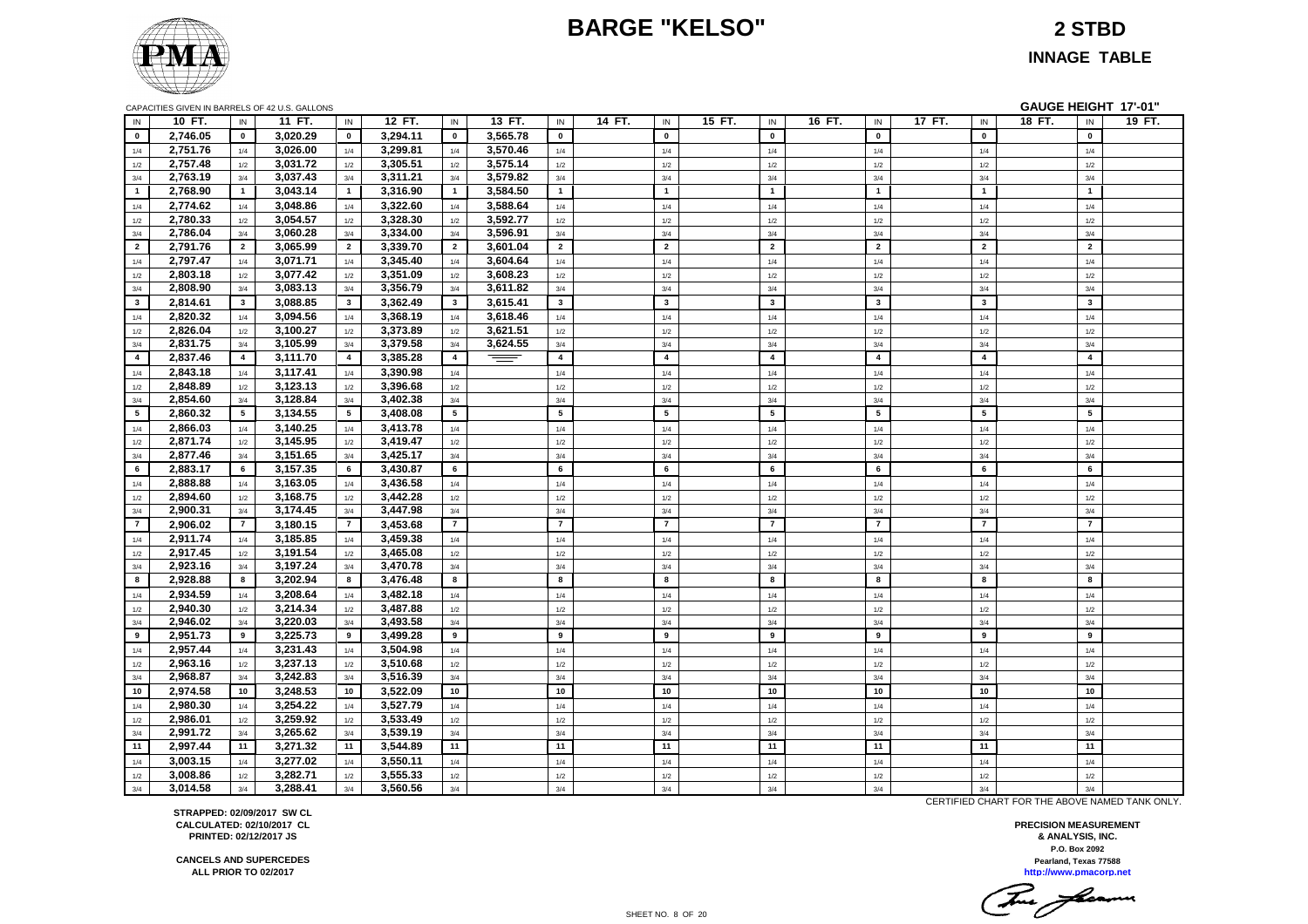# **BARGE "KELSO" 2 STBD**



**INNAGE TABLE**

|                 |                      |                | CAPACITIES GIVEN IN BARRELS OF 42 U.S. GALLONS |                 |                      |                |          |                |        |                 |        |                 |        |                |        |                         |        |                | GAUGE HEIGHT 17'-01" |
|-----------------|----------------------|----------------|------------------------------------------------|-----------------|----------------------|----------------|----------|----------------|--------|-----------------|--------|-----------------|--------|----------------|--------|-------------------------|--------|----------------|----------------------|
| IN              | 10 FT.               | ${\sf IN}$     | 11 FT.                                         | IN              | 12 FT.               | $\sf IN$       | 13 FT.   | IN             | 14 FT. | $\sf IN$        | 15 FT. | IN              | 16 FT. | $\sf IN$       | 17 FT. | $\sf IN$                | 18 FT. | $\sf IN$       | 19 FT.               |
| $\mathbf{0}$    | 2,746.05             | $\mathbf{0}$   | 3,020.29                                       | $\mathbf{0}$    | 3,294.11             | $\mathbf 0$    | 3,565.78 | $\mathbf{0}$   |        | $\pmb{0}$       |        | $\mathbf 0$     |        | $\mathbf{0}$   |        | $\mathbf{0}$            |        | $\mathbf 0$    |                      |
| 1/4             | 2,751.76             | 1/4            | 3,026.00                                       | 1/4             | 3,299.81             | 1/4            | 3,570.46 | 1/4            |        | 1/4             |        | 1/4             |        | 1/4            |        | 1/4                     |        | 1/4            |                      |
| 1/2             | 2,757.48             | 1/2            | 3,031.72                                       | 1/2             | 3,305.51             | 1/2            | 3,575.14 | 1/2            |        | 1/2             |        | 1/2             |        | 1/2            |        | 1/2                     |        | 1/2            |                      |
| 3/4             | 2,763.19             | 3/4            | 3,037.43                                       | 3/4             | 3,311.21             | 3/4            | 3,579.82 | 3/4            |        | 3/4             |        | 3/4             |        | 3/4            |        | 3/4                     |        | 3/4            |                      |
| $\mathbf{1}$    | 2,768.90             | $\mathbf{1}$   | 3,043.14                                       | $\mathbf{1}$    | 3,316.90             | $\overline{1}$ | 3,584.50 | $\mathbf{1}$   |        | $\overline{1}$  |        | $\overline{1}$  |        | $\overline{1}$ |        | $\mathbf{1}$            |        | $\mathbf{1}$   |                      |
| 1/4             | 2,774.62             | 1/4            | 3,048.86                                       | 1/4             | 3,322.60             | 1/4            | 3,588.64 | 1/4            |        | 1/4             |        | 1/4             |        | 1/4            |        | 1/4                     |        | 1/4            |                      |
| 1/2             | 2,780.33             | 1/2            | 3,054.57                                       | 1/2             | 3,328.30             | 1/2            | 3,592.77 | 1/2            |        | $1/2\,$         |        | $1/2$           |        | 1/2            |        | 1/2                     |        | $1/2$          |                      |
| 3/4             | 2,786.04             | 3/4            | 3,060.28                                       | 3/4             | 3,334.00             | $3/4$          | 3,596.91 | $3/4$          |        | 3/4             |        | 3/4             |        | 3/4            |        | 3/4                     |        | 3/4            |                      |
| $\overline{2}$  | 2,791.76             | $\overline{2}$ | 3,065.99                                       | $\overline{2}$  | 3,339.70             | $\overline{2}$ | 3,601.04 | $\overline{2}$ |        | $\overline{2}$  |        | $\overline{2}$  |        | $\overline{2}$ |        | $\overline{2}$          |        | $\overline{2}$ |                      |
| 1/4             | 2,797.47             | 1/4            | 3,071.71                                       | 1/4             | 3,345.40             | 1/4            | 3,604.64 | 1/4            |        | 1/4             |        | 1/4             |        | 1/4            |        | 1/4                     |        | 1/4            |                      |
| 1/2             | 2,803.18             | 1/2            | 3,077.42                                       | 1/2             | 3,351.09             | 1/2            | 3,608.23 | 1/2            |        | $1/2\,$         |        | 1/2             |        | 1/2            |        | 1/2                     |        | $1/2$          |                      |
| 3/4             | 2,808.90             | 3/4            | 3,083.13                                       | 3/4             | 3,356.79             | 3/4            | 3,611.82 | 3/4            |        | 3/4             |        | 3/4             |        | 3/4            |        | 3/4                     |        | 3/4            |                      |
| $\mathbf{3}$    | 2,814.61             | $\mathbf{3}$   | 3,088.85                                       | $3^{\circ}$     | 3,362.49             | 3              | 3,615.41 | $\mathbf{3}$   |        | $\mathbf{3}$    |        | $\mathbf{3}$    |        | $\mathbf{3}$   |        | $\overline{\mathbf{3}}$ |        | $\mathbf{3}$   |                      |
| 1/4             | 2,820.32             | 1/4            | 3,094.56                                       | 1/4             | 3,368.19             | 1/4            | 3,618.46 | 1/4            |        | $1/4$           |        | 1/4             |        | $1/4$          |        | $1/4$                   |        | $1/4$          |                      |
| 1/2             | 2,826.04             | 1/2            | 3,100.27                                       | 1/2             | 3,373.89             | 1/2            | 3,621.51 | 1/2            |        | 1/2             |        | 1/2             |        | 1/2            |        | 1/2                     |        | 1/2            |                      |
| 3/4             | 2,831.75             | 3/4            | 3,105.99                                       | 3/4             | 3,379.58             | 3/4            | 3,624.55 | 3/4            |        | 3/4             |        | 3/4             |        | 3/4            |        | 3/4                     |        | 3/4            |                      |
| $\overline{4}$  | 2,837.46             | $\overline{4}$ | 3,111.70                                       | $\overline{4}$  | 3,385.28             | $\overline{4}$ | ═        | $\overline{4}$ |        | $\overline{4}$  |        | $\overline{4}$  |        | $\overline{4}$ |        | $\overline{4}$          |        | $\overline{4}$ |                      |
| 1/4             | 2,843.18             | 1/4            | 3,117.41                                       | 1/4             | 3,390.98             | 1/4            |          | 1/4            |        | 1/4             |        | 1/4             |        | 1/4            |        | 1/4                     |        | 1/4            |                      |
| 1/2             | 2,848.89             | 1/2            | 3,123.13                                       | 1/2             | 3,396.68             | 1/2            |          | 1/2            |        | 1/2             |        | 1/2             |        | 1/2            |        | 1/2                     |        | 1/2            |                      |
| 3/4             | 2,854.60             | 3/4            | 3,128.84                                       | 3/4             | 3,402.38             | 3/4            |          | 3/4            |        | 3/4             |        | 3/4             |        | 3/4            |        | 3/4                     |        | 3/4            |                      |
| $5\overline{5}$ | 2,860.32             | 5              | 3,134.55                                       | $5\phantom{.0}$ | 3,408.08             | 5              |          | 5              |        | $5\phantom{.0}$ |        | $5\phantom{.0}$ |        | 5              |        | 5                       |        | $5\phantom{a}$ |                      |
| 1/4             | 2,866.03             | 1/4            | 3,140.25                                       | 1/4             | 3,413.78             | 1/4            |          | 1/4            |        | 1/4             |        | 1/4             |        | 1/4            |        | 1/4                     |        | 1/4            |                      |
| 1/2             | 2,871.74             | 1/2            | 3,145.95                                       | 1/2             | 3,419.47             | 1/2            |          | 1/2            |        | 1/2             |        | 1/2             |        | 1/2            |        | 1/2                     |        | 1/2            |                      |
| 3/4             | 2,877.46             | 3/4            | 3,151.65                                       | 3/4             | 3,425.17             | 3/4            |          | 3/4            |        | 3/4             |        | 3/4             |        | 3/4            |        | 3/4                     |        | 3/4            |                      |
| 6               | 2,883.17             | 6              | 3,157.35                                       | 6               | 3,430.87             | 6              |          | 6              |        | 6               |        | 6               |        | 6              |        | 6                       |        | 6              |                      |
| 1/4             | 2,888.88             | 1/4            | 3,163.05                                       | 1/4             | 3,436.58             | 1/4            |          | $1/4\,$        |        | $1/4$           |        | 1/4             |        | $1/4$          |        | 1/4                     |        | $1/4$          |                      |
| 1/2             | 2,894.60             | 1/2            | 3,168.75                                       | 1/2             | 3,442.28             | 1/2            |          | 1/2            |        | $1/2\,$         |        | 1/2             |        | 1/2            |        | 1/2                     |        | $1/2$          |                      |
| 3/4             | 2,900.31             | 3/4            | 3,174.45                                       | 3/4             | 3,447.98             | 3/4            |          | 3/4            |        | 3/4             |        | 3/4             |        | 3/4            |        | 3/4                     |        | 3/4            |                      |
| $\overline{7}$  | 2,906.02             | $\overline{7}$ | 3,180.15                                       | $\overline{7}$  | 3,453.68             | $\overline{7}$ |          | $\overline{7}$ |        | $\overline{7}$  |        | $\overline{7}$  |        | $\overline{7}$ |        | $\overline{7}$          |        | $\overline{7}$ |                      |
| 1/4             | 2,911.74             | 1/4            | 3,185.85                                       | 1/4             | 3,459.38             | 1/4            |          | 1/4            |        | $1/4$           |        | 1/4             |        | 1/4            |        | 1/4                     |        | $1/4$          |                      |
| 1/2             | 2,917.45             | 1/2            | 3,191.54                                       | 1/2             | 3,465.08             | 1/2            |          | 1/2            |        | $1/2\,$         |        | 1/2             |        | 1/2            |        | 1/2                     |        | $1/2$          |                      |
| 3/4             | 2,923.16             | 3/4            | 3,197.24                                       | 3/4             | 3,470.78             | 3/4            |          | 3/4            |        | 3/4             |        | 3/4             |        | 3/4            |        | 3/4                     |        | 3/4            |                      |
| 8               | 2,928.88             | 8              | 3.202.94                                       | 8               | 3.476.48             | 8              |          | 8              |        | 8               |        | 8               |        | 8              |        | 8                       |        | 8              |                      |
| 1/4             | 2,934.59             | 1/4            | 3,208.64                                       | 1/4             | 3,482.18             | 1/4            |          | 1/4            |        | 1/4             |        | 1/4             |        | 1/4            |        | 1/4                     |        | 1/4            |                      |
| 1/2             | 2,940.30             | 1/2            | 3,214.34                                       | 1/2             | 3,487.88             | 1/2            |          | 1/2            |        | 1/2             |        | 1/2             |        | 1/2            |        | 1/2                     |        | 1/2            |                      |
| 3/4             | 2,946.02             | 3/4            | 3,220.03                                       | 3/4             | 3,493.58             | 3/4            |          | 3/4            |        | 3/4             |        | 3/4             |        | 3/4            |        | 3/4                     |        | 3/4            |                      |
| 9               | 2,951.73             | 9              | 3,225.73                                       | 9               | 3,499.28             | 9              |          | 9              |        | 9               |        | 9               |        | 9              |        | 9                       |        | 9              |                      |
| 1/4             | 2,957.44             | 1/4            | 3,231.43                                       | 1/4             | 3,504.98             | 1/4            |          | 1/4            |        | 1/4             |        | 1/4             |        | 1/4            |        | 1/4                     |        | 1/4            |                      |
| 1/2             | 2,963.16             | 1/2            | 3,237.13                                       | 1/2             | 3,510.68             | 1/2            |          | 1/2            |        | 1/2             |        | 1/2             |        | 1/2            |        | 1/2                     |        | 1/2            |                      |
| 3/4             | 2,968.87             | 3/4            | 3,242.83                                       | 3/4             | 3,516.39             | 3/4            |          | 3/4            |        | 3/4             |        | 3/4             |        | 3/4            |        | 3/4                     |        | 3/4            |                      |
| 10              | 2,974.58             | 10             | 3,248.53                                       | 10              | 3,522.09             | 10             |          | 10             |        | 10              |        | 10              |        | 10             |        | $10\,$                  |        | 10             |                      |
| 1/4             | 2,980.30             | 1/4            | 3,254.22                                       | 1/4             | 3,527.79             | 1/4            |          | 1/4            |        | 1/4             |        | 1/4             |        | 1/4            |        | 1/4                     |        | 1/4            |                      |
| 1/2             | 2,986.01             | 1/2            | 3,259.92                                       | 1/2             | 3,533.49             | 1/2            |          | 1/2            |        | 1/2             |        | 1/2             |        | 1/2            |        | 1/2                     |        | 1/2            |                      |
| 3/4             | 2,991.72             | 3/4            | 3,265.62                                       | 3/4             | 3,539.19             | 3/4            |          | 3/4<br>11      |        | 3/4<br>11       |        | 3/4<br>11       |        | 3/4            |        | 3/4                     |        | 3/4<br>11      |                      |
| 11              | 2,997.44             | 11             | 3,271.32                                       | 11              | 3,544.89             | 11             |          |                |        |                 |        |                 |        | 11             |        | 11                      |        |                |                      |
| 1/4             | 3,003.15             | 1/4            | 3,277.02                                       | 1/4             | 3,550.11             | 1/4            |          | 1/4            |        | 1/4             |        | 1/4             |        | 1/4            |        | 1/4                     |        | 1/4            |                      |
| 1/2             | 3,008.86<br>3,014.58 | 1/2<br>3/4     | 3,282.71<br>3,288.41                           | $1/2$<br>3/4    | 3,555.33<br>3,560.56 | $1/2$<br>3/4   |          | 1/2<br>3/4     |        | $1/2$           |        | $1/2$<br>3/4    |        | 1/2<br>3/4     |        | 1/2<br>3/4              |        | $1/2$<br>3/4   |                      |
| 3/4             |                      |                |                                                |                 |                      |                |          |                |        | 3/4             |        |                 |        |                |        |                         |        |                |                      |

CERTIFIED CHART FOR THE ABOVE NAMED TANK ONLY.

**P.O. Box 2092 PRECISION MEASUREMENT & ANALYSIS, INC. http://www.pmacorp.net Pearland, Texas 77588**

Tue feams

**STRAPPED: 02/09/2017 SW CL CALCULATED: 02/10/2017 CL PRINTED: 02/12/2017 JS**

**CANCELS AND SUPERCEDES ALL PRIOR TO 02/2017**

SHEET NO. 8 OF 20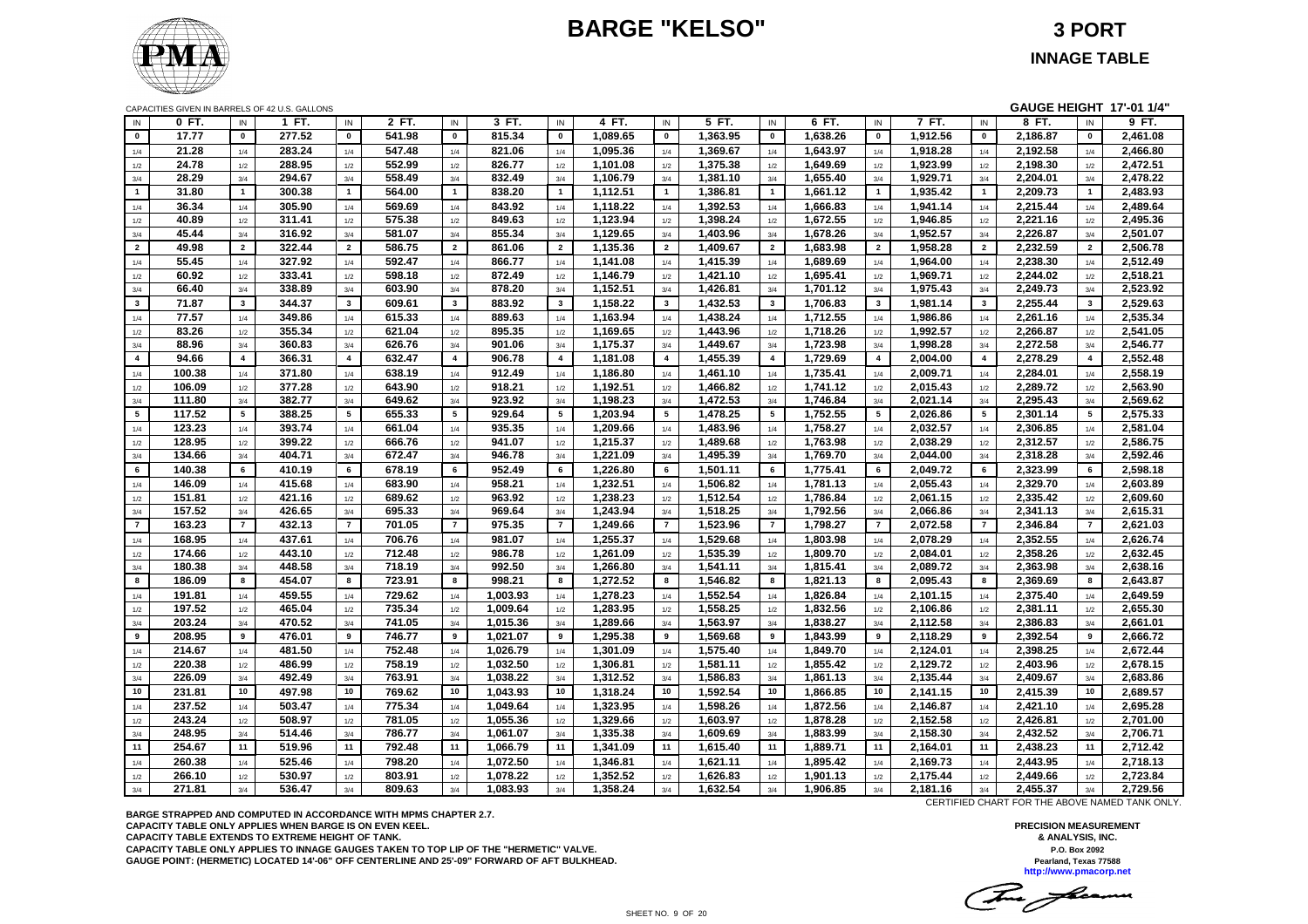# **BARGE "KELSO" 3 PORT**



#### **INNAGE TABLE**

|                 |        |                         | CAPACITIES GIVEN IN BARRELS OF 42 U.S. GALLONS |                         |        |                |          |                 |          |                         |          |                         |          |                         |          |                         | GAUGE HEIGHT 17'-01 1/4" |                 |          |
|-----------------|--------|-------------------------|------------------------------------------------|-------------------------|--------|----------------|----------|-----------------|----------|-------------------------|----------|-------------------------|----------|-------------------------|----------|-------------------------|--------------------------|-----------------|----------|
| IN              | 0 FT.  | IN                      | 1 FT.                                          | IN                      | 2 FT.  | IN             | 3 FT.    | IN              | 4 FT.    | IN                      | 5 FT.    | IN                      | 6 FT.    | IN                      | 7 FT.    | IN                      | 8 FT.                    | IN              | 9 FT.    |
| $\mathbf{0}$    | 17.77  | $\mathbf 0$             | 277.52                                         | $\mathbf 0$             | 541.98 | $\mathbf 0$    | 815.34   | $\mathbf{0}$    | 1,089.65 | $\mathbf{0}$            | 1,363.95 | $\mathbf{0}$            | 1,638.26 | $\mathbf 0$             | 1,912.56 | $\pmb{0}$               | 2,186.87                 | $\mathbf{0}$    | 2,461.08 |
| 1/4             | 21.28  | 1/4                     | 283.24                                         | 1/4                     | 547.48 | 1/4            | 821.06   | 1/4             | 1,095.36 | 1/4                     | 1,369.67 | 1/4                     | 1,643.97 | 1/4                     | 1,918.28 | 1/4                     | 2,192.58                 | 1/4             | 2,466.80 |
| 1/2             | 24.78  | 1/2                     | 288.95                                         | 1/2                     | 552.99 | 1/2            | 826.77   | 1/2             | 1,101.08 | 1/2                     | 1,375.38 | 1/2                     | 1,649.69 | 1/2                     | 1,923.99 | 1/2                     | 2,198.30                 | 1/2             | 2,472.51 |
| 3/4             | 28.29  | 3/4                     | 294.67                                         | 3/4                     | 558.49 | 3/4            | 832.49   | 3/4             | 1,106.79 | 3/4                     | 1,381.10 | 3/4                     | 1,655.40 | 3/4                     | 1,929.71 | 3/4                     | 2,204.01                 | 3/4             | 2,478.22 |
| $\mathbf{1}$    | 31.80  | $\mathbf{1}$            | 300.38                                         | $\mathbf{1}$            | 564.00 | $\overline{1}$ | 838.20   | $\mathbf{1}$    | 1,112.51 | $\overline{1}$          | 1,386.81 | $\mathbf{1}$            | 1,661.12 | $\mathbf{1}$            | 1,935.42 | $\overline{1}$          | 2,209.73                 | $\overline{1}$  | 2,483.93 |
| 1/4             | 36.34  | 1/4                     | 305.90                                         | 1/4                     | 569.69 | 1/4            | 843.92   | 1/4             | 1,118.22 | 1/4                     | 1,392.53 | 1/4                     | 1,666.83 | 1/4                     | 1,941.14 | 1/4                     | 2,215.44                 | 1/4             | 2,489.64 |
| 1/2             | 40.89  | 1/2                     | 311.41                                         | 1/2                     | 575.38 | 1/2            | 849.63   | 1/2             | 1,123.94 | 1/2                     | 1,398.24 | 1/2                     | 1,672.55 | 1/2                     | 1,946.85 | 1/2                     | 2,221.16                 | 1/2             | 2,495.36 |
| 3/4             | 45.44  | 3/4                     | 316.92                                         | 3/4                     | 581.07 | 3/4            | 855.34   | 3/4             | 1,129.65 | 3/4                     | 1,403.96 | 3/4                     | 1,678.26 | 3/4                     | 1,952.57 | 3/4                     | 2,226.87                 | 3/4             | 2,501.07 |
| $\overline{2}$  | 49.98  | $\overline{2}$          | 322.44                                         | $\overline{2}$          | 586.75 | $\overline{2}$ | 861.06   | $\overline{2}$  | 1,135.36 | $\overline{2}$          | 1,409.67 | $\overline{2}$          | 1,683.98 | $\overline{2}$          | 1,958.28 | $\overline{2}$          | 2,232.59                 | $\overline{2}$  | 2,506.78 |
| 1/4             | 55.45  | 1/4                     | 327.92                                         | 1/4                     | 592.47 | 1/4            | 866.77   | $1/4$           | 1,141.08 | 1/4                     | 1,415.39 | 1/4                     | 1,689.69 | 1/4                     | 1,964.00 | $1/4$                   | 2,238.30                 | 1/4             | 2,512.49 |
| 1/2             | 60.92  | 1/2                     | 333.41                                         | 1/2                     | 598.18 | 1/2            | 872.49   | 1/2             | 1,146.79 | 1/2                     | 1,421.10 | 1/2                     | 1,695.41 | 1/2                     | 1,969.71 | 1/2                     | 2,244.02                 | 1/2             | 2,518.21 |
| 3/4             | 66.40  | 3/4                     | 338.89                                         | 3/4                     | 603.90 | 3/4            | 878.20   | 3/4             | 1,152.51 | 3/4                     | 1,426.81 | 3/4                     | 1,701.12 | 3/4                     | 1,975.43 | 3/4                     | 2,249.73                 | 3/4             | 2,523.92 |
| $3^{\circ}$     | 71.87  | $\overline{\mathbf{3}}$ | 344.37                                         | $\mathbf{3}$            | 609.61 | $\mathbf{3}$   | 883.92   | $\mathbf{3}$    | 1,158.22 | $\overline{\mathbf{3}}$ | 1,432.53 | $\overline{\mathbf{3}}$ | 1,706.83 | $\mathbf{3}$            | 1,981.14 | $\overline{\mathbf{3}}$ | 2,255.44                 | $\mathbf{3}$    | 2,529.63 |
| 1/4             | 77.57  | 1/4                     | 349.86                                         | 1/4                     | 615.33 | 1/4            | 889.63   | 1/4             | 1,163.94 | 1/4                     | 1,438.24 | 1/4                     | 1,712.55 | 1/4                     | 1,986.86 | 1/4                     | 2,261.16                 | 1/4             | 2,535.34 |
| 1/2             | 83.26  | 1/2                     | 355.34                                         | 1/2                     | 621.04 | 1/2            | 895.35   | 1/2             | 1,169.65 | 1/2                     | 1,443.96 | 1/2                     | 1,718.26 | 1/2                     | 1,992.57 | 1/2                     | 2,266.87                 | 1/2             | 2,541.05 |
| 3/4             | 88.96  | 3/4                     | 360.83                                         | 3/4                     | 626.76 | 3/4            | 901.06   | 3/4             | 1,175.37 | 3/4                     | 1,449.67 | 3/4                     | 1,723.98 | 3/4                     | 1,998.28 | 3/4                     | 2,272.58                 | 3/4             | 2,546.77 |
| $\overline{4}$  | 94.66  | $\overline{\mathbf{4}}$ | 366.31                                         | $\overline{\mathbf{4}}$ | 632.47 | $\overline{4}$ | 906.78   | $\overline{4}$  | 1,181.08 | $\overline{4}$          | 1,455.39 | $\overline{\mathbf{4}}$ | 1,729.69 | $\overline{\mathbf{4}}$ | 2,004.00 | $\overline{4}$          | 2,278.29                 | $\overline{4}$  | 2,552.48 |
| 1/4             | 100.38 | 1/4                     | 371.80                                         | 1/4                     | 638.19 | 1/4            | 912.49   | 1/4             | 1,186.80 | 1/4                     | 1,461.10 | 1/4                     | 1,735.41 | 1/4                     | 2,009.71 | 1/4                     | 2,284.01                 | 1/4             | 2,558.19 |
| 1/2             | 106.09 | 1/2                     | 377.28                                         | 1/2                     | 643.90 | 1/2            | 918.21   | 1/2             | 1,192.51 | 1/2                     | 1,466.82 | 1/2                     | 1,741.12 | $1/2$                   | 2,015.43 | 1/2                     | 2,289.72                 | 1/2             | 2,563.90 |
| 3/4             | 111.80 | 3/4                     | 382.77                                         | 3/4                     | 649.62 | 3/4            | 923.92   | 3/4             | 1,198.23 | 3/4                     | 1,472.53 | 3/4                     | 1,746.84 | 3/4                     | 2,021.14 | 3/4                     | 2,295.43                 | 3/4             | 2,569.62 |
| $5\overline{ }$ | 117.52 | 5                       | 388.25                                         | $5\phantom{.0}$         | 655.33 | 5              | 929.64   | $5\phantom{.0}$ | 1,203.94 | 5                       | 1,478.25 | 5                       | 1,752.55 | $5\phantom{.0}$         | 2,026.86 | 5                       | 2,301.14                 | $5\overline{5}$ | 2,575.33 |
| 1/4             | 123.23 | 1/4                     | 393.74                                         | 1/4                     | 661.04 | 1/4            | 935.35   | 1/4             | 1,209.66 | 1/4                     | 1,483.96 | 1/4                     | 1,758.27 | 1/4                     | 2,032.57 | $1/4$                   | 2,306.85                 | 1/4             | 2,581.04 |
| 1/2             | 128.95 | 1/2                     | 399.22                                         | 1/2                     | 666.76 | 1/2            | 941.07   | 1/2             | 1,215.37 | 1/2                     | 1,489.68 | $1/2$                   | 1,763.98 | 1/2                     | 2,038.29 | 1/2                     | 2,312.57                 | 1/2             | 2,586.75 |
| 3/4             | 134.66 | 3/4                     | 404.71                                         | 3/4                     | 672.47 | 3/4            | 946.78   | 3/4             | 1,221.09 | 3/4                     | 1,495.39 | 3/4                     | 1,769.70 | 3/4                     | 2.044.00 | 3/4                     | 2,318.28                 | 3/4             | 2,592.46 |
| 6               | 140.38 | 6                       | 410.19                                         | 6                       | 678.19 | 6              | 952.49   | 6               | 1.226.80 | 6                       | 1.501.11 | 6                       | 1,775.41 | 6                       | 2.049.72 | 6                       | 2,323.99                 | 6               | 2,598.18 |
| 1/4             | 146.09 | 1/4                     | 415.68                                         | 1/4                     | 683.90 | 1/4            | 958.21   | 1/4             | 1,232.51 | 1/4                     | 1,506.82 | 1/4                     | 1,781.13 | 1/4                     | 2,055.43 | 1/4                     | 2,329.70                 | 1/4             | 2,603.89 |
| 1/2             | 151.81 | 1/2                     | 421.16                                         | 1/2                     | 689.62 | 1/2            | 963.92   | 1/2             | 1,238.23 | 1/2                     | 1,512.54 | 1/2                     | 1,786.84 | 1/2                     | 2,061.15 | 1/2                     | 2,335.42                 | 1/2             | 2,609.60 |
| 3/4             | 157.52 | 3/4                     | 426.65                                         | 3/4                     | 695.33 | 3/4            | 969.64   | 3/4             | 1,243.94 | 3/4                     | 1,518.25 | 3/4                     | 1,792.56 | 3/4                     | 2,066.86 | 3/4                     | 2,341.13                 | 3/4             | 2,615.31 |
| $\mathbf{7}$    | 163.23 | $\overline{7}$          | 432.13                                         | $\overline{7}$          | 701.05 | $\overline{7}$ | 975.35   | $\overline{7}$  | 1.249.66 | $\overline{7}$          | 1,523.96 | $\overline{7}$          | 1,798.27 | $\overline{7}$          | 2,072.58 | $\overline{7}$          | 2,346.84                 | $\overline{7}$  | 2,621.03 |
| 1/4             | 168.95 | 1/4                     | 437.61                                         | 1/4                     | 706.76 | 1/4            | 981.07   | 1/4             | 1,255.37 | 1/4                     | 1,529.68 | 1/4                     | 1,803.98 | 1/4                     | 2,078.29 | 1/4                     | 2,352.55                 | 1/4             | 2,626.74 |
| 1/2             | 174.66 | 1/2                     | 443.10                                         | 1/2                     | 712.48 | 1/2            | 986.78   | 1/2             | 1,261.09 | 1/2                     | 1,535.39 | $1/2\,$                 | 1,809.70 | $1/2$                   | 2,084.01 | 1/2                     | 2,358.26                 | 1/2             | 2,632.45 |
| 3/4             | 180.38 | 3/4                     | 448.58                                         | 3/4                     | 718.19 | 3/4            | 992.50   | 3/4             | 1,266.80 | 3/4                     | 1,541.11 | 3/4                     | 1,815.41 | 3/4                     | 2,089.72 | 3/4                     | 2,363.98                 | 3/4             | 2,638.16 |
| 8               | 186.09 | 8                       | 454.07                                         | 8                       | 723.91 | 8              | 998.21   | 8               | 1,272.52 | 8                       | 1,546.82 | 8                       | 1,821.13 | 8                       | 2,095.43 | 8                       | 2,369.69                 | 8               | 2,643.87 |
| 1/4             | 191.81 | 1/4                     | 459.55                                         | 1/4                     | 729.62 | 1/4            | 1,003.93 | 1/4             | 1,278.23 | 1/4                     | 1,552.54 | 1/4                     | 1,826.84 | 1/4                     | 2,101.15 | 1/4                     | 2,375.40                 | 1/4             | 2,649.59 |
| 1/2             | 197.52 | 1/2                     | 465.04                                         | 1/2                     | 735.34 | 1/2            | 1,009.64 | 1/2             | 1,283.95 | 1/2                     | 1,558.25 | 1/2                     | 1,832.56 | 1/2                     | 2,106.86 | 1/2                     | 2,381.11                 | 1/2             | 2,655.30 |
| 3/4             | 203.24 | 3/4                     | 470.52                                         | 3/4                     | 741.05 | 3/4            | 1,015.36 | 3/4             | 1,289.66 | 3/4                     | 1,563.97 | 3/4                     | 1,838.27 | 3/4                     | 2,112.58 | 3/4                     | 2,386.83                 | 3/4             | 2,661.01 |
| 9               | 208.95 | 9                       | 476.01                                         | 9                       | 746.77 | 9              | 1,021.07 | 9               | 1,295.38 | 9                       | 1,569.68 | 9                       | 1,843.99 | 9                       | 2,118.29 | 9                       | 2,392.54                 | 9               | 2,666.72 |
| 1/4             | 214.67 | 1/4                     | 481.50                                         | 1/4                     | 752.48 | 1/4            | 1,026.79 | 1/4             | 1,301.09 | 1/4                     | 1,575.40 | 1/4                     | 1,849.70 | 1/4                     | 2,124.01 | 1/4                     | 2,398.25                 | 1/4             | 2,672.44 |
| 1/2             | 220.38 | 1/2                     | 486.99                                         | 1/2                     | 758.19 | 1/2            | 1,032.50 | 1/2             | 1.306.81 | 1/2                     | 1.581.11 | 1/2                     | 1,855.42 | 1/2                     | 2,129.72 | 1/2                     | 2.403.96                 | 1/2             | 2.678.15 |
| 3/4             | 226.09 | 3/4                     | 492.49                                         | 3/4                     | 763.91 | 3/4            | 1,038.22 | 3/4             | 1,312.52 | 3/4                     | 1,586.83 | 3/4                     | 1,861.13 | 3/4                     | 2,135.44 | 3/4                     | 2,409.67                 | 3/4             | 2,683.86 |
| 10              | 231.81 | 10                      | 497.98                                         | 10                      | 769.62 | 10             | 1,043.93 | 10              | 1,318.24 | 10                      | 1,592.54 | 10                      | 1,866.85 | 10                      | 2,141.15 | 10                      | 2,415.39                 | 10              | 2,689.57 |
| 1/4             | 237.52 | 1/4                     | 503.47                                         | 1/4                     | 775.34 | 1/4            | 1,049.64 | 1/4             | 1,323.95 | 1/4                     | 1,598.26 | 1/4                     | 1,872.56 | 1/4                     | 2,146.87 | 1/4                     | 2,421.10                 | 1/4             | 2,695.28 |
|                 | 243.24 | 1/2                     | 508.97                                         | 1/2                     | 781.05 | 1/2            | 1,055.36 | 1/2             | 1,329.66 | 1/2                     | 1,603.97 | 1/2                     | 1,878.28 | 1/2                     | 2,152.58 | 1/2                     | 2,426.81                 | 1/2             | 2,701.00 |
| 1/2<br>3/4      | 248.95 | 3/4                     | 514.46                                         | 3/4                     | 786.77 | 3/4            | 1,061.07 | 3/4             | 1,335.38 | 3/4                     | 1,609.69 | 3/4                     | 1,883.99 | 3/4                     | 2,158.30 | 3/4                     | 2,432.52                 | 3/4             | 2,706.71 |
| 11              | 254.67 | 11                      | 519.96                                         | 11                      | 792.48 | 11             | 1,066.79 | 11              | 1,341.09 | 11                      | 1,615.40 | 11                      | 1,889.71 | 11                      | 2,164.01 | 11                      | 2,438.23                 | 11              | 2,712.42 |
|                 | 260.38 | 1/4                     | 525.46                                         |                         | 798.20 | 1/4            | 1,072.50 |                 | 1,346.81 |                         | 1,621.11 | 1/4                     | 1,895.42 |                         | 2,169.73 | 1/4                     | 2,443.95                 |                 | 2,718.13 |
| 1/4             | 266.10 | 1/2                     | 530.97                                         | 1/4<br>1/2              | 803.91 | 1/2            | 1,078.22 | 1/4<br>1/2      | 1,352.52 | 1/4<br>1/2              | 1,626.83 | 1/2                     | 1,901.13 | 1/4<br>1/2              | 2,175.44 | 1/2                     | 2,449.66                 | 1/4<br>1/2      | 2,723.84 |
| 1/2<br>3/4      | 271.81 | 3/4                     | 536.47                                         | 3/4                     | 809.63 | 3/4            | 1,083.93 | 3/4             | 1,358.24 | 3/4                     | 1,632.54 | 3/4                     | 1,906.85 | 3/4                     | 2,181.16 | 3/4                     | 2,455.37                 | 3/4             | 2,729.56 |
|                 |        |                         |                                                |                         |        |                |          |                 |          |                         |          |                         |          |                         |          |                         |                          |                 |          |

**BARGE STRAPPED AND COMPUTED IN ACCORDANCE WITH MPMS CHAPTER 2.7. CAPACITY TABLE ONLY APPLIES WHEN BARGE IS ON EVEN KEEL. CAPACITY TABLE EXTENDS TO EXTREME HEIGHT OF TANK. CAPACITY TABLE ONLY APPLIES TO INNAGE GAUGES TAKEN TO TOP LIP OF THE "HERMETIC" VALVE. GAUGE POINT: (HERMETIC) LOCATED 14'-06" OFF CENTERLINE AND 25'-09" FORWARD OF AFT BULKHEAD.** CERTIFIED CHART FOR THE ABOVE NAMED TANK ONLY.

This floam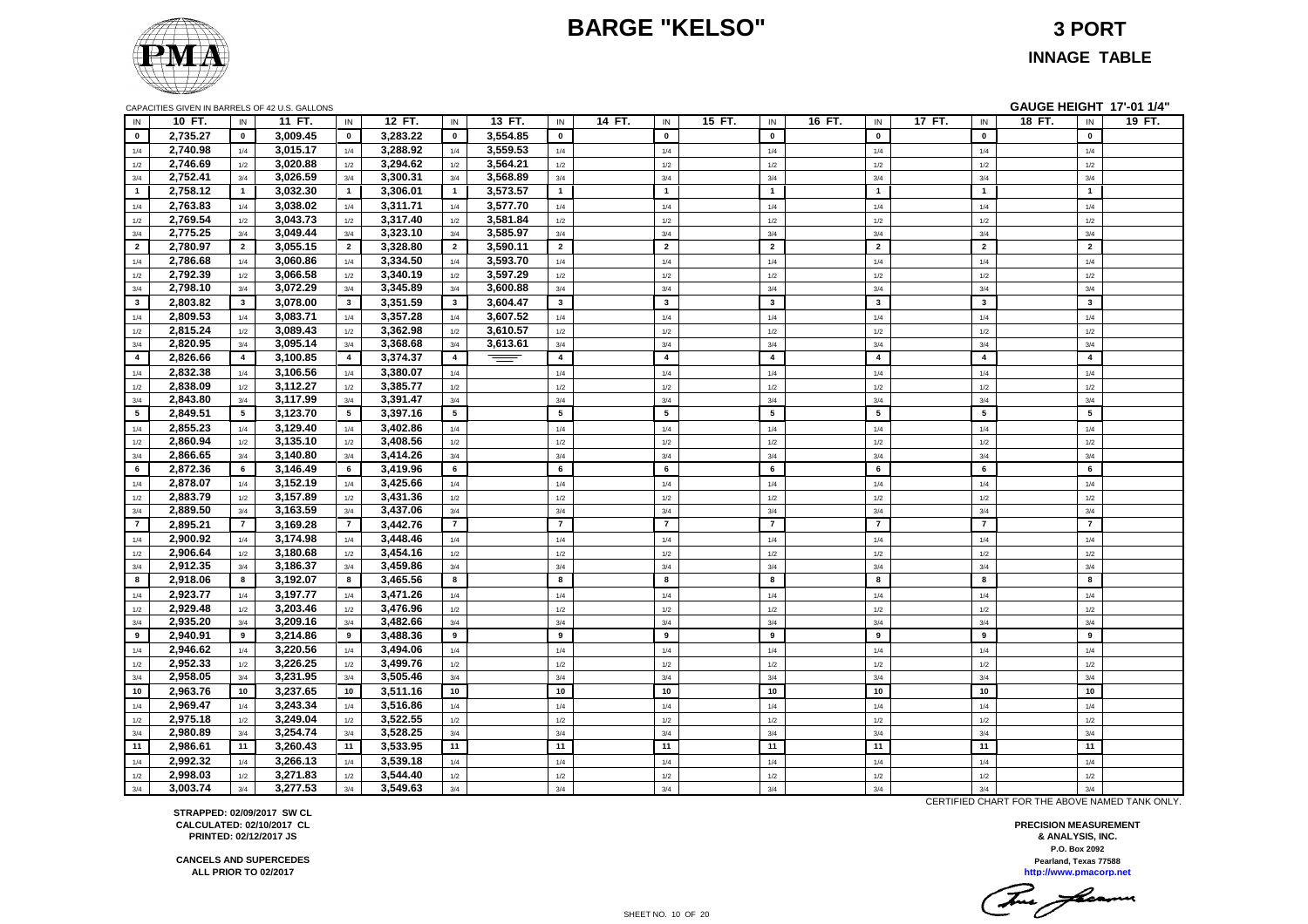# **BARGE "KELSO" 3 PORT**



#### **INNAGE TABLE**

|                | CAPACITIES GIVEN IN BARRELS OF 42 U.S. GALLONS |                 |                      |                 |                      |                |          |                         |        |                         |        |                         |        |                         |        |                         | GAUGE HEIGHT 17'-01 1/4" |                         |        |
|----------------|------------------------------------------------|-----------------|----------------------|-----------------|----------------------|----------------|----------|-------------------------|--------|-------------------------|--------|-------------------------|--------|-------------------------|--------|-------------------------|--------------------------|-------------------------|--------|
| IN             | 10 FT.                                         | $\sf IN$        | 11 FT.               | IN              | 12 FT.               | ${\sf IN}$     | 13 FT.   | IN                      | 14 FT. | $\mathsf{IN}$           | 15 FT. | $\mathsf{IN}$           | 16 FT. | IN                      | 17 FT. | IN                      | 18 FT.                   | $\sf IN$                | 19 FT. |
| $\mathbf{0}$   | 2,735.27                                       | $\mathbf{0}$    | 3,009.45             | $\mathbf{0}$    | 3,283.22             | $\mathbf 0$    | 3,554.85 | $\mathbf 0$             |        | $\mathbf 0$             |        | $\mathbf{0}$            |        | $\overline{\mathbf{0}}$ |        | $\mathbf{0}$            |                          | $\mathbf{0}$            |        |
| 1/4            | 2,740.98                                       | 1/4             | 3,015.17             | 1/4             | 3,288.92             | 1/4            | 3,559.53 | 1/4                     |        | 1/4                     |        | 1/4                     |        | 1/4                     |        | 1/4                     |                          | 1/4                     |        |
| 1/2            | 2,746.69                                       | 1/2             | 3,020.88             | $1/2$           | 3,294.62             | 1/2            | 3,564.21 | $1/2$                   |        | $1/2\,$                 |        | 1/2                     |        | $1/2$                   |        | 1/2                     |                          | $1/2$                   |        |
| 3/4            | 2,752.41                                       | 3/4             | 3,026.59             | 3/4             | 3,300.31             | 3/4            | 3,568.89 | 3/4                     |        | 3/4                     |        | 3/4                     |        | 3/4                     |        | 3/4                     |                          | 3/4                     |        |
| $\mathbf 1$    | 2,758.12                                       | $\mathbf{1}$    | 3,032.30             | $\mathbf{1}$    | 3,306.01             | $\blacksquare$ | 3,573.57 | $\mathbf{1}$            |        | $\overline{1}$          |        | $\mathbf{1}$            |        | $\mathbf{1}$            |        | $\mathbf{1}$            |                          | $\overline{\mathbf{1}}$ |        |
| 1/4            | 2,763.83                                       | 1/4             | 3,038.02             | 1/4             | 3,311.71             | 1/4            | 3,577.70 | 1/4                     |        | 1/4                     |        | 1/4                     |        | 1/4                     |        | 1/4                     |                          | 1/4                     |        |
| 1/2            | 2,769.54                                       | $1/2$           | 3,043.73             | 1/2             | 3,317.40             | 1/2            | 3,581.84 | 1/2                     |        | $1/2\,$                 |        | 1/2                     |        | 1/2                     |        | $1/2$                   |                          | $1/2$                   |        |
| 3/4            | 2,775.25                                       | 3/4             | 3,049.44             | 3/4             | 3,323.10             | 3/4            | 3,585.97 | 3/4                     |        | 3/4                     |        | 3/4                     |        | 3/4                     |        | 3/4                     |                          | 3/4                     |        |
| $\overline{2}$ | 2,780.97                                       | $\overline{2}$  | 3,055.15             | $\overline{2}$  | 3,328.80             | $\overline{2}$ | 3,590.11 | $\overline{2}$          |        | $\overline{2}$          |        | $\overline{2}$          |        | $\overline{2}$          |        | $\overline{2}$          |                          | $\overline{2}$          |        |
| 1/4            | 2,786.68                                       | 1/4             | 3,060.86             | 1/4             | 3,334.50             | 1/4            | 3,593.70 | 1/4                     |        | 1/4                     |        | 1/4                     |        | 1/4                     |        | 1/4                     |                          | 1/4                     |        |
| 1/2            | 2,792.39                                       | 1/2             | 3,066.58             | $1/2$           | 3,340.19             | 1/2            | 3,597.29 | 1/2                     |        | $1/2\,$                 |        | 1/2                     |        | 1/2                     |        | 1/2                     |                          | 1/2                     |        |
| 3/4            | 2,798.10                                       | 3/4             | 3,072.29             | 3/4             | 3,345.89             | 3/4            | 3,600.88 | 3/4                     |        | 3/4                     |        | 3/4                     |        | 3/4                     |        | 3/4                     |                          | 3/4                     |        |
| $3^{\circ}$    | 2,803.82                                       | $\mathbf{3}$    | 3,078.00             | $\mathbf{3}$    | 3,351.59             | $\mathbf{3}$   | 3,604.47 | $\mathbf{3}$            |        | $\mathbf{3}$            |        | $\mathbf{3}$            |        | $\mathbf{3}$            |        | $\mathbf{3}$            |                          | $\mathbf{3}$            |        |
| 1/4            | 2,809.53                                       | 1/4             | 3,083.71             | 1/4             | 3,357.28             | 1/4            | 3,607.52 | 1/4                     |        | 1/4                     |        | 1/4                     |        | 1/4                     |        | 1/4                     |                          | 1/4                     |        |
| 1/2            | 2,815.24                                       | $1/2$           | 3,089.43             | 1/2             | 3,362.98             | 1/2            | 3,610.57 | 1/2                     |        | $1/2\,$                 |        | 1/2                     |        | 1/2                     |        | $1/2$                   |                          | $1/2$                   |        |
| 3/4            | 2,820.95                                       | 3/4             | 3,095.14             | 3/4             | 3,368.68             | 3/4            | 3,613.61 | $3/4$                   |        | 3/4                     |        | 3/4                     |        | 3/4                     |        | 3/4                     |                          | 3/4                     |        |
| $\overline{4}$ | 2,826.66                                       | $\overline{4}$  | 3,100.85             | $\overline{4}$  | 3,374.37             | $\overline{4}$ | $=$      | $\overline{\mathbf{4}}$ |        | $\overline{\mathbf{4}}$ |        | $\overline{\mathbf{4}}$ |        | $\boldsymbol{4}$        |        | $\overline{\mathbf{4}}$ |                          | $\overline{\mathbf{4}}$ |        |
| 1/4            | 2,832.38                                       | 1/4             | 3,106.56             | 1/4             | 3,380.07             | 1/4            |          | 1/4                     |        | 1/4                     |        | 1/4                     |        | 1/4                     |        | 1/4                     |                          | 1/4                     |        |
| 1/2            | 2,838.09                                       | 1/2             | 3,112.27             | 1/2             | 3,385.77             | 1/2            |          | 1/2                     |        | 1/2                     |        | 1/2                     |        | 1/2                     |        | 1/2                     |                          | 1/2                     |        |
| 3/4            | 2,843.80                                       | 3/4             | 3,117.99             | 3/4             | 3,391.47             | 3/4            |          | 3/4                     |        | 3/4                     |        | 3/4                     |        | 3/4                     |        | 3/4                     |                          | 3/4                     |        |
| 5 <sub>5</sub> | 2,849.51                                       | $5\overline{ }$ | 3,123.70             | $5\overline{5}$ | 3,397.16             | 5              |          | 5                       |        | ${\bf 5}$               |        | $5\phantom{a}$          |        | $5\phantom{a}$          |        | 5                       |                          | 5                       |        |
| 1/4            | 2,855.23                                       | 1/4             | 3,129.40             | 1/4             | 3,402.86             | 1/4            |          | 1/4                     |        | 1/4                     |        | 1/4                     |        | 1/4                     |        | 1/4                     |                          | 1/4                     |        |
| 1/2            | 2,860.94                                       | 1/2             | 3,135.10             | 1/2             | 3,408.56             | 1/2            |          | 1/2                     |        | $1/2\,$                 |        | 1/2                     |        | 1/2                     |        | 1/2                     |                          | 1/2                     |        |
| 3/4            | 2,866.65                                       | 3/4             | 3,140.80             | 3/4             | 3,414.26             | 3/4            |          | 3/4                     |        | 3/4                     |        | 3/4                     |        | 3/4                     |        | 3/4                     |                          | 3/4                     |        |
| 6              | 2,872.36                                       | 6               | 3,146.49             | 6               | 3,419.96             | 6              |          | 6                       |        | 6                       |        | 6                       |        | 6                       |        | 6                       |                          | 6                       |        |
| 1/4            | 2,878.07                                       | 1/4             | 3,152.19             | 1/4             | 3,425.66             | 1/4            |          | 1/4                     |        | $1/4$                   |        | 1/4                     |        | 1/4                     |        | 1/4                     |                          | 1/4                     |        |
| 1/2            | 2,883.79                                       | $1/2$           | 3,157.89             | 1/2             | 3,431.36             | $1/2$          |          | $1/2$                   |        | $1/2\,$                 |        | 1/2                     |        | 1/2                     |        | $1/2$                   |                          | $1/2$                   |        |
| 3/4            | 2,889.50                                       | 3/4             | 3,163.59             | 3/4             | 3,437.06             | 3/4            |          | 3/4                     |        | 3/4                     |        | 3/4                     |        | 3/4                     |        | 3/4                     |                          | 3/4                     |        |
| $\overline{7}$ | 2,895.21                                       | $\overline{7}$  | 3,169.28             | $\overline{7}$  | 3,442.76             | $\overline{7}$ |          | $\overline{7}$          |        | $\overline{7}$          |        | $\overline{7}$          |        | $\overline{7}$          |        | $\overline{7}$          |                          | $\overline{7}$          |        |
| 1/4            | 2,900.92                                       | 1/4             | 3,174.98             | 1/4             | 3,448.46             | 1/4            |          | 1/4                     |        | 1/4                     |        | 1/4                     |        | 1/4                     |        | 1/4                     |                          | 1/4                     |        |
| 1/2            | 2,906.64                                       | 1/2             | 3,180.68             | 1/2             | 3,454.16             | 1/2            |          | 1/2                     |        | 1/2                     |        | 1/2                     |        | 1/2                     |        | 1/2                     |                          | 1/2                     |        |
| 3/4            | 2,912.35                                       | 3/4             | 3,186.37             | 3/4             | 3,459.86             | 3/4            |          | 3/4                     |        | 3/4                     |        | 3/4                     |        | 3/4                     |        | 3/4                     |                          | 3/4                     |        |
| 8              | 2,918.06                                       | 8               | 3,192.07             | 8               | 3,465.56             | 8              |          | 8                       |        | 8                       |        | 8                       |        | 8                       |        | 8                       |                          | 8                       |        |
| 1/4            | 2,923.77                                       | 1/4             | 3,197.77             | 1/4             | 3,471.26             | 1/4            |          | 1/4                     |        | $1/4$                   |        | 1/4                     |        | 1/4                     |        | 1/4                     |                          | 1/4                     |        |
| 1/2            | 2,929.48                                       | 1/2             | 3,203.46             | 1/2             | 3,476.96<br>3,482.66 | $1/2$          |          | $1/2$                   |        | $1/2\,$                 |        | 1/2                     |        | 1/2                     |        | 1/2                     |                          | 1/2                     |        |
| 3/4<br>9       | 2,935.20<br>2,940.91                           | 3/4<br>9        | 3,209.16<br>3,214.86 | 3/4<br>9        | 3,488.36             | 3/4<br>9       |          | 3/4<br>9                |        | 3/4<br>9                |        | 3/4<br>9                |        | 3/4<br>9                |        | 3/4<br>9                |                          | 3/4<br>9                |        |
|                |                                                |                 | 3,220.56             |                 | 3,494.06             |                |          |                         |        |                         |        |                         |        |                         |        |                         |                          |                         |        |
| 1/4            | 2,946.62<br>2,952.33                           | 1/4<br>1/2      | 3,226.25             | 1/4<br>1/2      | 3,499.76             | 1/4<br>1/2     |          | 1/4<br>1/2              |        | 1/4<br>$1/2\,$          |        | 1/4<br>1/2              |        | 1/4<br>1/2              |        | 1/4<br>1/2              |                          | 1/4<br>1/2              |        |
| 1/2<br>3/4     | 2,958.05                                       | 3/4             | 3,231.95             | 3/4             | 3,505.46             | 3/4            |          | 3/4                     |        | 3/4                     |        | 3/4                     |        | 3/4                     |        | 3/4                     |                          | 3/4                     |        |
| 10             | 2,963.76                                       | 10              | 3,237.65             | 10              | 3,511.16             | 10             |          | 10                      |        | 10                      |        | 10 <sub>1</sub>         |        | $10$                    |        | 10                      |                          | 10                      |        |
| 1/4            | 2,969.47                                       | 1/4             | 3,243.34             | 1/4             | 3,516.86             | 1/4            |          | 1/4                     |        | $1/4$                   |        | 1/4                     |        | 1/4                     |        | 1/4                     |                          | 1/4                     |        |
| 1/2            | 2,975.18                                       | 1/2             | 3,249.04             | 1/2             | 3,522.55             | 1/2            |          | $1/2$                   |        | $1/2\,$                 |        | 1/2                     |        | 1/2                     |        | 1/2                     |                          | 1/2                     |        |
| 3/4            | 2,980.89                                       | 3/4             | 3,254.74             | 3/4             | 3,528.25             | 3/4            |          | 3/4                     |        | 3/4                     |        | 3/4                     |        | 3/4                     |        | 3/4                     |                          | 3/4                     |        |
| 11             | 2,986.61                                       | 11              | 3,260.43             | 11              | 3,533.95             | 11             |          | 11                      |        | 11                      |        | 11                      |        | 11                      |        | 11                      |                          | 11                      |        |
| 1/4            | 2,992.32                                       | 1/4             | 3,266.13             | 1/4             | 3,539.18             | 1/4            |          | $1/4\,$                 |        | $1/4$                   |        | 1/4                     |        | 1/4                     |        | 1/4                     |                          | 1/4                     |        |
| 1/2            | 2,998.03                                       | 1/2             | 3,271.83             | 1/2             | 3,544.40             | $1/2$          |          | 1/2                     |        | $1/2$                   |        | 1/2                     |        | 1/2                     |        | 1/2                     |                          | 1/2                     |        |
| 3/4            | 3,003.74                                       | 3/4             | 3,277.53             | 3/4             | 3,549.63             | 3/4            |          | 3/4                     |        | 3/4                     |        | 3/4                     |        | 3/4                     |        | 3/4                     |                          | 3/4                     |        |

**STRAPPED: 02/09/2017 SW CL CALCULATED: 02/10/2017 CL PRINTED: 02/12/2017 JS**

**CANCELS AND SUPERCEDES ALL PRIOR TO 02/2017**

CERTIFIED CHART FOR THE ABOVE NAMED TANK ONLY.

**P.O. Box 2092 PRECISION MEASUREMENT & ANALYSIS, INC. Pearland, Texas 77588**

**http://www.pmacorp.net**  $\overline{\phantom{a}}$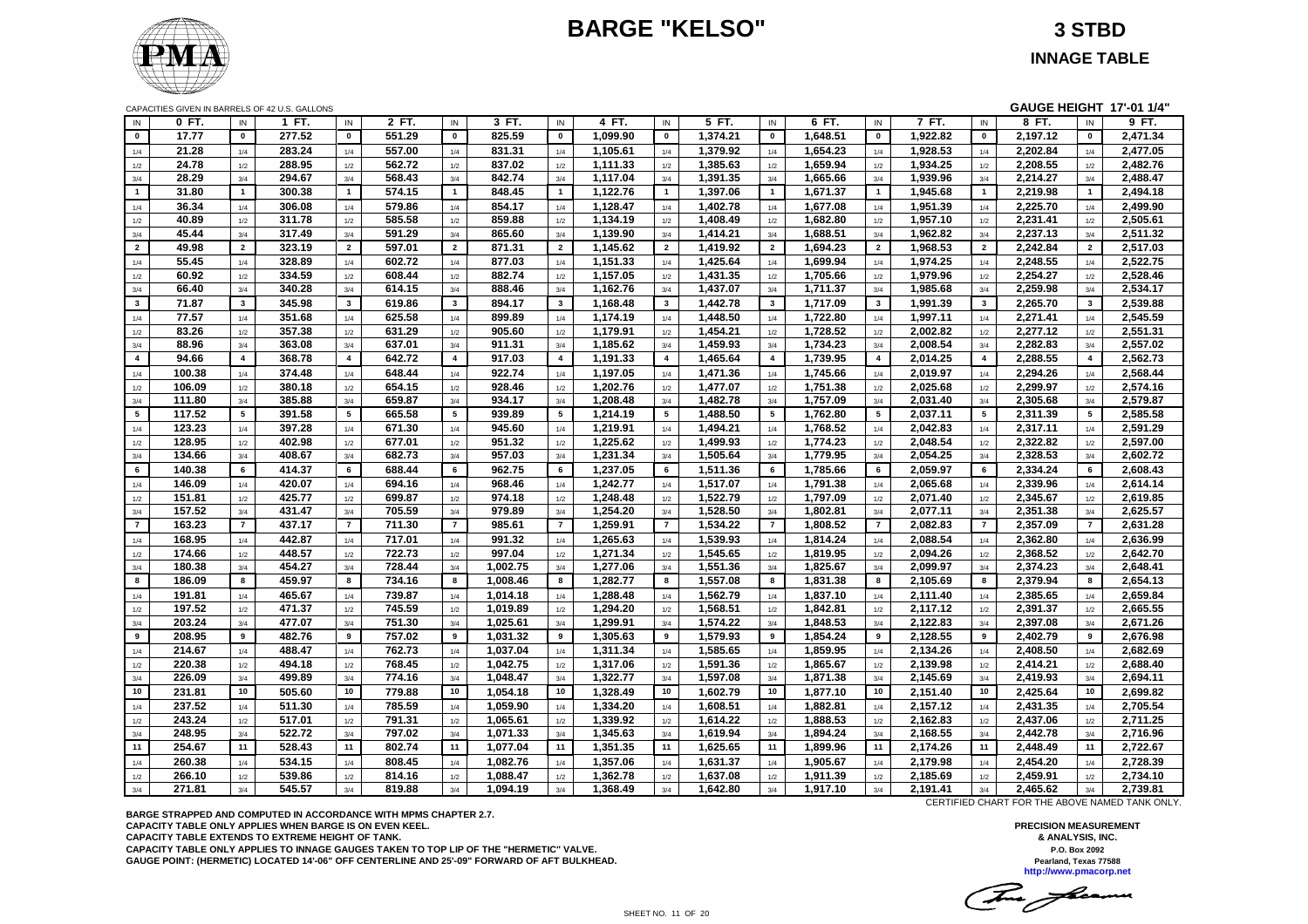# **BARGE "KELSO" 3 STBD**



**INNAGE TABLE**

| CAPACITIES GIVEN IN BARRELS OF 42 U.S. GALLONS |
|------------------------------------------------|
|------------------------------------------------|

|                         |                  |                 | CAPACITIES GIVEN IN BARRELS OF 42 U.S. GALLONS |                |                  |                         |          |                         |          |                 |          |                         |          |                |          |                         | GAUGE HEIGHT 17'-01 1/4" |                 |          |
|-------------------------|------------------|-----------------|------------------------------------------------|----------------|------------------|-------------------------|----------|-------------------------|----------|-----------------|----------|-------------------------|----------|----------------|----------|-------------------------|--------------------------|-----------------|----------|
| IN                      | 0 FT.            | IN              | 1 FT.                                          | IN             | 2 FT.            | IN                      | 3 FT.    | IN                      | 4 FT.    | $\sf IN$        | 5 FT.    | IN                      | 6 FT.    | $\sf IN$       | 7 FT.    | IN                      | 8 FT.                    | IN              | 9 FT.    |
| $\mathbf{0}$            | 17.77            | $\mathbf 0$     | 277.52                                         | $\pmb{0}$      | 551.29           | $\mathbf 0$             | 825.59   | $\pmb{0}$               | 1,099.90 | $\pmb{0}$       | 1,374.21 | $\pmb{0}$               | 1,648.51 | $\mathbf 0$    | 1,922.82 | $\mathbf 0$             | 2,197.12                 | $\mathbf 0$     | 2,471.34 |
| 1/4                     | 21.28            | 1/4             | 283.24                                         | 1/4            | 557.00           | 1/4                     | 831.31   | 1/4                     | 1,105.61 | 1/4             | 1,379.92 | 1/4                     | 1,654.23 | 1/4            | 1,928.53 | 1/4                     | 2,202.84                 | 1/4             | 2,477.05 |
| 1/2                     | 24.78            | 1/2             | 288.95                                         | 1/2            | 562.72           | 1/2                     | 837.02   | 1/2                     | 1,111.33 | 1/2             | 1,385.63 | 1/2                     | 1,659.94 | 1/2            | 1,934.25 | 1/2                     | 2,208.55                 | 1/2             | 2,482.76 |
| 3/4                     | 28.29            | 3/4             | 294.67                                         | 3/4            | 568.43           | 3/4                     | 842.74   | 3/4                     | 1,117.04 | 3/4             | 1,391.35 | 3/4                     | 1,665.66 | 3/4            | 1,939.96 | 3/4                     | 2,214.27                 | 3/4             | 2,488.47 |
| $\overline{1}$          | 31.80            | $\mathbf{1}$    | 300.38                                         | $\mathbf{1}$   | 574.15           | $\mathbf{1}$            | 848.45   | $\mathbf{1}$            | 1,122.76 | $\mathbf{1}$    | 1,397.06 | $\overline{1}$          | 1,671.37 | $\overline{1}$ | 1,945.68 | $\mathbf{1}$            | 2,219.98                 | $\mathbf{1}$    | 2,494.18 |
| 1/4                     | 36.34            | 1/4             | 306.08                                         | 1/4            | 579.86           | 1/4                     | 854.17   | 1/4                     | 1,128.47 | 1/4             | 1,402.78 | 1/4                     | 1,677.08 | 1/4            | 1,951.39 | 1/4                     | 2,225.70                 | 1/4             | 2,499.90 |
| 1/2                     | 40.89            | 1/2             | 311.78                                         | 1/2            | 585.58           | 1/2                     | 859.88   | 1/2                     | 1,134.19 | 1/2             | 1,408.49 | 1/2                     | 1,682.80 | 1/2            | 1,957.10 | 1/2                     | 2,231.41                 | 1/2             | 2,505.61 |
| 3/4                     | 45.44            | 3/4             | 317.49                                         | 3/4            | 591.29           | 3/4                     | 865.60   | 3/4                     | 1,139.90 | 3/4             | 1,414.21 | 3/4                     | 1,688.51 | 3/4            | 1,962.82 | 3/4                     | 2,237.13                 | 3/4             | 2,511.32 |
| $\overline{2}$          | 49.98            | $\overline{2}$  | 323.19                                         | $\overline{2}$ | 597.01           | $\overline{2}$          | 871.31   | $\overline{2}$          | 1,145.62 | $\overline{2}$  | 1,419.92 | $\overline{2}$          | 1,694.23 | $\overline{2}$ | 1,968.53 | $\overline{2}$          | 2,242.84                 | $\overline{2}$  | 2,517.03 |
|                         |                  |                 |                                                |                |                  |                         |          |                         |          |                 |          |                         |          |                |          |                         |                          |                 |          |
| 1/4                     | 55.45            | 1/4             | 328.89                                         | 1/4            | 602.72           | 1/4                     | 877.03   | 1/4                     | 1,151.33 | 1/4             | 1,425.64 | 1/4                     | 1,699.94 | 1/4            | 1,974.25 | 1/4                     | 2,248.55                 | 1/4             | 2,522.75 |
| 1/2                     | 60.92            | 1/2             | 334.59                                         | 1/2            | 608.44           | 1/2                     | 882.74   | 1/2                     | 1,157.05 | 1/2             | 1,431.35 | 1/2                     | 1,705.66 | 1/2            | 1,979.96 | 1/2                     | 2,254.27                 | 1/2             | 2,528.46 |
| 3/4                     | 66.40            | 3/4             | 340.28                                         | 3/4            | 614.15           | 3/4                     | 888.46   | 3/4                     | 1,162.76 | 3/4             | 1,437.07 | 3/4                     | 1,711.37 | 3/4            | 1,985.68 | 3/4                     | 2,259.98                 | 3/4             | 2,534.17 |
| $\overline{\mathbf{3}}$ | 71.87            | $\mathbf{3}$    | 345.98                                         | $\mathbf{3}$   | 619.86           | $\mathbf{3}$            | 894.17   | $\mathbf{3}$            | 1,168.48 | $\mathbf{3}$    | 1,442.78 | $\mathbf{3}$            | 1,717.09 | $\mathbf{3}$   | 1,991.39 | $\mathbf{3}$            | 2,265.70                 | $\mathbf{3}$    | 2,539.88 |
| 1/4                     | 77.57            | 1/4             | 351.68                                         | 1/4            | 625.58           | 1/4                     | 899.89   | 1/4                     | 1,174.19 | 1/4             | 1,448.50 | 1/4                     | 1,722.80 | 1/4            | 1,997.11 | 1/4                     | 2,271.41                 | 1/4             | 2,545.59 |
| 1/2                     | 83.26            | 1/2             | 357.38                                         | 1/2            | 631.29           | 1/2                     | 905.60   | 1/2                     | 1,179.91 | 1/2             | 1,454.21 | 1/2                     | 1,728.52 | 1/2            | 2,002.82 | 1/2                     | 2,277.12                 | 1/2             | 2,551.31 |
| 3/4                     | 88.96            | 3/4             | 363.08                                         | 3/4            | 637.01           | 3/4                     | 911.31   | 3/4                     | 1,185.62 | 3/4             | 1,459.93 | 3/4                     | 1,734.23 | 3/4            | 2,008.54 | 3/4                     | 2,282.83                 | 3/4             | 2,557.02 |
| $\overline{4}$          | 94.66            | $\overline{4}$  | 368.78                                         | $\overline{4}$ | 642.72           | $\overline{\mathbf{4}}$ | 917.03   | $\overline{\mathbf{4}}$ | 1,191.33 | $\overline{4}$  | 1,465.64 | $\overline{\mathbf{4}}$ | 1,739.95 | $\overline{4}$ | 2,014.25 | $\overline{\mathbf{4}}$ | 2,288.55                 | $\overline{4}$  | 2,562.73 |
| 1/4                     | 100.38           | 1/4             | 374.48                                         | 1/4            | 648.44           | 1/4                     | 922.74   | 1/4                     | 1,197.05 | 1/4             | 1,471.36 | 1/4                     | 1,745.66 | 1/4            | 2,019.97 | 1/4                     | 2,294.26                 | 1/4             | 2,568.44 |
| 1/2                     | 106.09           | 1/2             | 380.18                                         | 1/2            | 654.15           | 1/2                     | 928.46   | 1/2                     | 1,202.76 | 1/2             | 1,477.07 | 1/2                     | 1,751.38 | 1/2            | 2,025.68 | 1/2                     | 2,299.97                 | 1/2             | 2,574.16 |
| 3/4                     | 111.80           | 3/4             | 385.88                                         | 3/4            | 659.87           | 3/4                     | 934.17   | 3/4                     | 1,208.48 | 3/4             | 1,482.78 | 3/4                     | 1,757.09 | 3/4            | 2,031.40 | 3/4                     | 2,305.68                 | 3/4             | 2,579.87 |
| 5                       | 117.52           | $5\phantom{.0}$ | 391.58                                         | 5              | 665.58           | $5^{\circ}$             | 939.89   | 5                       | 1,214.19 | $5\phantom{.0}$ | 1,488.50 | 5                       | 1,762.80 | 5              | 2,037.11 | 5                       | 2,311.39                 | $5\phantom{.0}$ | 2,585.58 |
| 1/4                     | 123.23           | 1/4             | 397.28                                         | 1/4            | 671.30           | 1/4                     | 945.60   | 1/4                     | 1,219.91 | 1/4             | 1,494.21 | 1/4                     | 1,768.52 | 1/4            | 2,042.83 | 1/4                     | 2,317.11                 | 1/4             | 2,591.29 |
| 1/2                     | 128.95           | 1/2             | 402.98                                         | 1/2            | 677.01           | 1/2                     | 951.32   | 1/2                     | 1,225.62 | 1/2             | 1,499.93 | 1/2                     | 1,774.23 | 1/2            | 2,048.54 | 1/2                     | 2,322.82                 | 1/2             | 2,597.00 |
| 3/4                     | 134.66           | 3/4             | 408.67                                         | 3/4            | 682.73           | 3/4                     | 957.03   | 3/4                     | 1,231.34 | 3/4             | 1,505.64 | 3/4                     | 1,779.95 | 3/4            | 2,054.25 | 3/4                     | 2,328.53                 | 3/4             | 2,602.72 |
| 6                       | 140.38           | 6               | 414.37                                         | 6              | 688.44           | 6                       | 962.75   | 6                       | 1,237.05 | 6               | 1,511.36 | 6                       | 1,785.66 | 6              | 2,059.97 | 6                       | 2,334.24                 | 6               | 2,608.43 |
| 1/4                     | 146.09           | 1/4             | 420.07                                         | 1/4            | 694.16           | 1/4                     | 968.46   | 1/4                     | 1,242.77 | 1/4             | 1,517.07 | 1/4                     | 1,791.38 | 1/4            | 2,065.68 | 1/4                     | 2,339.96                 | 1/4             | 2,614.14 |
| 1/2                     | 151.81           | 1/2             | 425.77                                         | 1/2            | 699.87           | 1/2                     | 974.18   | 1/2                     | 1,248.48 | 1/2             | 1,522.79 | 1/2                     | 1,797.09 | 1/2            | 2,071.40 | 1/2                     | 2,345.67                 | 1/2             | 2,619.85 |
| 3/4                     | 157.52           | 3/4             | 431.47                                         | 3/4            | 705.59           | 3/4                     | 979.89   | 3/4                     | 1,254.20 | 3/4             | 1,528.50 | 3/4                     | 1,802.81 | $3/4$          | 2,077.11 | 3/4                     | 2,351.38                 | $3/4$           | 2,625.57 |
| $\overline{7}$          | 163.23           | $\overline{7}$  | 437.17                                         | $\overline{7}$ | 711.30           | $\overline{7}$          | 985.61   | $\overline{7}$          | 1.259.91 | $\overline{7}$  | 1,534.22 | $\overline{7}$          | 1.808.52 | $\overline{7}$ | 2,082.83 | $\overline{7}$          | 2,357.09                 | $\overline{7}$  | 2.631.28 |
| 1/4                     | 168.95           | 1/4             | 442.87                                         | 1/4            | 717.01           | 1/4                     | 991.32   | 1/4                     | 1,265.63 | 1/4             | 1,539.93 | 1/4                     | 1,814.24 | 1/4            | 2,088.54 | 1/4                     | 2,362.80                 | 1/4             | 2,636.99 |
|                         | 174.66           | 1/2             | 448.57                                         | 1/2            | 722.73           | 1/2                     | 997.04   | 1/2                     | 1,271.34 | 1/2             | 1,545.65 | 1/2                     | 1,819.95 | 1/2            | 2,094.26 | 1/2                     | 2,368.52                 | 1/2             | 2,642.70 |
| 1/2<br>3/4              | 180.38           | 3/4             | 454.27                                         | 3/4            | 728.44           | 3/4                     | 1,002.75 | 3/4                     | 1,277.06 | 3/4             | 1,551.36 | 3/4                     | 1,825.67 | 3/4            | 2,099.97 | 3/4                     | 2,374.23                 | 3/4             | 2,648.41 |
| 8                       | 186.09           | 8               | 459.97                                         | 8              | 734.16           | 8                       | 1,008.46 | 8                       | 1,282.77 | 8               | 1,557.08 | 8                       | 1,831.38 | 8              | 2,105.69 | 8                       | 2,379.94                 | 8               | 2,654.13 |
|                         |                  |                 |                                                |                |                  |                         |          |                         |          |                 |          |                         |          |                |          |                         |                          |                 |          |
| 1/4                     | 191.81           | 1/4             | 465.67                                         | 1/4            | 739.87           | 1/4                     | 1,014.18 | 1/4                     | 1,288.48 | 1/4             | 1,562.79 | 1/4                     | 1,837.10 | 1/4            | 2,111.40 | 1/4                     | 2,385.65                 | 1/4             | 2,659.84 |
| 1/2                     | 197.52<br>203.24 | 1/2             | 471.37<br>477.07                               | 1/2            | 745.59<br>751.30 | 1/2                     | 1,019.89 | 1/2                     | 1,294.20 | 1/2             | 1,568.51 | 1/2                     | 1,842.81 | 1/2            | 2,117.12 | 1/2                     | 2,391.37                 | 1/2             | 2,665.55 |
| 3/4                     |                  | 3/4             |                                                | 3/4            |                  | 3/4                     | 1,025.61 | 3/4                     | 1,299.91 | 3/4             | 1,574.22 | 3/4                     | 1,848.53 | 3/4            | 2,122.83 | 3/4                     | 2,397.08                 | 3/4             | 2,671.26 |
| 9                       | 208.95           | 9               | 482.76                                         | 9              | 757.02           | 9                       | 1,031.32 | 9                       | 1,305.63 | 9               | 1,579.93 | 9                       | 1,854.24 | 9              | 2,128.55 | 9                       | 2,402.79                 | 9               | 2,676.98 |
| 1/4                     | 214.67           | 1/4             | 488.47                                         | 1/4            | 762.73           | 1/4                     | 1,037.04 | 1/4                     | 1,311.34 | 1/4             | 1,585.65 | 1/4                     | 1,859.95 | 1/4            | 2,134.26 | 1/4                     | 2,408.50                 | 1/4             | 2,682.69 |
| 1/2                     | 220.38           | 1/2             | 494.18                                         | 1/2            | 768.45           | 1/2                     | 1.042.75 | 1/2                     | 1.317.06 | 1/2             | 1.591.36 | 1/2                     | 1.865.67 | 1/2            | 2,139.98 | 1/2                     | 2.414.21                 | 1/2             | 2.688.40 |
| 3/4                     | 226.09           | 3/4             | 499.89                                         | 3/4            | 774.16           | 3/4                     | 1,048.47 | 3/4                     | 1,322.77 | 3/4             | 1,597.08 | 3/4                     | 1,871.38 | 3/4            | 2,145.69 | 3/4                     | 2,419.93                 | 3/4             | 2,694.11 |
| 10                      | 231.81           | $10$            | 505.60                                         | 10             | 779.88           | 10                      | 1,054.18 | 10                      | 1,328.49 | 10              | 1,602.79 | 10                      | 1,877.10 | 10             | 2,151.40 | 10                      | 2,425.64                 | 10              | 2,699.82 |
| 1/4                     | 237.52           | 1/4             | 511.30                                         | 1/4            | 785.59           | 1/4                     | 1,059.90 | 1/4                     | 1,334.20 | 1/4             | 1,608.51 | 1/4                     | 1,882.81 | 1/4            | 2,157.12 | 1/4                     | 2,431.35                 | 1/4             | 2,705.54 |
| 1/2                     | 243.24           | 1/2             | 517.01                                         | 1/2            | 791.31           | 1/2                     | 1,065.61 | 1/2                     | 1,339.92 | 1/2             | 1,614.22 | 1/2                     | 1,888.53 | 1/2            | 2,162.83 | 1/2                     | 2,437.06                 | 1/2             | 2,711.25 |
| 3/4                     | 248.95           | 3/4             | 522.72                                         | 3/4            | 797.02           | 3/4                     | 1,071.33 | 3/4                     | 1,345.63 | 3/4             | 1,619.94 | 3/4                     | 1,894.24 | 3/4            | 2,168.55 | 3/4                     | 2,442.78                 | 3/4             | 2,716.96 |
| 11                      | 254.67           | 11              | 528.43                                         | 11             | 802.74           | 11                      | 1,077.04 | 11                      | 1,351.35 | 11              | 1,625.65 | 11                      | 1,899.96 | 11             | 2,174.26 | 11                      | 2,448.49                 | 11              | 2,722.67 |
| 1/4                     | 260.38           | 1/4             | 534.15                                         | 1/4            | 808.45           | 1/4                     | 1,082.76 | 1/4                     | 1,357.06 | 1/4             | 1,631.37 | 1/4                     | 1,905.67 | 1/4            | 2,179.98 | 1/4                     | 2,454.20                 | 1/4             | 2,728.39 |
| 1/2                     | 266.10           | 1/2             | 539.86                                         | 1/2            | 814.16           | 1/2                     | 1,088.47 | 1/2                     | 1,362.78 | 1/2             | 1,637.08 | 1/2                     | 1,911.39 | 1/2            | 2,185.69 | 1/2                     | 2,459.91                 | 1/2             | 2,734.10 |
| 3/4                     | 271.81           | 3/4             | 545.57                                         | 3/4            | 819.88           | 3/4                     | 1,094.19 | 3/4                     | 1,368.49 | 3/4             | 1,642.80 | 3/4                     | 1,917.10 | 3/4            | 2,191.41 | 3/4                     | 2,465.62                 | 3/4             | 2,739.81 |

**BARGE STRAPPED AND COMPUTED IN ACCORDANCE WITH MPMS CHAPTER 2.7. CAPACITY TABLE ONLY APPLIES WHEN BARGE IS ON EVEN KEEL. CAPACITY TABLE EXTENDS TO EXTREME HEIGHT OF TANK. CAPACITY TABLE ONLY APPLIES TO INNAGE GAUGES TAKEN TO TOP LIP OF THE "HERMETIC" VALVE. GAUGE POINT: (HERMETIC) LOCATED 14'-06" OFF CENTERLINE AND 25'-09" FORWARD OF AFT BULKHEAD.** CERTIFIED CHART FOR THE ABOVE NAMED TANK ONLY.

This floam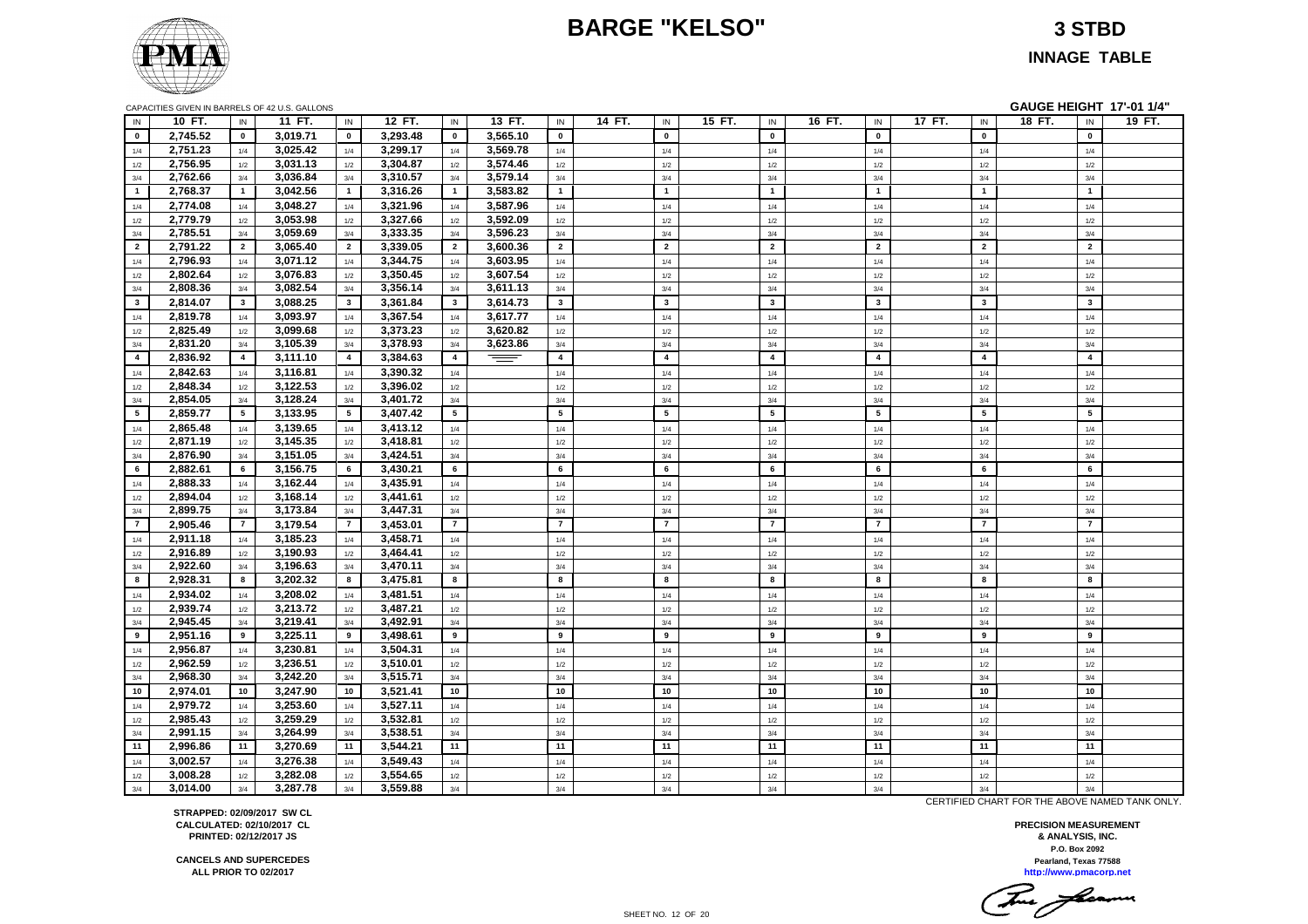# **BARGE "KELSO" 3 STBD**

#### **INNAGE TABLE**

| IN             | 10 FT.               | IN                    | 11 FT.               | IN                    | 12 FT.               | IN                      | 13 FT.   | IN                    | 14 FT. | IN                      | 15 FT. | IN                    | 16 FT. | IN                      | 17 FT. | IN                    | 18 FT. | IN                      | 19 FT. |
|----------------|----------------------|-----------------------|----------------------|-----------------------|----------------------|-------------------------|----------|-----------------------|--------|-------------------------|--------|-----------------------|--------|-------------------------|--------|-----------------------|--------|-------------------------|--------|
| $\mathbf{0}$   | 2.745.52             | $\mathbf{0}$          | 3,019.71             | $\mathbf{0}$          | 3.293.48             | $\mathbf{0}$            | 3.565.10 | $\mathbf{0}$          |        | $\mathbf{0}$            |        | $\mathbf 0$           |        | $\mathbf 0$             |        | $\mathbf 0$           |        | $\mathbf 0$             |        |
| 1/4            | 2,751.23             | 1/4                   | 3,025.42             | 1/4                   | 3,299.17             | 1/4                     | 3,569.78 | 1/4                   |        | 1/4                     |        | 1/4                   |        | 1/4                     |        | 1/4                   |        | 1/4                     |        |
| 1/2            | 2,756.95             | 1/2                   | 3,031.13             | 1/2                   | 3,304.87             | 1/2                     | 3,574.46 | 1/2                   |        | 1/2                     |        | 1/2                   |        | 1/2                     |        | 1/2                   |        | 1/2                     |        |
| 3/4            | 2,762.66             | 3/4                   | 3,036.84             | 3/4                   | 3,310.57             | 3/4                     | 3,579.14 | $3/4$                 |        | 3/4                     |        | 3/4                   |        | 3/4                     |        | 3/4                   |        | 3/4                     |        |
| $\overline{1}$ | 2,768.37             | $\mathbf{1}$          | 3,042.56             | $\overline{1}$        | 3,316.26             | $\overline{1}$          | 3,583.82 | $\overline{1}$        |        | $\overline{1}$          |        | $\overline{1}$        |        | $\overline{1}$          |        | $\mathbf{1}$          |        | $\overline{\mathbf{1}}$ |        |
| 1/4            | 2,774.08             | 1/4                   | 3,048.27             | 1/4                   | 3,321.96             | 1/4                     | 3,587.96 | 1/4                   |        | 1/4                     |        | 1/4                   |        | 1/4                     |        | 1/4                   |        | 1/4                     |        |
| $1/2$          | 2,779.79             | 1/2                   | 3,053.98             | 1/2                   | 3,327.66             | 1/2                     | 3,592.09 | 1/2                   |        | 1/2                     |        | 1/2                   |        | 1/2                     |        | 1/2                   |        | 1/2                     |        |
| 3/4            | 2,785.51             | 3/4                   | 3,059.69             | 3/4                   | 3,333.35             | 3/4                     | 3,596.23 | 3/4                   |        | 3/4                     |        | 3/4                   |        | 3/4                     |        | 3/4                   |        | 3/4                     |        |
| $\overline{2}$ | 2,791.22             | $\overline{2}$        | 3,065.40             | $\overline{2}$        | 3,339.05             | $\overline{2}$          | 3,600.36 | $\overline{2}$        |        | $\overline{2}$          |        | $\overline{2}$        |        | $\overline{2}$          |        | $\overline{2}$        |        | $\overline{2}$          |        |
| 1/4            | 2,796.93             | 1/4                   | 3,071.12             | 1/4                   | 3,344.75             | 1/4                     | 3,603.95 | 1/4                   |        | 1/4                     |        | 1/4                   |        | 1/4                     |        | 1/4                   |        | 1/4                     |        |
| $1/2$          | 2,802.64             | 1/2                   | 3,076.83             | $1/2$                 | 3,350.45             | 1/2                     | 3,607.54 | 1/2                   |        | 1/2                     |        | 1/2                   |        | 1/2                     |        | 1/2                   |        | 1/2                     |        |
| 3/4            | 2,808.36             | 3/4                   | 3,082.54             | 3/4                   | 3,356.14             | 3/4                     | 3,611.13 | 3/4                   |        | 3/4                     |        | 3/4                   |        | 3/4                     |        | 3/4                   |        | 3/4                     |        |
| $\mathbf{3}$   | 2,814.07             | $\mathbf{3}$          | 3,088.25             | $\mathbf{3}$          | 3,361.84             | $\overline{\mathbf{3}}$ | 3,614.73 | $\mathbf{3}$          |        | $\overline{\mathbf{3}}$ |        | $\mathbf{3}$          |        | $\mathbf{3}$            |        | $\mathbf{3}$          |        | $\mathbf{3}$            |        |
| 1/4            | 2,819.78             | 1/4                   | 3,093.97             | 1/4                   | 3,367.54             | 1/4                     | 3,617.77 | 1/4                   |        | 1/4                     |        | 1/4                   |        | 1/4                     |        | 1/4                   |        | 1/4                     |        |
| 1/2            | 2,825.49             | 1/2                   | 3,099.68             | 1/2                   | 3,373.23             | 1/2                     | 3,620.82 | 1/2                   |        | 1/2                     |        | 1/2                   |        | 1/2                     |        | 1/2                   |        | 1/2                     |        |
| 3/4            | 2,831.20             | 3/4                   | 3,105.39             | 3/4                   | 3,378.93             | 3/4                     | 3,623.86 | 3/4                   |        | 3/4                     |        | 3/4                   |        | 3/4                     |        | 3/4                   |        | 3/4                     |        |
| $\overline{4}$ | 2,836.92             | $\overline{4}$        | 3,111.10             | $\overline{4}$        | 3,384.63             | $\overline{4}$          | $-$      | $\overline{4}$        |        | $\overline{a}$          |        | $\overline{4}$        |        | $\overline{\mathbf{4}}$ |        | $\overline{4}$        |        | $\overline{\mathbf{4}}$ |        |
| 1/4            | 2,842.63             | 1/4                   | 3,116.81             | 1/4                   | 3,390.32             | 1/4                     |          | 1/4                   |        | 1/4                     |        | 1/4                   |        | 1/4                     |        | 1/4                   |        | 1/4                     |        |
| 1/2            | 2,848.34             | 1/2                   | 3,122.53             | 1/2                   | 3,396.02             | 1/2                     |          | $1/2$                 |        | 1/2                     |        | 1/2                   |        | 1/2                     |        | 1/2                   |        | 1/2                     |        |
| 3/4            | 2,854.05             | 3/4                   | 3,128.24             | 3/4                   | 3,401.72             | 3/4                     |          | 3/4                   |        | 3/4                     |        | 3/4                   |        | 3/4                     |        | 3/4                   |        | 3/4                     |        |
| 5              | 2,859.77             | $5\overline{ }$       | 3,133.95             | $5\overline{5}$       | 3,407.42             | $5\overline{5}$         |          | $5\overline{5}$       |        | $5\overline{5}$         |        | $\sqrt{5}$            |        | 5                       |        | $5\phantom{a}$        |        | $5\phantom{.0}$         |        |
| 1/4            | 2,865.48             | 1/4                   | 3,139.65             | 1/4                   | 3,413.12             | 1/4                     |          | 1/4                   |        | 1/4                     |        | 1/4                   |        | 1/4                     |        | 1/4                   |        | 1/4                     |        |
| 1/2            | 2,871.19             | $1/2\,$               | 3,145.35             | $1/2$                 | 3,418.81             | $1/2$                   |          | $1/2$                 |        | $1/2\,$                 |        | 1/2                   |        | 1/2                     |        | 1/2                   |        | 1/2                     |        |
| 3/4            | 2,876.90             | 3/4                   | 3,151.05             | 3/4                   | 3,424.51             | 3/4                     |          | 3/4                   |        | 3/4                     |        | 3/4                   |        | 3/4                     |        | 3/4                   |        | 3/4                     |        |
| 6              | 2,882.61             | 6                     | 3,156.75             | 6                     | 3,430.21             | 6                       |          | 6                     |        | 6                       |        | 6                     |        | 6                       |        | 6                     |        | 6                       |        |
| 1/4            | 2.888.33             | 1/4                   | 3,162.44             | 1/4                   | 3,435.91             | 1/4                     |          | 1/4                   |        | 1/4                     |        | 1/4                   |        | 1/4                     |        | 1/4                   |        | 1/4                     |        |
| 1/2            | 2,894.04             | 1/2                   | 3,168.14             | 1/2                   | 3,441.61<br>3,447.31 | 1/2                     |          | 1/2                   |        | 1/2                     |        | 1/2                   |        | 1/2                     |        | 1/2                   |        | 1/2                     |        |
| 3/4            | 2,899.75             | 3/4<br>$\overline{7}$ | 3,173.84<br>3,179.54 | 3/4<br>$\overline{7}$ | 3,453.01             | 3/4<br>$\overline{7}$   |          | 3/4<br>$\overline{7}$ |        | 3/4<br>$\overline{7}$   |        | 3/4<br>$\overline{7}$ |        | 3/4<br>$\overline{7}$   |        | 3/4<br>$\overline{7}$ |        | 3/4<br>$\overline{7}$   |        |
| $\overline{7}$ | 2,905.46             |                       | 3,185.23             |                       |                      |                         |          |                       |        |                         |        |                       |        |                         |        |                       |        |                         |        |
| 1/4            | 2,911.18<br>2,916.89 | 1/4                   | 3,190.93             | 1/4                   | 3,458.71<br>3,464.41 | 1/4                     |          | 1/4                   |        | 1/4                     |        | 1/4                   |        | 1/4                     |        | 1/4                   |        | 1/4                     |        |
| 1/2<br>3/4     | 2,922.60             | 1/2<br>3/4            | 3,196.63             | 1/2<br>3/4            | 3,470.11             | 1/2<br>3/4              |          | 1/2<br>3/4            |        | 1/2<br>3/4              |        | 1/2<br>3/4            |        | 1/2<br>3/4              |        | 1/2<br>3/4            |        | 1/2<br>3/4              |        |
| 8              | 2,928.31             | 8                     | 3,202.32             | 8                     | 3,475.81             | 8                       |          | 8                     |        | 8                       |        | 8                     |        | 8                       |        | 8                     |        | 8                       |        |
| 1/4            | 2,934.02             | 1/4                   | 3,208.02             | 1/4                   | 3,481.51             | 1/4                     |          | 1/4                   |        | 1/4                     |        | 1/4                   |        | 1/4                     |        | 1/4                   |        | 1/4                     |        |
| 1/2            | 2,939.74             | 1/2                   | 3,213.72             | 1/2                   | 3,487.21             | 1/2                     |          | 1/2                   |        | 1/2                     |        | 1/2                   |        | 1/2                     |        | 1/2                   |        | 1/2                     |        |
| 3/4            | 2,945.45             | 3/4                   | 3,219.41             | 3/4                   | 3,492.91             | 3/4                     |          | 3/4                   |        | 3/4                     |        | 3/4                   |        | 3/4                     |        | 3/4                   |        | 3/4                     |        |
| 9              | 2,951.16             | 9                     | 3,225.11             | 9                     | 3,498.61             | 9                       |          | 9                     |        | 9                       |        | 9                     |        | 9                       |        | 9                     |        | 9                       |        |
| 1/4            | 2,956.87             | 1/4                   | 3,230.81             | 1/4                   | 3,504.31             | 1/4                     |          | 1/4                   |        | 1/4                     |        | 1/4                   |        | 1/4                     |        | 1/4                   |        | 1/4                     |        |
| 1/2            | 2,962.59             | 1/2                   | 3,236.51             | 1/2                   | 3,510.01             | 1/2                     |          | 1/2                   |        | 1/2                     |        | 1/2                   |        | 1/2                     |        | 1/2                   |        | 1/2                     |        |
| 3/4            | 2,968.30             | 3/4                   | 3,242.20             | 3/4                   | 3,515.71             | 3/4                     |          | 3/4                   |        | 3/4                     |        | 3/4                   |        | 3/4                     |        | 3/4                   |        | 3/4                     |        |
| 10             | 2,974.01             | 10                    | 3,247.90             | 10                    | 3,521.41             | 10                      |          | 10                    |        | 10                      |        | 10                    |        | 10                      |        | 10                    |        | 10                      |        |
| 1/4            | 2,979.72             | 1/4                   | 3,253.60             | 1/4                   | 3,527.11             | 1/4                     |          | $1/4$                 |        | 1/4                     |        | 1/4                   |        | 1/4                     |        | $1/4$                 |        | 1/4                     |        |
| 1/2            | 2,985.43             | 1/2                   | 3,259.29             | 1/2                   | 3,532.81             | 1/2                     |          | 1/2                   |        | 1/2                     |        | 1/2                   |        | 1/2                     |        | 1/2                   |        | 1/2                     |        |
| 3/4            | 2,991.15             | 3/4                   | 3,264.99             | 3/4                   | 3,538.51             | 3/4                     |          | 3/4                   |        | 3/4                     |        | 3/4                   |        | 3/4                     |        | 3/4                   |        | 3/4                     |        |
| 11             | 2,996.86             | 11                    | 3,270.69             | 11                    | 3,544.21             | 11                      |          | 11                    |        | 11                      |        | 11                    |        | 11                      |        | 11                    |        | 11                      |        |
| 1/4            | 3,002.57             | 1/4                   | 3,276.38             | 1/4                   | 3,549.43             | 1/4                     |          | 1/4                   |        | 1/4                     |        | 1/4                   |        | 1/4                     |        | 1/4                   |        | 1/4                     |        |
| 1/2            | 3,008.28             | 1/2                   | 3,282.08             | 1/2                   | 3,554.65             | 1/2                     |          | 1/2                   |        | 1/2                     |        | 1/2                   |        | 1/2                     |        | 1/2                   |        | 1/2                     |        |
| 3/4            | 3,014.00             | 3/4                   | 3,287.78             | 3/4                   | 3,559.88             | 3/4                     |          | 3/4                   |        | 3/4                     |        | 3/4                   |        | 3/4                     |        | 3/4                   |        | 3/4                     |        |

CAPACITIES GIVEN IN BARRELS OF 42 U.S. GALLONS **GAUGE HEIGHT 17'-01 1/4"**

CERTIFIED CHART FOR THE ABOVE NAMED TANK ONLY.

**P.O. Box 2092 PRECISION MEASUREMENT & ANALYSIS, INC. http://www.pmacorp.net Pearland, Texas 77588**

Two farmer

**CANCELS AND SUPERCEDES ALL PRIOR TO 02/2017 PRINTED: 02/12/2017 JS**

**STRAPPED: 02/09/2017 SW CL CALCULATED: 02/10/2017 CL**

SHEET NO. 12 OF 20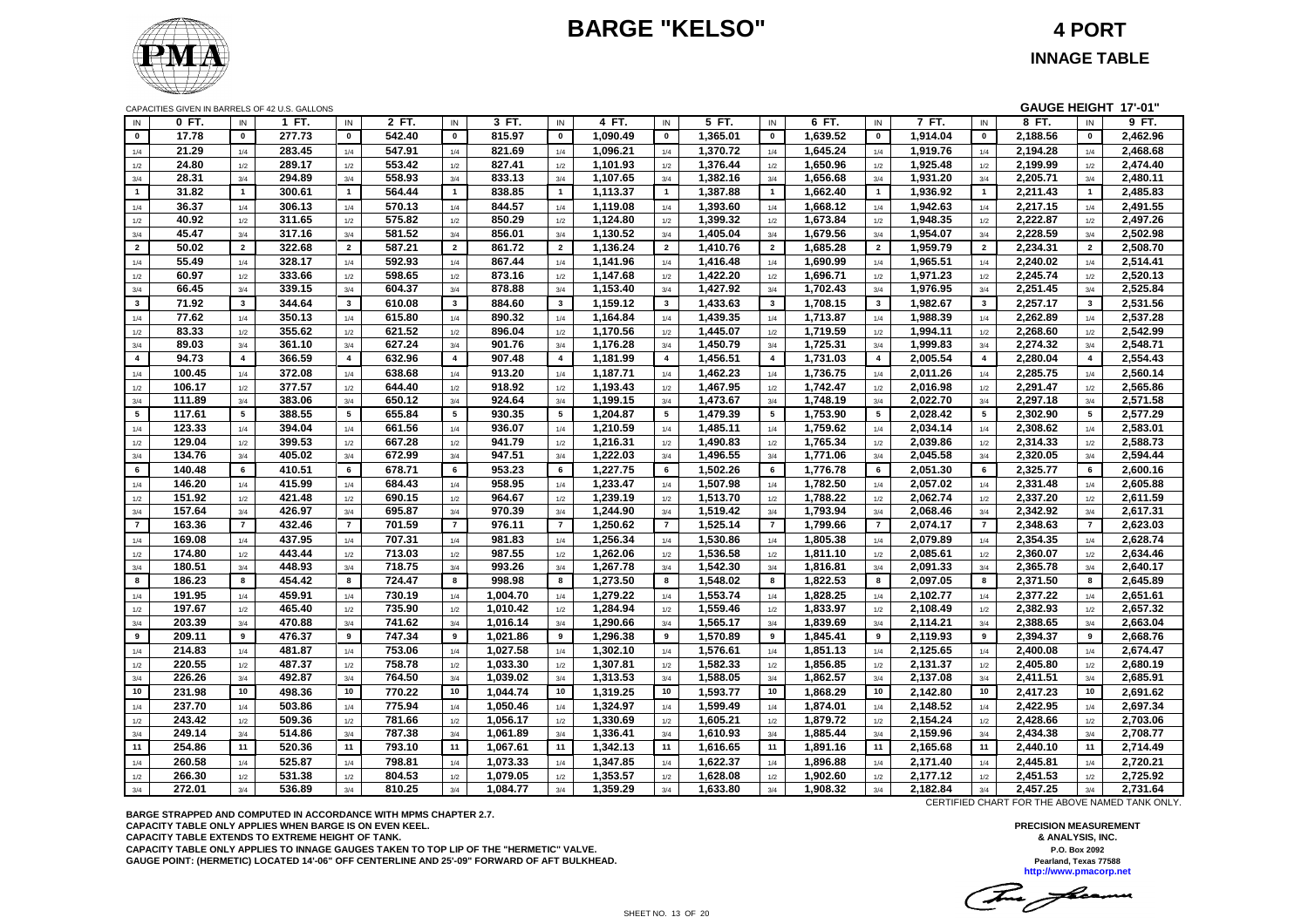# **BARGE "KELSO" 4 PORT**



|                | CAPACITIES GIVEN IN BARRELS OF 42 U.S. GALLONS |                 |        |                         |        |                         |          |                |          |                |          |                         |          |                  |          |                | GAUGE HEIGHT 17'-01" |                         |          |
|----------------|------------------------------------------------|-----------------|--------|-------------------------|--------|-------------------------|----------|----------------|----------|----------------|----------|-------------------------|----------|------------------|----------|----------------|----------------------|-------------------------|----------|
| IN             | 0 FT.                                          | IN              | 1 FT.  | IN                      | 2 FT.  | IN                      | 3 FT.    | IN             | 4 FT.    | IN             | 5 FT.    | IN                      | $6$ FT.  | IN               | 7 FT.    | IN             | 8 FT.                | IN                      | 9 FT.    |
| $\mathbf{0}$   | 17.78                                          | $\mathbf{0}$    | 277.73 | $\mathbf{0}$            | 542.40 | $\mathbf 0$             | 815.97   | $\mathbf{0}$   | 1,090.49 | $\mathbf{0}$   | 1,365.01 | $\mathbf 0$             | 1,639.52 | $\mathbf{0}$     | 1,914.04 | $\pmb{0}$      | 2,188.56             | $\mathbf{0}$            | 2,462.96 |
| 1/4            | 21.29                                          | 1/4             | 283.45 | 1/4                     | 547.91 | 1/4                     | 821.69   | 1/4            | 1,096.21 | 1/4            | 1,370.72 | 1/4                     | 1,645.24 | 1/4              | 1,919.76 | 1/4            | 2,194.28             | 1/4                     | 2,468.68 |
| 1/2            | 24.80                                          | 1/2             | 289.17 | 1/2                     | 553.42 | 1/2                     | 827.41   | 1/2            | 1,101.93 | 1/2            | 1,376.44 | 1/2                     | 1,650.96 | 1/2              | 1,925.48 | 1/2            | 2,199.99             | 1/2                     | 2,474.40 |
| 3/4            | 28.31                                          | 3/4             | 294.89 | 3/4                     | 558.93 | 3/4                     | 833.13   | 3/4            | 1,107.65 | 3/4            | 1,382.16 | 3/4                     | 1,656.68 | 3/4              | 1,931.20 | 3/4            | 2,205.71             | 3/4                     | 2,480.11 |
| $\mathbf{1}$   | 31.82                                          | $\mathbf{1}$    | 300.61 | $\mathbf{1}$            | 564.44 | $\mathbf{1}$            | 838.85   | $\overline{1}$ | 1,113.37 | $\mathbf{1}$   | 1,387.88 | $\mathbf{1}$            | 1,662.40 | $\mathbf{1}$     | 1,936.92 | $\mathbf{1}$   | 2,211.43             | $\overline{1}$          | 2,485.83 |
| 1/4            | 36.37                                          | 1/4             | 306.13 | 1/4                     | 570.13 | 1/4                     | 844.57   | 1/4            | 1,119.08 | 1/4            | 1,393.60 | 1/4                     | 1,668.12 | 1/4              | 1,942.63 | 1/4            | 2,217.15             | 1/4                     | 2,491.55 |
| 1/2            | 40.92                                          | 1/2             | 311.65 | 1/2                     | 575.82 | 1/2                     | 850.29   | 1/2            | 1,124.80 | 1/2            | 1,399.32 | 1/2                     | 1,673.84 | 1/2              | 1,948.35 | 1/2            | 2,222.87             | 1/2                     | 2,497.26 |
| 3/4            | 45.47                                          | 3/4             | 317.16 | 3/4                     | 581.52 | 3/4                     | 856.01   | 3/4            | 1,130.52 | 3/4            | 1,405.04 | 3/4                     | 1,679.56 | 3/4              | 1,954.07 | 3/4            | 2,228.59             | 3/4                     | 2,502.98 |
| $\overline{2}$ | 50.02                                          | $\overline{2}$  | 322.68 | $\overline{2}$          | 587.21 | $\overline{2}$          | 861.72   | $\overline{2}$ | 1,136.24 | $\overline{2}$ | 1,410.76 | $\overline{2}$          | 1,685.28 | $\overline{2}$   | 1,959.79 | $\overline{2}$ | 2,234.31             | $\overline{2}$          | 2,508.70 |
| 1/4            | 55.49                                          | 1/4             | 328.17 | 1/4                     | 592.93 | 1/4                     | 867.44   | 1/4            | 1,141.96 | 1/4            | 1,416.48 | $1/4$                   | 1,690.99 | 1/4              | 1,965.51 | $1/4$          | 2,240.02             | 1/4                     | 2,514.41 |
| 1/2            | 60.97                                          | 1/2             | 333.66 | 1/2                     | 598.65 | $1/2$                   | 873.16   | 1/2            | 1,147.68 | 1/2            | 1,422.20 | $1/2$                   | 1,696.71 | 1/2              | 1,971.23 | $1/2$          | 2,245.74             | 1/2                     | 2,520.13 |
| 3/4            | 66.45                                          | 3/4             | 339.15 | 3/4                     | 604.37 | 3/4                     | 878.88   | 3/4            | 1,153.40 | 3/4            | 1,427.92 | 3/4                     | 1,702.43 | 3/4              | 1,976.95 | 3/4            | 2,251.45             | 3/4                     | 2,525.84 |
| $\mathbf{3}$   | 71.92                                          | $\mathbf{3}$    | 344.64 | $3^{\circ}$             | 610.08 | $\mathbf{3}$            | 884.60   | $\mathbf{3}$   | 1,159.12 | $\mathbf{3}$   | 1,433.63 | $\mathbf{3}$            | 1,708.15 | $\mathbf{3}$     | 1,982.67 | 3              | 2,257.17             | $\overline{\mathbf{3}}$ | 2,531.56 |
| 1/4            | 77.62                                          | $1/4$           | 350.13 | 1/4                     | 615.80 | 1/4                     | 890.32   | 1/4            | 1,164.84 | 1/4            | 1,439.35 | 1/4                     | 1,713.87 | 1/4              | 1,988.39 | 1/4            | 2,262.89             | 1/4                     | 2,537.28 |
| 1/2            | 83.33                                          | 1/2             | 355.62 | 1/2                     | 621.52 | 1/2                     | 896.04   | 1/2            | 1,170.56 | 1/2            | 1,445.07 | 1/2                     | 1,719.59 | 1/2              | 1,994.11 | 1/2            | 2.268.60             | 1/2                     | 2,542.99 |
| 3/4            | 89.03                                          | 3/4             | 361.10 | 3/4                     | 627.24 | 3/4                     | 901.76   | 3/4            | 1,176.28 | 3/4            | 1,450.79 | 3/4                     | 1,725.31 | 3/4              | 1,999.83 | 3/4            | 2,274.32             | 3/4                     | 2,548.71 |
| $\overline{4}$ | 94.73                                          | $\overline{4}$  | 366.59 | $\overline{\mathbf{4}}$ | 632.96 | $\overline{\mathbf{4}}$ | 907.48   | $\overline{4}$ | 1.181.99 | $\overline{4}$ | 1.456.51 | $\overline{\mathbf{4}}$ | 1,731.03 | $\overline{4}$   | 2,005.54 | $\overline{4}$ | 2.280.04             | $\overline{4}$          | 2,554.43 |
| 1/4            | 100.45                                         | 1/4             | 372.08 | 1/4                     | 638.68 | 1/4                     | 913.20   | 1/4            | 1,187.71 | 1/4            | 1,462.23 | 1/4                     | 1,736.75 | 1/4              | 2,011.26 | 1/4            | 2,285.75             | 1/4                     | 2,560.14 |
| 1/2            | 106.17                                         | 1/2             | 377.57 | 1/2                     | 644.40 | 1/2                     | 918.92   | 1/2            | 1,193.43 | 1/2            | 1,467.95 | 1/2                     | 1,742.47 | 1/2              | 2,016.98 | 1/2            | 2,291.47             | 1/2                     | 2,565.86 |
| 3/4            | 111.89                                         | 3/4             | 383.06 | 3/4                     | 650.12 | 3/4                     | 924.64   | 3/4            | 1,199.15 | 3/4            | 1,473.67 | 3/4                     | 1,748.19 | 3/4              | 2,022.70 | 3/4            | 2,297.18             | 3/4                     | 2,571.58 |
| 5              | 117.61                                         | $5\phantom{.0}$ | 388.55 | $5\phantom{.0}$         | 655.84 | 5                       | 930.35   | 5              | 1,204.87 | 5              | 1,479.39 | $\sqrt{5}$              | 1,753.90 | 5                | 2,028.42 | 5              | 2,302.90             | 5                       | 2,577.29 |
| 1/4            | 123.33                                         | 1/4             | 394.04 | 1/4                     | 661.56 | 1/4                     | 936.07   | 1/4            | 1,210.59 | 1/4            | 1,485.11 | 1/4                     | 1,759.62 | 1/4              | 2,034.14 | 1/4            | 2,308.62             | 1/4                     | 2,583.01 |
| 1/2            | 129.04                                         | 1/2             | 399.53 | 1/2                     | 667.28 | 1/2                     | 941.79   | 1/2            | 1,216.31 | 1/2            | 1,490.83 | 1/2                     | 1,765.34 | 1/2              | 2,039.86 | 1/2            | 2,314.33             | 1/2                     | 2,588.73 |
| 3/4            | 134.76                                         | 3/4             | 405.02 | 3/4                     | 672.99 | 3/4                     | 947.51   | 3/4            | 1,222.03 | 3/4            | 1,496.55 | 3/4                     | 1,771.06 | 3/4              | 2,045.58 | 3/4            | 2,320.05             | 3/4                     | 2,594.44 |
| 6              | 140.48                                         | 6               | 410.51 | 6                       | 678.71 | 6                       | 953.23   | 6              | 1,227.75 | 6              | 1,502.26 | 6                       | 1,776.78 | 6                | 2,051.30 | 6              | 2,325.77             | 6                       | 2,600.16 |
| 1/4            | 146.20                                         | 1/4             | 415.99 | 1/4                     | 684.43 | 1/4                     | 958.95   | 1/4            | 1,233.47 | 1/4            | 1,507.98 | 1/4                     | 1,782.50 | 1/4              | 2,057.02 | 1/4            | 2,331.48             | 1/4                     | 2,605.88 |
| 1/2            | 151.92                                         | 1/2             | 421.48 | 1/2                     | 690.15 | 1/2                     | 964.67   | 1/2            | 1,239.19 | 1/2            | 1,513.70 | 1/2                     | 1,788.22 | 1/2              | 2,062.74 | $1/2$          | 2,337.20             | 1/2                     | 2,611.59 |
| 3/4            | 157.64                                         | 3/4             | 426.97 | 3/4                     | 695.87 | 3/4                     | 970.39   | 3/4            | 1,244.90 | 3/4            | 1,519.42 | 3/4                     | 1,793.94 | 3/4              | 2,068.46 | 3/4            | 2,342.92             | 3/4                     | 2,617.31 |
| $\overline{7}$ | 163.36                                         | $\overline{7}$  | 432.46 | $\overline{7}$          | 701.59 | $\overline{7}$          | 976.11   | $\overline{7}$ | 1,250.62 | $\overline{7}$ | 1,525.14 | $\overline{7}$          | 1,799.66 | $\overline{7}$   | 2,074.17 | $\overline{7}$ | 2,348.63             | $\overline{7}$          | 2,623.03 |
| 1/4            | 169.08                                         | 1/4             | 437.95 | 1/4                     | 707.31 | 1/4                     | 981.83   | 1/4            | 1,256.34 | 1/4            | 1,530.86 | 1/4                     | 1,805.38 | 1/4              | 2,079.89 | 1/4            | 2,354.35             | 1/4                     | 2,628.74 |
| 1/2            | 174.80                                         | 1/2             | 443.44 | 1/2                     | 713.03 | 1/2                     | 987.55   | 1/2            | 1,262.06 | 1/2            | 1,536.58 | 1/2                     | 1,811.10 | 1/2              | 2,085.61 | 1/2            | 2,360.07             | 1/2                     | 2,634.46 |
| 3/4            | 180.51                                         | 3/4             | 448.93 | 3/4                     | 718.75 | 3/4                     | 993.26   | 3/4            | 1,267.78 | 3/4            | 1,542.30 | 3/4                     | 1,816.81 | 3/4              | 2,091.33 | 3/4            | 2,365.78             | 3/4                     | 2,640.17 |
| 8              | 186.23                                         | 8               | 454.42 | 8                       | 724.47 | 8                       | 998.98   | 8              | 1,273.50 | 8              | 1,548.02 | 8                       | 1.822.53 | 8                | 2.097.05 | 8              | 2,371.50             | 8                       | 2,645.89 |
| 1/4            | 191.95                                         | 1/4             | 459.91 | 1/4                     | 730.19 | 1/4                     | 1,004.70 | 1/4            | 1,279.22 | 1/4            | 1,553.74 | 1/4                     | 1,828.25 | 1/4              | 2,102.77 | 1/4            | 2,377.22             | 1/4                     | 2,651.61 |
| 1/2            | 197.67                                         | 1/2             | 465.40 | 1/2                     | 735.90 | 1/2                     | 1,010.42 | 1/2            | 1,284.94 | 1/2            | 1,559.46 | 1/2                     | 1,833.97 | 1/2              | 2,108.49 | 1/2            | 2,382.93             | 1/2                     | 2,657.32 |
| 3/4            | 203.39                                         | 3/4             | 470.88 | 3/4                     | 741.62 | 3/4                     | 1,016.14 | 3/4            | 1,290.66 | 3/4            | 1,565.17 | 3/4                     | 1,839.69 | 3/4              | 2,114.21 | 3/4            | 2,388.65             | 3/4                     | 2,663.04 |
| 9              | 209.11                                         | 9               | 476.37 | 9                       | 747.34 | 9                       | 1,021.86 | 9              | 1,296.38 | 9              | 1,570.89 | 9                       | 1,845.41 | $\boldsymbol{9}$ | 2,119.93 | 9              | 2,394.37             | 9                       | 2,668.76 |
| 1/4            | 214.83                                         | 1/4             | 481.87 | 1/4                     | 753.06 | 1/4                     | 1,027.58 | 1/4            | 1,302.10 | 1/4            | 1,576.61 | 1/4                     | 1,851.13 | 1/4              | 2,125.65 | 1/4            | 2,400.08             | 1/4                     | 2,674.47 |
| 1/2            | 220.55                                         | 1/2             | 487.37 | 1/2                     | 758.78 | 1/2                     | 1,033.30 | 1/2            | 1,307.81 | 1/2            | 1,582.33 | 1/2                     | 1,856.85 | 1/2              | 2,131.37 | 1/2            | 2,405.80             | 1/2                     | 2,680.19 |
| 3/4            | 226.26                                         | 3/4             | 492.87 | 3/4                     | 764.50 | 3/4                     | 1,039.02 | 3/4            | 1,313.53 | 3/4            | 1,588.05 | 3/4                     | 1,862.57 | 3/4              | 2,137.08 | 3/4            | 2,411.51             | 3/4                     | 2,685.91 |
| 10             | 231.98                                         | 10              | 498.36 | 10                      | 770.22 | 10                      | 1,044.74 | 10             | 1,319.25 | 10             | 1,593.77 | 10                      | 1,868.29 | 10               | 2,142.80 | 10             | 2,417.23             | 10                      | 2,691.62 |
| 1/4            | 237.70                                         | 1/4             | 503.86 | 1/4                     | 775.94 | 1/4                     | 1,050.46 | 1/4            | 1,324.97 | 1/4            | 1,599.49 | 1/4                     | 1,874.01 | 1/4              | 2,148.52 | 1/4            | 2,422.95             | 1/4                     | 2,697.34 |
| 1/2            | 243.42                                         | 1/2             | 509.36 | 1/2                     | 781.66 | 1/2                     | 1,056.17 | 1/2            | 1,330.69 | 1/2            | 1,605.21 | 1/2                     | 1,879.72 | 1/2              | 2,154.24 | 1/2            | 2,428.66             | 1/2                     | 2,703.06 |
| 3/4            | 249.14                                         | 3/4             | 514.86 | 3/4                     | 787.38 | 3/4                     | 1,061.89 | 3/4            | 1,336.41 | 3/4            | 1,610.93 | 3/4                     | 1,885.44 | 3/4              | 2,159.96 | 3/4            | 2,434.38             | 3/4                     | 2,708.77 |
| 11             | 254.86                                         | 11              | 520.36 | 11                      | 793.10 | 11                      | 1,067.61 | 11             | 1,342.13 | 11             | 1,616.65 | 11                      | 1,891.16 | 11               | 2,165.68 | 11             | 2,440.10             | 11                      | 2,714.49 |
| 1/4            | 260.58                                         | 1/4             | 525.87 | 1/4                     | 798.81 | 1/4                     | 1,073.33 | 1/4            | 1,347.85 | 1/4            | 1,622.37 | 1/4                     | 1,896.88 | 1/4              | 2,171.40 | 1/4            | 2,445.81             | 1/4                     | 2,720.21 |
|                | 266.30                                         | 1/2             | 531.38 |                         | 804.53 |                         | 1,079.05 | 1/2            | 1,353.57 | 1/2            | 1,628.08 |                         | 1,902.60 | 1/2              | 2,177.12 | 1/2            | 2,451.53             | 1/2                     | 2,725.92 |
| 1/2<br>3/4     | 272.01                                         | 3/4             | 536.89 | 1/2<br>3/4              | 810.25 | 1/2<br>3/4              | 1,084.77 | 3/4            | 1,359.29 | 3/4            | 1,633.80 | 1/2<br>3/4              | 1,908.32 | 3/4              | 2,182.84 | 3/4            | 2,457.25             | 3/4                     | 2,731.64 |
|                |                                                |                 |        |                         |        |                         |          |                |          |                |          |                         |          |                  |          |                |                      |                         |          |

**BARGE STRAPPED AND COMPUTED IN ACCORDANCE WITH MPMS CHAPTER 2.7. CAPACITY TABLE ONLY APPLIES WHEN BARGE IS ON EVEN KEEL. CAPACITY TABLE EXTENDS TO EXTREME HEIGHT OF TANK. CAPACITY TABLE ONLY APPLIES TO INNAGE GAUGES TAKEN TO TOP LIP OF THE "HERMETIC" VALVE. GAUGE POINT: (HERMETIC) LOCATED 14'-06" OFF CENTERLINE AND 25'-09" FORWARD OF AFT BULKHEAD.** CERTIFIED CHART FOR THE ABOVE NAMED TANK ONLY.

This floam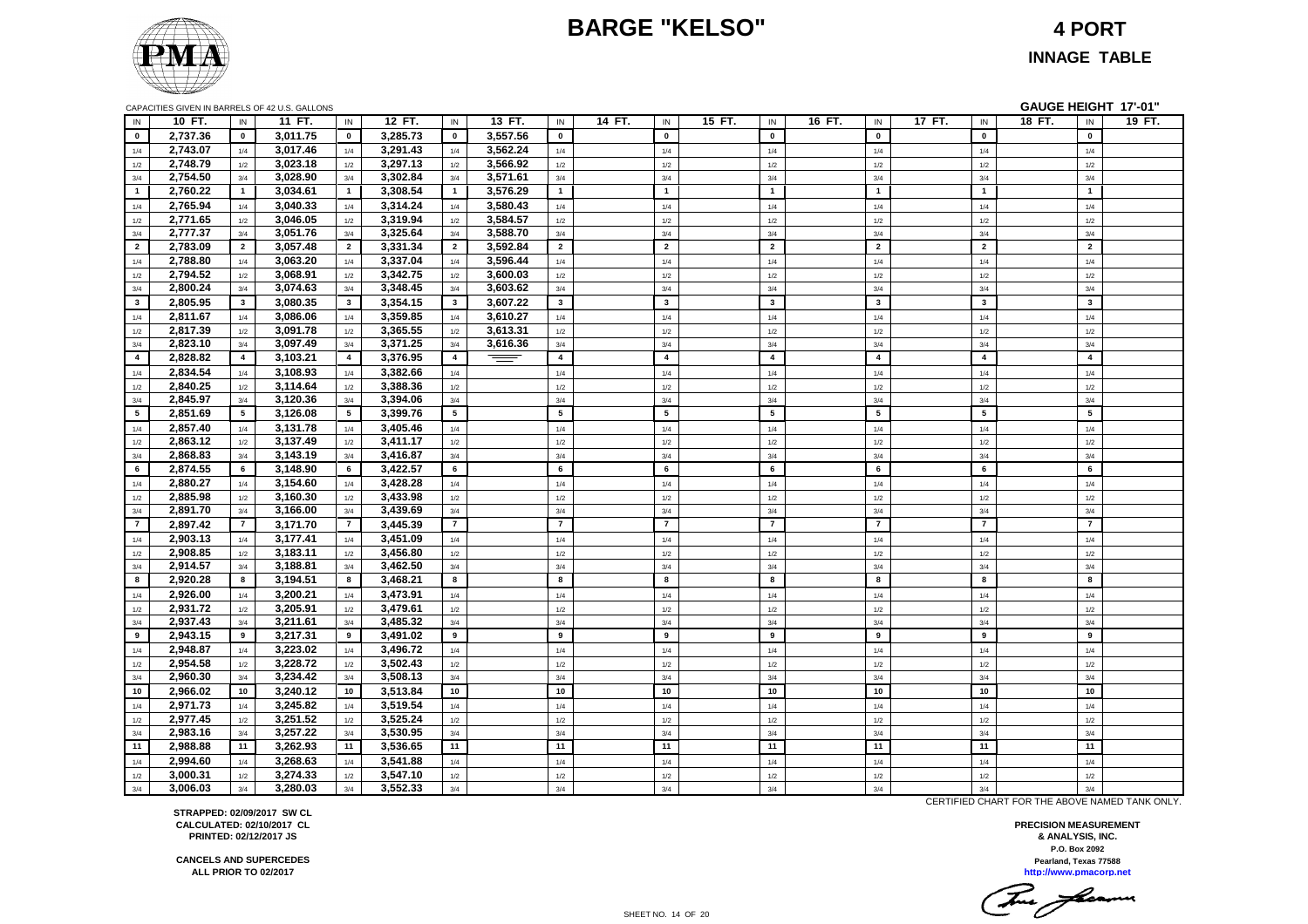# **BARGE "KELSO" 4 PORT**



**INNAGE TABLE**

|                         |          |                | CAPACITIES GIVEN IN BARRELS OF 42 U.S. GALLONS |                |          |                |          |                         |                |        |                |        |                         |        |                | GAUGE HEIGHT 17'-01" |                         |        |
|-------------------------|----------|----------------|------------------------------------------------|----------------|----------|----------------|----------|-------------------------|----------------|--------|----------------|--------|-------------------------|--------|----------------|----------------------|-------------------------|--------|
| IN                      | 10 FT.   | IN             | 11 FT.                                         | IN             | 12 FT.   | IN             | 13 FT.   | IN                      | 14 FT.<br>IN   | 15 FT. | IN             | 16 FT. | IN                      | 17 FT. | IN             | 18 FT.               | $\sf IN$                | 19 FT. |
| $\mathbf{0}$            | 2,737.36 | $\mathbf{0}$   | 3,011.75                                       | $\mathbf 0$    | 3,285.73 | $\mathbf 0$    | 3,557.56 | $\mathbf 0$             | $\mathbf 0$    |        | $\pmb{0}$      |        | $\mathbf{0}$            |        | $\mathbf{0}$   |                      | $\pmb{0}$               |        |
| 1/4                     | 2,743.07 | 1/4            | 3,017.46                                       | 1/4            | 3,291.43 | 1/4            | 3,562.24 | $1/4$                   | $1/4$          |        | 1/4            |        | 1/4                     |        | 1/4            |                      | $1/4$                   |        |
| 1/2                     | 2,748.79 | 1/2            | 3,023.18                                       | 1/2            | 3,297.13 | 1/2            | 3,566.92 | 1/2                     | 1/2            |        | 1/2            |        | 1/2                     |        | 1/2            |                      | 1/2                     |        |
| 3/4                     | 2,754.50 | 3/4            | 3,028.90                                       | 3/4            | 3,302.84 | 3/4            | 3,571.61 | 3/4                     | 3/4            |        | 3/4            |        | 3/4                     |        | 3/4            |                      | 3/4                     |        |
| $\blacksquare$          | 2,760.22 | $\overline{1}$ | 3,034.61                                       | $\overline{1}$ | 3,308.54 | $\overline{1}$ | 3,576.29 | $\mathbf{1}$            | $\overline{1}$ |        | $\mathbf{1}$   |        | $\overline{1}$          |        | $\mathbf{1}$   |                      | $\overline{1}$          |        |
| 1/4                     | 2,765.94 | 1/4            | 3,040.33                                       | 1/4            | 3,314.24 | 1/4            | 3,580.43 | 1/4                     | 1/4            |        | 1/4            |        | 1/4                     |        | 1/4            |                      | 1/4                     |        |
| 1/2                     | 2,771.65 | 1/2            | 3,046.05                                       | 1/2            | 3,319.94 | 1/2            | 3,584.57 | $1/2$                   | $1/2$          |        | 1/2            |        | 1/2                     |        | 1/2            |                      | 1/2                     |        |
| 3/4                     | 2,777.37 | 3/4            | 3,051.76                                       | 3/4            | 3,325.64 | 3/4            | 3,588.70 | 3/4                     | 3/4            |        | 3/4            |        | 3/4                     |        | 3/4            |                      | 3/4                     |        |
| $\overline{2}$          | 2,783.09 | $\overline{2}$ | 3,057.48                                       | $\overline{2}$ | 3,331.34 | $\overline{2}$ | 3,592.84 | $\overline{2}$          | $\overline{2}$ |        | $\overline{2}$ |        | $\overline{2}$          |        | $\overline{2}$ |                      | $\overline{2}$          |        |
| 1/4                     | 2,788.80 | 1/4            | 3,063.20                                       | 1/4            | 3,337.04 | 1/4            | 3,596.44 | 1/4                     | 1/4            |        | 1/4            |        | 1/4                     |        | 1/4            |                      | 1/4                     |        |
| 1/2                     | 2,794.52 | 1/2            | 3,068.91                                       | 1/2            | 3,342.75 | 1/2            | 3,600.03 | 1/2                     | 1/2            |        | 1/2            |        | 1/2                     |        | 1/2            |                      | 1/2                     |        |
| 3/4                     | 2,800.24 | 3/4            | 3,074.63                                       | 3/4            | 3,348.45 | 3/4            | 3,603.62 | 3/4                     | 3/4            |        | 3/4            |        | 3/4                     |        | 3/4            |                      | 3/4                     |        |
| $\overline{\mathbf{3}}$ | 2,805.95 | $\mathbf{3}$   | 3,080.35                                       | $\mathbf{3}$   | 3,354.15 | $\mathbf{3}$   | 3,607.22 | 3 <sup>1</sup>          | $\mathbf{3}$   |        | $\mathbf{3}$   |        | $\overline{\mathbf{3}}$ |        | $\mathbf{3}$   |                      | $\overline{\mathbf{3}}$ |        |
| 1/4                     | 2,811.67 | 1/4            | 3,086.06                                       | 1/4            | 3,359.85 | 1/4            | 3,610.27 | 1/4                     | 1/4            |        | 1/4            |        | 1/4                     |        | 1/4            |                      | 1/4                     |        |
| 1/2                     | 2,817.39 | 1/2            | 3,091.78                                       | 1/2            | 3,365.55 | 1/2            | 3,613.31 | 1/2                     | 1/2            |        | 1/2            |        | 1/2                     |        | 1/2            |                      | 1/2                     |        |
| 3/4                     | 2,823.10 | 3/4            | 3,097.49                                       | $3/4$          | 3,371.25 | 3/4            | 3,616.36 | 3/4                     | 3/4            |        | 3/4            |        | 3/4                     |        | 3/4            |                      | 3/4                     |        |
| $\overline{4}$          | 2,828.82 | $\overline{4}$ | 3,103.21                                       | $\overline{4}$ | 3,376.95 | $\overline{4}$ | $=$      | $\overline{\mathbf{4}}$ | $\overline{4}$ |        | $\overline{4}$ |        | $\overline{4}$          |        | $\overline{4}$ |                      | $\overline{\mathbf{4}}$ |        |
| 1/4                     | 2,834.54 | 1/4            | 3,108.93                                       | 1/4            | 3,382.66 | 1/4            |          | 1/4                     | 1/4            |        | 1/4            |        | 1/4                     |        | 1/4            |                      | 1/4                     |        |
| 1/2                     | 2,840.25 | 1/2            | 3,114.64                                       | 1/2            | 3,388.36 | 1/2            |          | 1/2                     | 1/2            |        | 1/2            |        | 1/2                     |        | 1/2            |                      | 1/2                     |        |
| 3/4                     | 2,845.97 | 3/4            | 3,120.36                                       | 3/4            | 3,394.06 | 3/4            |          | $3/4$                   | 3/4            |        | 3/4            |        | 3/4                     |        | 3/4            |                      | 3/4                     |        |
| 5                       | 2.851.69 | 5              | 3,126.08                                       | 5              | 3.399.76 | 5              |          | 5                       | 5              |        | 5              |        | 5                       |        | 5              |                      | 5                       |        |
| 1/4                     | 2,857.40 | 1/4            | 3,131.78                                       | 1/4            | 3,405.46 | 1/4            |          | 1/4                     | 1/4            |        | 1/4            |        | 1/4                     |        | 1/4            |                      | 1/4                     |        |
| 1/2                     | 2,863.12 | 1/2            | 3,137.49                                       | 1/2            | 3,411.17 | 1/2            |          | 1/2                     | 1/2            |        | 1/2            |        | 1/2                     |        | 1/2            |                      | 1/2                     |        |
| 3/4                     | 2,868.83 | 3/4            | 3,143.19                                       | 3/4            | 3,416.87 | 3/4            |          | 3/4                     | 3/4            |        | 3/4            |        | 3/4                     |        | 3/4            |                      | 3/4                     |        |
| 6                       | 2,874.55 | 6              | 3,148.90                                       | 6              | 3,422.57 | 6              |          | 6                       | 6              |        | 6              |        | 6                       |        | 6              |                      | 6                       |        |
| 1/4                     | 2,880.27 | 1/4            | 3,154.60                                       | 1/4            | 3,428.28 | 1/4            |          | 1/4                     | 1/4            |        | 1/4            |        | 1/4                     |        | 1/4            |                      | 1/4                     |        |
| 1/2                     | 2,885.98 | 1/2            | 3,160.30                                       | 1/2            | 3,433.98 | 1/2            |          | 1/2                     | 1/2            |        | 1/2            |        | 1/2                     |        | 1/2            |                      | 1/2                     |        |
| 3/4                     | 2,891.70 | 3/4            | 3,166.00                                       | 3/4            | 3,439.69 | 3/4            |          | 3/4                     | 3/4            |        | 3/4            |        | 3/4                     |        | 3/4            |                      | 3/4                     |        |
| $\overline{7}$          | 2,897.42 | $\overline{7}$ | 3,171.70                                       | $\overline{7}$ | 3,445.39 | $\overline{7}$ |          | $\overline{7}$          | $\overline{7}$ |        | $\overline{7}$ |        | $\overline{7}$          |        | $\overline{7}$ |                      | $\overline{7}$          |        |
| 1/4                     | 2,903.13 | 1/4            | 3,177.41                                       | 1/4            | 3,451.09 | 1/4            |          | 1/4                     | 1/4            |        | 1/4            |        | 1/4                     |        | 1/4            |                      | 1/4                     |        |
| 1/2                     | 2.908.85 | 1/2            | 3,183.11                                       | 1/2            | 3.456.80 | 1/2            |          | 1/2                     | 1/2            |        | 1/2            |        | 1/2                     |        | 1/2            |                      | 1/2                     |        |
| 3/4                     | 2,914.57 | 3/4            | 3,188.81                                       | 3/4            | 3,462.50 | 3/4            |          | 3/4                     | 3/4            |        | 3/4            |        | 3/4                     |        | 3/4            |                      | 3/4                     |        |
| 8                       | 2,920.28 | 8              | 3,194.51                                       | 8              | 3,468.21 | 8              |          | 8                       | 8              |        | 8              |        | 8                       |        | 8              |                      | 8                       |        |
| 1/4                     | 2,926.00 | 1/4            | 3,200.21                                       | 1/4            | 3,473.91 | 1/4            |          | 1/4                     | 1/4            |        | 1/4            |        | 1/4                     |        | 1/4            |                      | 1/4                     |        |
| 1/2                     | 2,931.72 | 1/2            | 3.205.91                                       | 1/2            | 3.479.61 | 1/2            |          | 1/2                     | 1/2            |        | 1/2            |        | 1/2                     |        | 1/2            |                      | 1/2                     |        |
| 3/4                     | 2,937.43 | 3/4            | 3,211.61                                       | 3/4            | 3,485.32 | 3/4            |          | 3/4                     | 3/4            |        | 3/4            |        | 3/4                     |        | 3/4            |                      | 3/4                     |        |
| 9                       | 2,943.15 | 9              | 3,217.31                                       | 9              | 3,491.02 | 9              |          | 9                       | 9              |        | 9              |        | 9                       |        | 9              |                      | 9                       |        |
| 1/4                     | 2,948.87 | 1/4            | 3,223.02                                       | 1/4            | 3,496.72 | 1/4            |          | 1/4                     | 1/4            |        | 1/4            |        | 1/4                     |        | 1/4            |                      | 1/4                     |        |
| 1/2                     | 2.954.58 | 1/2            | 3,228.72                                       | 1/2            | 3.502.43 | 1/2            |          | 1/2                     | 1/2            |        | 1/2            |        | 1/2                     |        | 1/2            |                      | 1/2                     |        |
| 3/4                     | 2,960.30 | 3/4            | 3,234.42                                       | 3/4            | 3,508.13 | 3/4            |          | 3/4                     | 3/4            |        | 3/4            |        | 3/4                     |        | 3/4            |                      | 3/4                     |        |
| 10                      | 2,966.02 | 10             | 3,240.12                                       | 10             | 3,513.84 | 10             |          | 10                      | 10             |        | 10             |        | 10                      |        | 10             |                      | 10                      |        |
| 1/4                     | 2,971.73 | 1/4            | 3,245.82                                       | 1/4            | 3,519.54 | 1/4            |          | 1/4                     | 1/4            |        | 1/4            |        | 1/4                     |        | 1/4            |                      | 1/4                     |        |
| 1/2                     | 2,977.45 | 1/2            | 3,251.52                                       | $1/2$          | 3,525.24 | 1/2            |          | 1/2                     | 1/2            |        | 1/2            |        | $1/2$                   |        | 1/2            |                      | 1/2                     |        |
| 3/4                     | 2,983.16 | 3/4            | 3,257.22                                       | 3/4            | 3,530.95 | 3/4            |          | 3/4                     | 3/4            |        | 3/4            |        | 3/4                     |        | 3/4            |                      | 3/4                     |        |
| 11                      | 2,988.88 | 11             | 3,262.93                                       | 11             | 3,536.65 | 11             |          | 11                      | 11             |        | 11             |        | 11                      |        | 11             |                      | 11                      |        |
| 1/4                     | 2,994.60 | 1/4            | 3,268.63                                       | 1/4            | 3,541.88 | 1/4            |          | 1/4                     | 1/4            |        | 1/4            |        | 1/4                     |        | 1/4            |                      | 1/4                     |        |
| 1/2                     | 3,000.31 | 1/2            | 3,274.33                                       | 1/2            | 3,547.10 | 1/2            |          | $1/2$                   | 1/2            |        | 1/2            |        | 1/2                     |        | 1/2            |                      | 1/2                     |        |
| 3/4                     | 3,006.03 | 3/4            | 3,280.03                                       | 3/4            | 3,552.33 | 3/4            |          | 3/4                     | 3/4            |        | 3/4            |        | 3/4                     |        | 3/4            |                      | 3/4                     |        |
|                         |          |                |                                                |                |          |                |          |                         |                |        |                |        |                         |        |                |                      |                         |        |

**STRAPPED: 02/09/2017 SW CL CALCULATED: 02/10/2017 CL PRINTED: 02/12/2017 JS**

**CANCELS AND SUPERCEDES ALL PRIOR TO 02/2017**

CERTIFIED CHART FOR THE ABOVE NAMED TANK ONLY.

**P.O. Box 2092 PRECISION MEASUREMENT & ANALYSIS, INC. http://www.pmacorp.net Pearland, Texas 77588**

<u>2.</u> Jeann  $\overline{\phantom{a}}$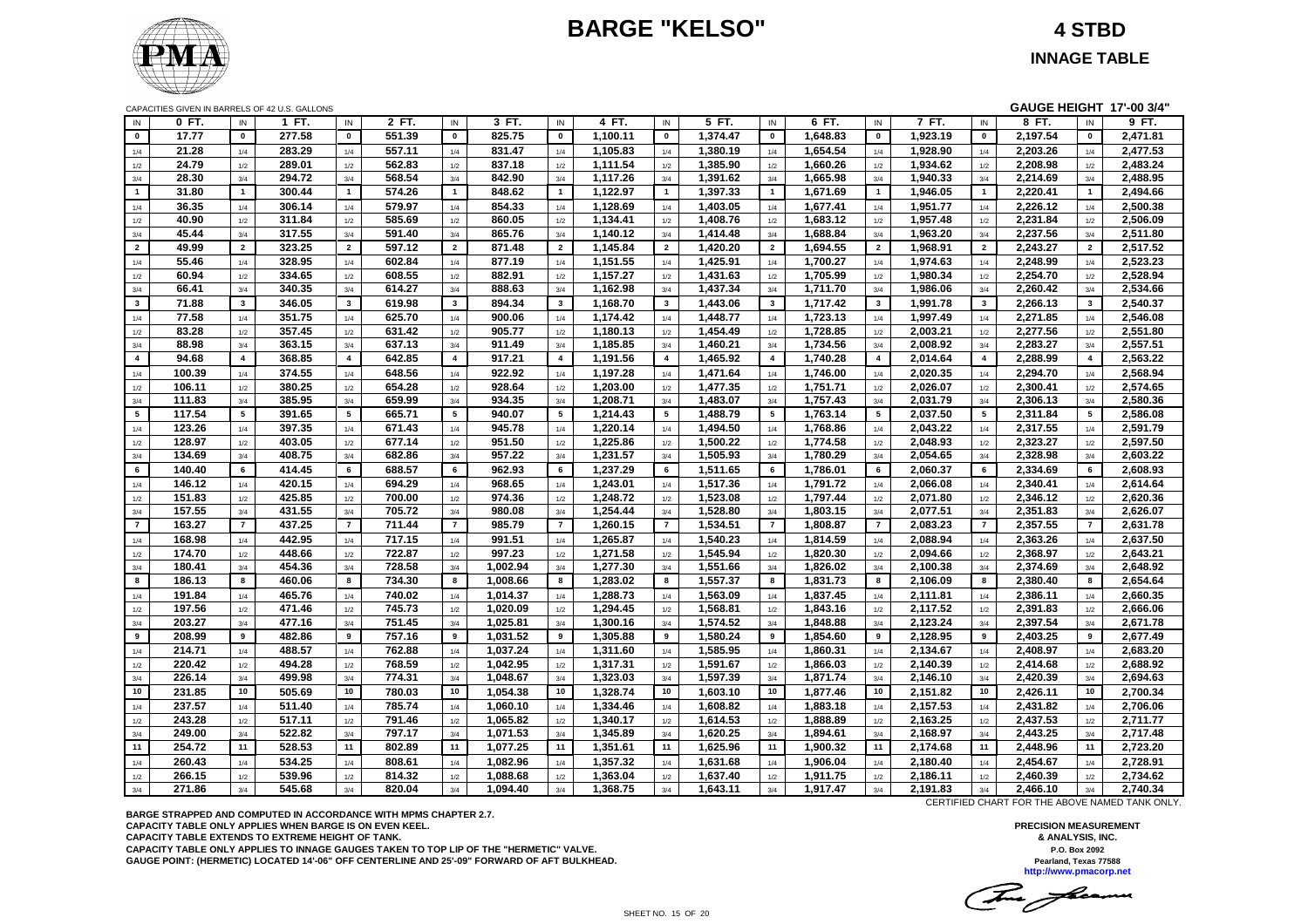# **BARGE "KELSO" 4 STBD**



**INNAGE TABLE**

|                |                  |                         | CAPACITIES GIVEN IN BARRELS OF 42 U.S. GALLONS |                |                  |                |                      |                         |                      |                         |                      |                |                      |                |                      |                | GAUGE HEIGHT 17'-00 3/4" |                |          |
|----------------|------------------|-------------------------|------------------------------------------------|----------------|------------------|----------------|----------------------|-------------------------|----------------------|-------------------------|----------------------|----------------|----------------------|----------------|----------------------|----------------|--------------------------|----------------|----------|
| IN             | 0 FT.            | IN                      | 1 FT.                                          | IN             | 2 FT.            | IN             | 3 FT.                | IN                      | 4 FT.                | IN                      | 5 FT.                | IN             | 6 FT.                | IN             | 7 FT.                | IN             | 8 FT.                    | IN             | 9 FT.    |
| $\mathbf{0}$   | 17.77            | $\mathbf{0}$            | 277.58                                         | $\mathbf 0$    | 551.39           | $\mathbf 0$    | 825.75               | $\mathbf 0$             | 1,100.11             | $\mathbf{0}$            | 1,374.47             | $\mathbf 0$    | 1,648.83             | $\mathbf 0$    | 1,923.19             | $\pmb{0}$      | 2,197.54                 | $\mathbf{0}$   | 2,471.81 |
| 1/4            | 21.28            | 1/4                     | 283.29                                         | 1/4            | 557.11           | 1/4            | 831.47               | 1/4                     | 1,105.83             | 1/4                     | 1,380.19             | 1/4            | 1,654.54             | 1/4            | 1,928.90             | 1/4            | 2,203.26                 | 1/4            | 2,477.53 |
| 1/2            | 24.79            | 1/2                     | 289.01                                         | 1/2            | 562.83           | 1/2            | 837.18               | 1/2                     | 1,111.54             | 1/2                     | 1,385.90             | 1/2            | 1,660.26             | 1/2            | 1,934.62             | 1/2            | 2,208.98                 | 1/2            | 2,483.24 |
| $3/4$          | 28.30            | 3/4                     | 294.72                                         | 3/4            | 568.54           | 3/4            | 842.90               | 3/4                     | 1,117.26             | 3/4                     | 1,391.62             | 3/4            | 1,665.98             | 3/4            | 1,940.33             | 3/4            | 2,214.69                 | 3/4            | 2,488.95 |
| $\mathbf{1}$   | 31.80            | $\mathbf{1}$            | 300.44                                         | $\overline{1}$ | 574.26           | $\mathbf{1}$   | 848.62               | $\mathbf{1}$            | 1,122.97             | $\mathbf{1}$            | 1,397.33             | $\mathbf{1}$   | 1,671.69             | $\mathbf{1}$   | 1,946.05             | $\mathbf{1}$   | 2,220.41                 | $\mathbf{1}$   | 2,494.66 |
| 1/4            | 36.35            | 1/4                     | 306.14                                         | 1/4            | 579.97           | 1/4            | 854.33               | 1/4                     | 1,128.69             | 1/4                     | 1,403.05             | 1/4            | 1,677.41             | 1/4            | 1,951.77             | 1/4            | 2,226.12                 | 1/4            | 2,500.38 |
| 1/2            | 40.90            | 1/2                     | 311.84                                         | $1/2$          | 585.69           | 1/2            | 860.05               | $1/2$                   | 1,134.41             | 1/2                     | 1,408.76             | 1/2            | 1,683.12             | $1/2$          | 1,957.48             | 1/2            | 2,231.84                 | 1/2            | 2,506.09 |
| 3/4            | 45.44            | 3/4                     | 317.55                                         | 3/4            | 591.40           | 3/4            | 865.76               | 3/4                     | 1,140.12             | 3/4                     | 1,414.48             | 3/4            | 1,688.84             | 3/4            | 1,963.20             | 3/4            | 2,237.56                 | 3/4            | 2,511.80 |
| $\overline{2}$ | 49.99            | $\overline{2}$          | 323.25                                         | $\overline{2}$ | 597.12           | $\overline{2}$ | 871.48               | $\overline{2}$          | 1,145.84             | $\overline{2}$          | 1,420.20             | $\overline{2}$ | 1,694.55             | $\overline{2}$ | 1,968.91             | $\overline{2}$ | 2,243.27                 | $\overline{2}$ | 2,517.52 |
| 1/4            | 55.46            | 1/4                     | 328.95                                         | 1/4            | 602.84           | 1/4            | 877.19               | 1/4                     | 1,151.55             | 1/4                     | 1,425.91             | 1/4            | 1,700.27             | 1/4            | 1,974.63             | 1/4            | 2,248.99                 | 1/4            | 2,523.23 |
| 1/2            | 60.94            | 1/2                     | 334.65                                         | 1/2            | 608.55           | 1/2            | 882.91               | 1/2                     | 1,157.27             | 1/2                     | 1,431.63             | 1/2            | 1,705.99             | 1/2            | 1,980.34             | 1/2            | 2,254.70                 | 1/2            | 2,528.94 |
| $3/4$          | 66.41            | 3/4                     | 340.35                                         | 3/4            | 614.27           | 3/4            | 888.63               | 3/4                     | 1,162.98             | 3/4                     | 1,437.34             | 3/4            | 1,711.70             | 3/4            | 1,986.06             | 3/4            | 2,260.42                 | 3/4            | 2,534.66 |
| $\mathbf{3}$   | 71.88            | $\overline{\mathbf{3}}$ | 346.05                                         | $\mathbf{3}$   | 619.98           | $\mathbf{3}$   | 894.34               | $\overline{\mathbf{3}}$ | 1,168.70             | $\mathbf{3}$            | 1,443.06             | $\mathbf{3}$   | 1,717.42             | $\mathbf{3}$   | 1,991.78             | $\mathbf{3}$   | 2,266.13                 | $\mathbf{3}$   | 2,540.37 |
| 1/4            | 77.58            | 1/4                     | 351.75                                         | 1/4            | 625.70           | 1/4            | 900.06               | 1/4                     | 1,174.42             | 1/4                     | 1,448.77             | 1/4            | 1,723.13             | 1/4            | 1,997.49             | 1/4            | 2,271.85                 | 1/4            | 2,546.08 |
| 1/2            | 83.28            | 1/2                     | 357.45                                         | 1/2            | 631.42           | 1/2            | 905.77               | 1/2                     | 1,180.13             | 1/2                     | 1,454.49             | 1/2            | 1,728.85             | $1/2$          | 2,003.21             | 1/2            | 2,277.56                 | 1/2            | 2,551.80 |
| 3/4            | 88.98            | 3/4                     | 363.15                                         | 3/4            | 637.13           | 3/4            | 911.49               | 3/4                     | 1,185.85             | 3/4                     | 1,460.21             | 3/4            | 1,734.56             | 3/4            | 2,008.92             | 3/4            | 2,283.27                 | 3/4            | 2,557.51 |
| $\overline{4}$ | 94.68            | $\overline{4}$          | 368.85                                         | $\overline{4}$ | 642.85           | $\overline{4}$ | 917.21               | $\overline{4}$          | 1,191.56             | $\overline{\mathbf{4}}$ | 1,465.92             | $\overline{4}$ | 1,740.28             | $\overline{4}$ | 2,014.64             | $\overline{4}$ | 2,288.99                 | $\overline{4}$ | 2,563.22 |
| 1/4            | 100.39           | 1/4                     | 374.55                                         | 1/4            | 648.56           | 1/4            | 922.92               | 1/4                     | 1,197.28             | 1/4                     | 1,471.64             | 1/4            | 1,746.00             | 1/4            | 2,020.35             | 1/4            | 2,294.70                 | 1/4            | 2,568.94 |
| 1/2            | 106.11           | 1/2                     | 380.25                                         | 1/2            | 654.28           | 1/2            | 928.64               | 1/2                     | 1,203.00             | 1/2                     | 1,477.35             | 1/2            | 1,751.71             | 1/2            | 2,026.07             | 1/2            | 2,300.41                 | 1/2            | 2,574.65 |
| 3/4            | 111.83           | 3/4                     | 385.95                                         | 3/4            | 659.99           | 3/4            | 934.35               | 3/4                     | 1,208.71             | 3/4                     | 1,483.07             | 3/4            | 1,757.43             | 3/4            | 2,031.79             | 3/4            | 2,306.13                 | 3/4            | 2,580.36 |
| 5              | 117.54           | 5                       | 391.65                                         | 5              | 665.71           | 5              | 940.07               | 5                       | 1,214.43             | 5                       | 1,488.79             | 5              | 1,763.14             | 5              | 2,037.50             | 5              | 2,311.84                 | 5              | 2,586.08 |
| 1/4            | 123.26           | 1/4                     | 397.35                                         | 1/4            | 671.43           | 1/4            | 945.78               | 1/4                     | 1,220.14             | 1/4                     | 1,494.50             | 1/4            | 1,768.86             | 1/4            | 2,043.22             | 1/4            | 2,317.55                 | 1/4            | 2,591.79 |
| 1/2            | 128.97           | 1/2                     | 403.05                                         | 1/2            | 677.14           | 1/2            | 951.50               | 1/2                     | 1,225.86             | 1/2                     | 1,500.22             | 1/2            | 1,774.58             | $1/2$          | 2,048.93             | $1/2$          | 2,323.27                 | 1/2            | 2,597.50 |
| 3/4            | 134.69           | 3/4                     | 408.75                                         | 3/4            | 682.86           | 3/4            | 957.22               | 3/4                     | 1,231.57             | 3/4                     | 1,505.93             | 3/4            | 1,780.29             | 3/4            | 2,054.65             | 3/4            | 2,328.98                 | 3/4            | 2,603.22 |
| 6              | 140.40           | 6                       | 414.45                                         | 6              | 688.57           | 6              | 962.93               | 6                       | 1,237.29             | 6                       | 1,511.65             | 6              | 1,786.01             | 6              | 2,060.37             | 6              | 2,334.69                 | 6              | 2,608.93 |
| 1/4            | 146.12           | 1/4                     | 420.15                                         | 1/4            | 694.29           | 1/4            | 968.65               | 1/4                     | 1,243.01             | 1/4                     | 1,517.36             | 1/4            | 1,791.72             | 1/4            | 2,066.08             | $1/4$          | 2,340.41                 | 1/4            | 2,614.64 |
| 1/2            | 151.83           | 1/2                     | 425.85                                         | $1/2$          | 700.00           | 1/2            | 974.36               | 1/2                     | 1,248.72             | 1/2                     | 1,523.08             | 1/2            | 1,797.44             | $1/2$          | 2,071.80             | $1/2$          | 2,346.12                 | 1/2            | 2,620.36 |
| 3/4            | 157.55           | 3/4                     | 431.55                                         | 3/4            | 705.72           | 3/4            | 980.08               | 3/4                     | 1,254.44             | 3/4                     | 1,528.80             | 3/4            | 1,803.15             | 3/4            | 2,077.51             | 3/4            | 2,351.83                 | 3/4            | 2,626.07 |
| $\overline{7}$ | 163.27           | $\overline{7}$          | 437.25                                         | $\overline{7}$ | 711.44           | $\overline{7}$ | 985.79               | $\overline{7}$          | 1.260.15             | $\overline{7}$          | 1,534.51             | $\overline{7}$ | 1,808.87             | $\overline{7}$ | 2,083.23             | $\overline{7}$ | 2,357.55                 | $\overline{7}$ | 2,631.78 |
| 1/4            | 168.98           | 1/4                     | 442.95                                         | 1/4            | 717.15           | 1/4            | 991.51               | 1/4                     | 1,265.87             | 1/4                     | 1,540.23             | 1/4            | 1,814.59             | 1/4            | 2,088.94             | 1/4            | 2,363.26                 | 1/4            | 2,637.50 |
| 1/2            | 174.70           | 1/2                     | 448.66                                         | 1/2            | 722.87           | 1/2            | 997.23               | 1/2                     | 1,271.58             | 1/2                     | 1,545.94             | 1/2            | 1,820.30             | 1/2            | 2,094.66             | 1/2            | 2,368.97                 | 1/2            | 2,643.21 |
| 3/4            | 180.41           | 3/4                     | 454.36                                         | 3/4            | 728.58           | 3/4            | 1,002.94             | 3/4                     | 1,277.30             | 3/4                     | 1,551.66             | 3/4            | 1,826.02             | 3/4            | 2,100.38             | 3/4            | 2,374.69                 | 3/4            | 2,648.92 |
| 8              | 186.13           | 8                       | 460.06                                         | 8              | 734.30           | 8              | 1,008.66             | 8                       | 1,283.02             | 8                       | 1,557.37             | 8              | 1,831.73             | 8              | 2,106.09             | 8              | 2,380.40                 | 8              | 2,654.64 |
| 1/4            | 191.84           | 1/4                     | 465.76                                         | 1/4            | 740.02           | 1/4            | 1,014.37             | 1/4                     | 1,288.73             | 1/4                     | 1,563.09             | 1/4            | 1,837.45             | 1/4            | 2,111.81             | 1/4            | 2,386.11                 | 1/4            | 2,660.35 |
| 1/2            | 197.56           | 1/2                     | 471.46                                         | 1/2            | 745.73           | 1/2            | 1,020.09             | 1/2                     | 1,294.45             | 1/2                     | 1,568.81             | 1/2            | 1,843.16             | $1/2$          | 2,117.52             | $1/2$          | 2,391.83                 | 1/2            | 2,666.06 |
| 3/4            | 203.27           | 3/4                     | 477.16                                         | 3/4            | 751.45           | 3/4            | 1,025.81             | 3/4                     | 1,300.16             | 3/4                     | 1,574.52             | 3/4            | 1,848.88             | 3/4            | 2,123.24             | 3/4            | 2,397.54                 | 3/4            | 2,671.78 |
| 9              | 208.99           | 9                       | 482.86                                         | 9              | 757.16           | 9              | 1,031.52             | 9                       | 1,305.88             | 9                       | 1,580.24             | 9              | 1,854.60             | 9              | 2,128.95             | 9              | 2,403.25                 | 9              | 2,677.49 |
| 1/4            | 214.71           | 1/4                     | 488.57                                         | 1/4            | 762.88           | 1/4            | 1,037.24             | 1/4                     | 1,311.60             | 1/4                     | 1,585.95             | 1/4            | 1,860.31             | $1/4$          | 2,134.67             | 1/4            | 2,408.97                 | 1/4            | 2,683.20 |
| 1/2            | 220.42           | 1/2                     | 494.28                                         | 1/2            | 768.59           | 1/2            | 1,042.95             | 1/2                     | 1,317.31             | 1/2                     | 1,591.67             | 1/2            | 1.866.03             | 1/2            | 2,140.39             | 1/2            | 2.414.68                 | 1/2            | 2.688.92 |
| 3/4            | 226.14           | 3/4                     | 499.98                                         | 3/4            | 774.31           | 3/4            | 1,048.67             | 3/4                     | 1,323.03             | 3/4                     | 1,597.39             | 3/4            | 1,871.74             | 3/4            | 2,146.10             | 3/4            | 2,420.39                 | 3/4            | 2,694.63 |
| 10             | 231.85           | 10                      | 505.69                                         | 10             | 780.03           | 10             | 1,054.38             | 10                      | 1,328.74             | 10                      | 1,603.10             | 10             | 1,877.46             | 10             | 2,151.82             | 10             | 2,426.11                 | 10             | 2,700.34 |
| 1/4            | 237.57           | 1/4                     | 511.40                                         | 1/4            | 785.74           | 1/4            | 1,060.10             | 1/4                     | 1,334.46             | 1/4                     | 1,608.82             | 1/4            | 1,883.18             | 1/4            | 2,157.53             | 1/4            | 2,431.82                 | 1/4            | 2,706.06 |
| 1/2            | 243.28           | 1/2                     | 517.11                                         | 1/2            | 791.46           | 1/2            | 1,065.82             | 1/2                     | 1.340.17             | 1/2                     | 1,614.53             | 1/2            | 1,888.89             | 1/2            | 2,163.25             | 1/2            | 2,437.53                 | 1/2            | 2,711.77 |
| 3/4            | 249.00           | 3/4                     | 522.82                                         | 3/4            | 797.17           | 3/4            | 1,071.53             | 3/4                     | 1,345.89             | 3/4                     | 1,620.25             | 3/4            | 1,894.61             | 3/4            | 2,168.97             | 3/4            | 2,443.25                 | 3/4            | 2,717.48 |
| 11             | 254.72           | 11                      | 528.53                                         | 11             | 802.89           | 11             | 1,077.25             | 11                      | 1,351.61             | 11                      | 1,625.96             | 11             | 1,900.32             | 11             | 2,174.68             | 11             | 2,448.96                 | 11             | 2,723.20 |
|                |                  |                         |                                                |                |                  |                |                      |                         |                      |                         |                      |                |                      |                |                      |                |                          |                | 2,728.91 |
| 1/4            | 260.43<br>266.15 | 1/4                     | 534.25<br>539.96                               | 1/4            | 808.61<br>814.32 | 1/4            | 1,082.96<br>1,088.68 | 1/4                     | 1,357.32<br>1,363.04 | 1/4                     | 1,631.68<br>1,637.40 | 1/4            | 1,906.04<br>1,911.75 | 1/4            | 2,180.40             | 1/4            | 2,454.67<br>2,460.39     | 1/4            | 2,734.62 |
| 1/2<br>3/4     | 271.86           | 1/2<br>3/4              | 545.68                                         | 1/2<br>3/4     | 820.04           | 1/2<br>3/4     | 1,094.40             | 1/2<br>3/4              | 1,368.75             | 1/2<br>3/4              | 1,643.11             | 1/2<br>3/4     | 1,917.47             | 1/2<br>3/4     | 2,186.11<br>2,191.83 | 1/2<br>3/4     | 2,466.10                 | 1/2<br>3/4     | 2,740.34 |
|                |                  |                         |                                                |                |                  |                |                      |                         |                      |                         |                      |                |                      |                |                      |                |                          |                |          |

**BARGE STRAPPED AND COMPUTED IN ACCORDANCE WITH MPMS CHAPTER 2.7. CAPACITY TABLE ONLY APPLIES WHEN BARGE IS ON EVEN KEEL. CAPACITY TABLE EXTENDS TO EXTREME HEIGHT OF TANK. CAPACITY TABLE ONLY APPLIES TO INNAGE GAUGES TAKEN TO TOP LIP OF THE "HERMETIC" VALVE. GAUGE POINT: (HERMETIC) LOCATED 14'-06" OFF CENTERLINE AND 25'-09" FORWARD OF AFT BULKHEAD.** CERTIFIED CHART FOR THE ABOVE NAMED TANK ONLY.

The fame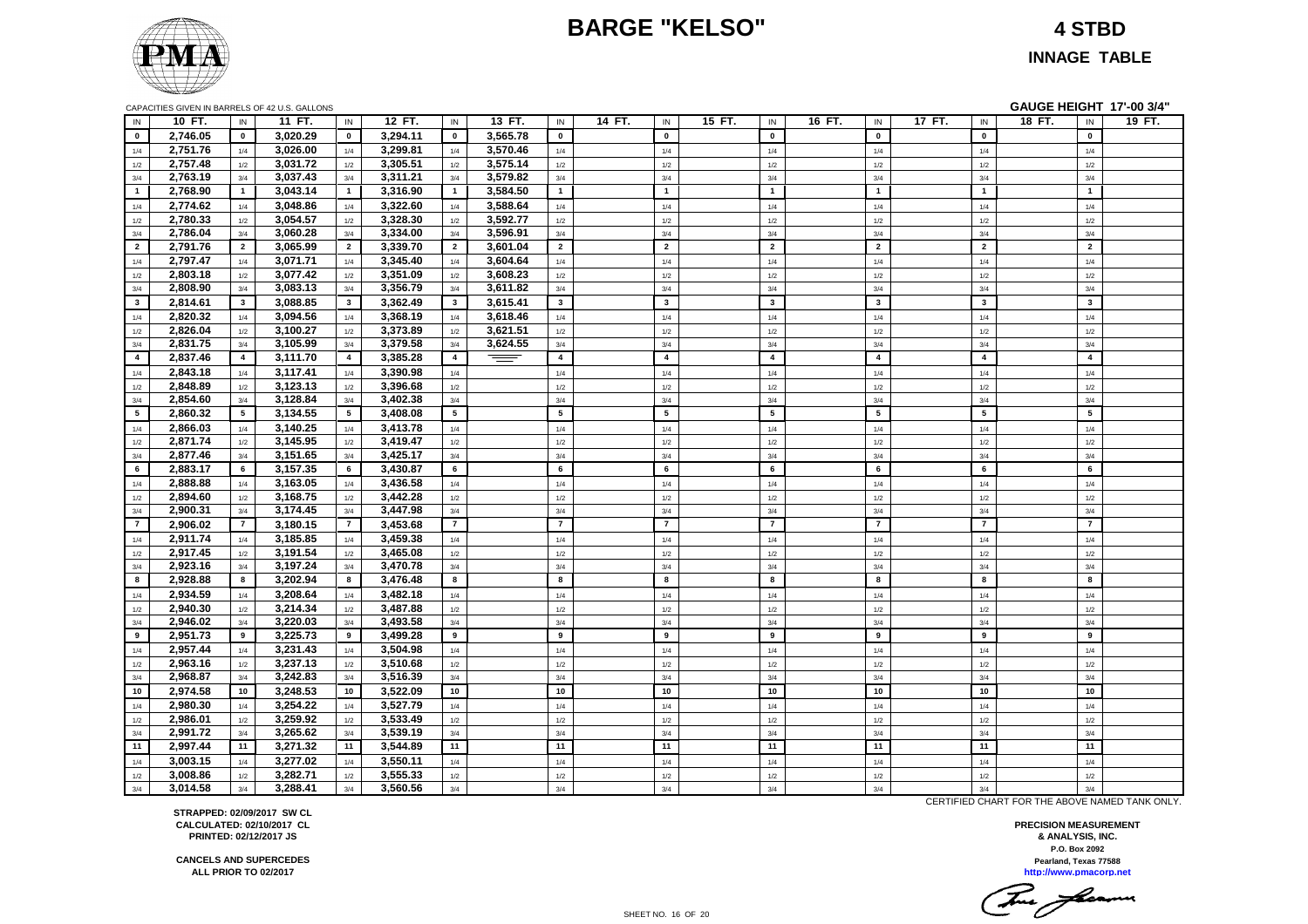# **BARGE "KELSO" 4 STBD**



**INNAGE TABLE**

| IN             | 10 FT.   | IN             | 11 FT.   | IN             | 12 FT.   | IN             | 13 FT.   | IN             | 14 FT.<br>IN   | 15 FT. | IN                      | 16 FT. | IN                      | 17 FT. | IN             | 18 FT.<br>IN   | 19 FT. |
|----------------|----------|----------------|----------|----------------|----------|----------------|----------|----------------|----------------|--------|-------------------------|--------|-------------------------|--------|----------------|----------------|--------|
| $\mathbf 0$    | 2,746.05 | $\mathbf 0$    | 3.020.29 | $\mathbf 0$    | 3,294.11 | $\mathbf 0$    | 3,565.78 | $\mathbf 0$    | $\mathbf{0}$   |        | $\mathbf{0}$            |        | $\mathbf 0$             |        | $\mathbf 0$    | $\mathbf 0$    |        |
| 1/4            | 2,751.76 | 1/4            | 3,026.00 | 1/4            | 3,299.81 | 1/4            | 3,570.46 | 1/4            | 1/4            |        | 1/4                     |        | 1/4                     |        | 1/4            | 1/4            |        |
| 1/2            | 2,757.48 | 1/2            | 3,031.72 | 1/2            | 3,305.51 | 1/2            | 3,575.14 | $1/2$          | 1/2            |        | 1/2                     |        | 1/2                     |        | 1/2            | 1/2            |        |
| 3/4            | 2,763.19 | 3/4            | 3,037.43 | 3/4            | 3,311.21 | 3/4            | 3,579.82 | 3/4            | 3/4            |        | 3/4                     |        | 3/4                     |        | 3/4            | 3/4            |        |
| $\mathbf{1}$   | 2,768.90 | $\overline{1}$ | 3,043.14 | $\overline{1}$ | 3,316.90 | $\mathbf{1}$   | 3,584.50 | $\mathbf{1}$   | $\mathbf{1}$   |        | $\overline{1}$          |        | $\overline{1}$          |        | $\overline{1}$ | $\overline{1}$ |        |
| 1/4            | 2,774.62 | 1/4            | 3.048.86 | 1/4            | 3,322.60 | 1/4            | 3,588.64 | 1/4            | 1/4            |        | 1/4                     |        | 1/4                     |        | 1/4            | 1/4            |        |
| 1/2            | 2,780.33 | 1/2            | 3,054.57 | 1/2            | 3,328.30 | 1/2            | 3,592.77 | 1/2            | 1/2            |        | 1/2                     |        | 1/2                     |        | 1/2            | 1/2            |        |
| 3/4            | 2,786.04 | 3/4            | 3,060.28 | 3/4            | 3,334.00 | 3/4            | 3,596.91 | 3/4            | 3/4            |        | 3/4                     |        | 3/4                     |        | 3/4            | 3/4            |        |
| $\overline{2}$ | 2,791.76 | $\overline{2}$ | 3.065.99 | $\overline{2}$ | 3,339.70 | $\overline{2}$ | 3.601.04 | $\overline{2}$ | $\overline{2}$ |        | $\overline{2}$          |        | $\overline{2}$          |        | $\overline{2}$ | $\overline{2}$ |        |
| 1/4            | 2,797.47 | 1/4            | 3,071.71 | 1/4            | 3,345.40 | 1/4            | 3,604.64 | 1/4            | 1/4            |        | 1/4                     |        | 1/4                     |        | 1/4            | 1/4            |        |
| 1/2            | 2,803.18 | 1/2            | 3,077.42 | 1/2            | 3,351.09 | 1/2            | 3,608.23 | $1/2$          | 1/2            |        | 1/2                     |        | 1/2                     |        | 1/2            | 1/2            |        |
| 3/4            | 2,808.90 | 3/4            | 3,083.13 | 3/4            | 3,356.79 | 3/4            | 3,611.82 | 3/4            | 3/4            |        | 3/4                     |        | 3/4                     |        | 3/4            | 3/4            |        |
| 3              | 2,814.61 | $\mathbf{3}$   | 3,088.85 | $\mathbf{3}$   | 3,362.49 | $\mathbf{3}$   | 3,615.41 | 3              | $\mathbf{3}$   |        | $\overline{\mathbf{3}}$ |        | $\mathbf{3}$            |        | $\mathbf{3}$   | $\mathbf{3}$   |        |
| 1/4            | 2,820.32 | 1/4            | 3,094.56 | 1/4            | 3,368.19 | 1/4            | 3,618.46 | 1/4            | 1/4            |        | 1/4                     |        | 1/4                     |        | 1/4            | 1/4            |        |
| 1/2            | 2,826.04 | $1/2\,$        | 3,100.27 | 1/2            | 3,373.89 | 1/2            | 3,621.51 | 1/2            | 1/2            |        | 1/2                     |        | 1/2                     |        | 1/2            | 1/2            |        |
| 3/4            | 2,831.75 | 3/4            | 3,105.99 | 3/4            | 3,379.58 | 3/4            | 3,624.55 | 3/4            | 3/4            |        | 3/4                     |        | 3/4                     |        | 3/4            | 3/4            |        |
| 4              | 2,837.46 | $\overline{4}$ | 3,111.70 | $\overline{4}$ | 3,385.28 | $\overline{4}$ |          | $\overline{4}$ | $\overline{4}$ |        | $\overline{\mathbf{4}}$ |        | $\overline{\mathbf{4}}$ |        | $\overline{4}$ | $\overline{4}$ |        |
| 1/4            | 2,843.18 | 1/4            | 3,117.41 | 1/4            | 3,390.98 | 1/4            |          | 1/4            | 1/4            |        | 1/4                     |        | 1/4                     |        | 1/4            | 1/4            |        |
| 1/2            | 2,848.89 | 1/2            | 3,123.13 | 1/2            | 3,396.68 | 1/2            |          | 1/2            | 1/2            |        | 1/2                     |        | 1/2                     |        | 1/2            | 1/2            |        |
| 3/4            | 2,854.60 | 3/4            | 3,128.84 | 3/4            | 3,402.38 | 3/4            |          | 3/4            | 3/4            |        | 3/4                     |        | 3/4                     |        | 3/4            | 3/4            |        |
| 5              | 2,860.32 | 5              | 3,134.55 | 5              | 3,408.08 | 5 <sub>5</sub> |          | 5              | 5              |        | 5                       |        | 5                       |        | 5              | 5              |        |
| 1/4            | 2,866.03 | 1/4            | 3,140.25 | 1/4            | 3,413.78 | 1/4            |          | 1/4            | 1/4            |        | 1/4                     |        | 1/4                     |        | 1/4            | 1/4            |        |
| 1/2            | 2,871.74 | $1/2\,$        | 3,145.95 | 1/2            | 3,419.47 | 1/2            |          | 1/2            | $1/2\,$        |        | 1/2                     |        | 1/2                     |        | 1/2            | 1/2            |        |
| 3/4            | 2,877.46 | 3/4            | 3,151.65 | 3/4            | 3,425.17 | 3/4            |          | 3/4            | 3/4            |        | 3/4                     |        | 3/4                     |        | 3/4            | 3/4            |        |
| 6              | 2,883.17 | 6              | 3,157.35 | 6              | 3,430.87 | 6              |          | 6              | 6              |        | 6                       |        | 6                       |        | 6              | 6              |        |
| 1/4            | 2,888.88 | 1/4            | 3,163.05 | 1/4            | 3,436.58 | 1/4            |          | 1/4            | 1/4            |        | 1/4                     |        | 1/4                     |        | 1/4            | 1/4            |        |
| 1/2            | 2,894.60 | 1/2            | 3,168.75 | 1/2            | 3,442.28 | 1/2            |          | 1/2            | 1/2            |        | 1/2                     |        | 1/2                     |        | 1/2            | 1/2            |        |
| 3/4            | 2,900.31 | 3/4            | 3,174.45 | 3/4            | 3,447.98 | 3/4            |          | 3/4            | 3/4            |        | 3/4                     |        | 3/4                     |        | 3/4            | 3/4            |        |
| $\overline{7}$ | 2,906.02 | $\overline{7}$ | 3,180.15 | $\overline{7}$ | 3,453.68 | $\overline{7}$ |          | $\overline{7}$ | $\overline{7}$ |        | $\overline{7}$          |        | $\overline{7}$          |        | $\overline{7}$ | $\overline{7}$ |        |
| 1/4            | 2,911.74 | 1/4            | 3,185.85 | 1/4            | 3,459.38 | 1/4            |          | 1/4            | 1/4            |        | 1/4                     |        | 1/4                     |        | 1/4            | 1/4            |        |
| 1/2            | 2,917.45 | $1/2\,$        | 3,191.54 | 1/2            | 3,465.08 | 1/2            |          | $1/2$          | 1/2            |        | 1/2                     |        | 1/2                     |        | 1/2            | 1/2            |        |
| 3/4            | 2,923.16 | 3/4            | 3,197.24 | 3/4            | 3,470.78 | 3/4            |          | 3/4            | 3/4            |        | 3/4                     |        | 3/4                     |        | 3/4            | 3/4            |        |
| 8              | 2.928.88 | 8              | 3.202.94 | 8              | 3,476.48 | 8              |          | 8              | 8              |        | 8                       |        | 8                       |        | 8              | 8              |        |
| 1/4            | 2,934.59 | 1/4            | 3,208.64 | 1/4            | 3,482.18 | 1/4            |          | 1/4            | 1/4            |        | 1/4                     |        | 1/4                     |        | 1/4            | 1/4            |        |
| 1/2            | 2,940.30 | 1/2            | 3,214.34 | 1/2            | 3,487.88 | 1/2            |          | 1/2            | 1/2            |        | 1/2                     |        | 1/2                     |        | 1/2            | 1/2            |        |
| 3/4            | 2,946.02 | 3/4            | 3,220.03 | 3/4            | 3,493.58 | 3/4            |          | 3/4            | 3/4            |        | 3/4                     |        | 3/4                     |        | 3/4            | 3/4            |        |
| 9              | 2,951.73 | 9              | 3,225.73 | 9              | 3,499.28 | 9              |          | 9              | 9              |        | 9                       |        | 9                       |        | 9              | 9              |        |
| 1/4            | 2,957.44 | 1/4            | 3,231.43 | 1/4            | 3,504.98 | 1/4            |          | 1/4            | 1/4            |        | 1/4                     |        | 1/4                     |        | 1/4            | 1/4            |        |
| 1/2            | 2,963.16 | 1/2            | 3,237.13 | 1/2            | 3,510.68 | 1/2            |          | 1/2            | 1/2            |        | 1/2                     |        | 1/2                     |        | 1/2            | 1/2            |        |
| 3/4            | 2,968.87 | 3/4            | 3,242.83 | 3/4            | 3,516.39 | 3/4            |          | 3/4            | 3/4            |        | 3/4                     |        | 3/4                     |        | 3/4            | 3/4            |        |
| 10             | 2,974.58 | 10             | 3,248.53 | 10             | 3,522.09 | 10             |          | 10             | 10             |        | 10                      |        | 10                      |        | 10             | 10             |        |
| 1/4            | 2,980.30 | 1/4            | 3,254.22 | 1/4            | 3,527.79 | 1/4            |          | 1/4            | 1/4            |        | 1/4                     |        | 1/4                     |        | 1/4            | 1/4            |        |
| 1/2            | 2,986.01 | 1/2            | 3,259.92 | 1/2            | 3,533.49 | 1/2            |          | 1/2            | 1/2            |        | 1/2                     |        | 1/2                     |        | 1/2            | 1/2            |        |
| 3/4            | 2,991.72 | 3/4            | 3,265.62 | 3/4            | 3,539.19 | 3/4            |          | 3/4            | 3/4            |        | 3/4                     |        | 3/4                     |        | 3/4            | 3/4            |        |

**11 2,997.44 11 3,271.32 11 3,544.89 11 11 11 11 11 11 11** 1/4 **3,003.15** 1/4 **3,277.02** 1/4 **3,550.11** 1/4 1/4 1/4 1/4 1/4 1/4 1/4 1/2 **3,008.86** 1/2 **3,282.71** 1/2 **3,555.33** 1/2 1/2 1/2 1/2 1/2 1/2 1/2 3/4 **3,014.58** 3/4 **3,288.41** 3/4 **3,560.56** 3/4 3/4 3/4 3/4 3/4 3/4 3/4

CERTIFIED CHART FOR THE ABOVE NAMED TANK ONLY.

**P.O. Box 2092 PRECISION MEASUREMENT & ANALYSIS, INC. http://www.pmacorp.net Pearland, Texas 77588**

Two farmer

**STRAPPED: 02/09/2017 SW CL CALCULATED: 02/10/2017 CL PRINTED: 02/12/2017 JS**

**CANCELS AND SUPERCEDES ALL PRIOR TO 02/2017**

SHEET NO. 16 OF 20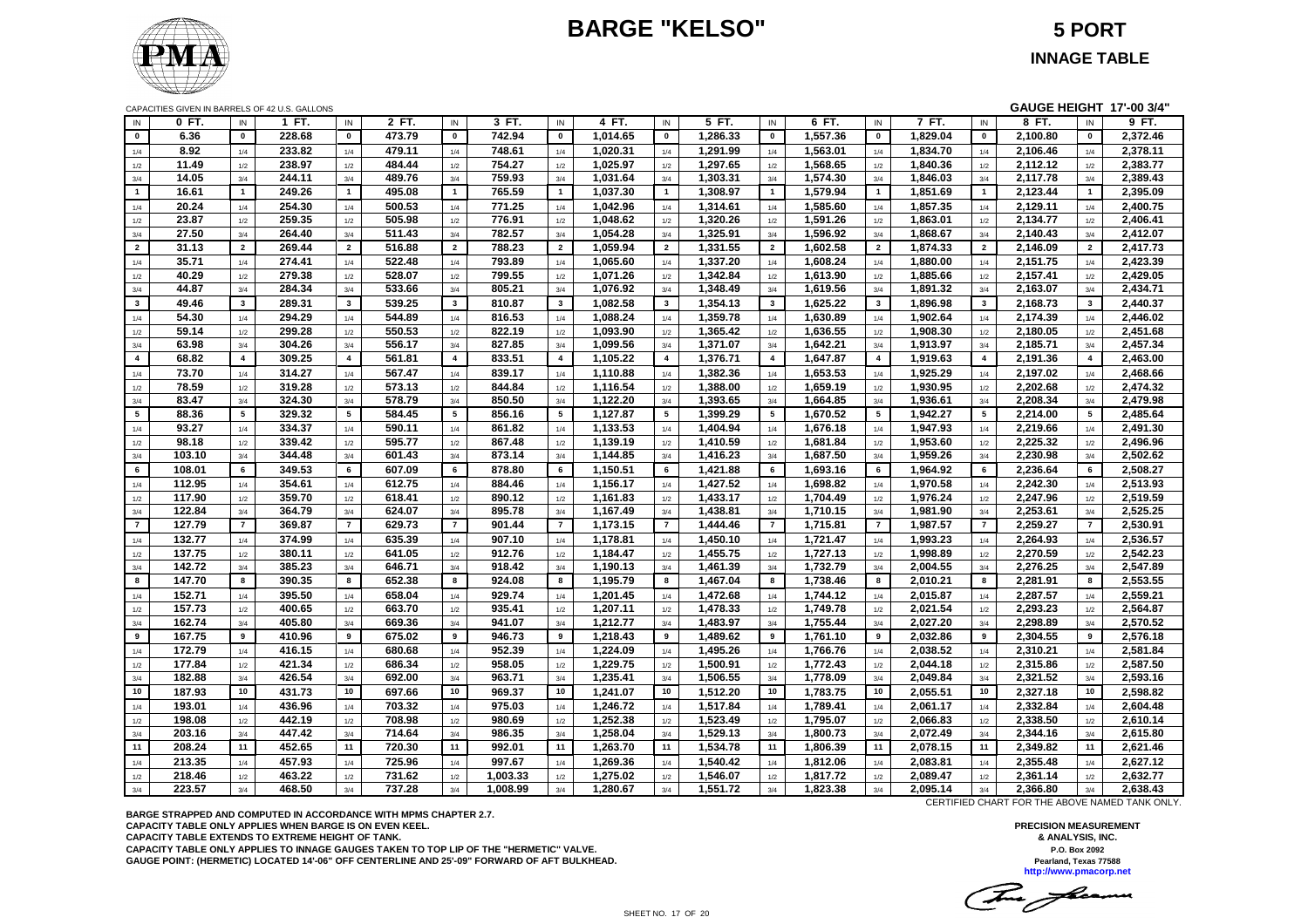# **BARGE "KELSO" 5 PORT**



CAPACITIES GIVEN IN BARRELS OF 42 U.S. GALLONS **GAUGE HEIGHT 17'-00 3/4"**

| IN             | 0 FT.  | IN                       | 1 FT.  | $\sf IN$       | 2 FT.  | IN             | 3 FT.    | IN                      | 4 FT.    | IN             | 5 FT.    | IN             | 6 FT.    | IN             | 7 FT.    | $\sf IN$                | 8 FT.    | IN             | 9 FT.    |
|----------------|--------|--------------------------|--------|----------------|--------|----------------|----------|-------------------------|----------|----------------|----------|----------------|----------|----------------|----------|-------------------------|----------|----------------|----------|
| $\bf{0}$       | 6.36   | $\pmb{0}$                | 228.68 | $\mathbf 0$    | 473.79 | $\mathbf 0$    | 742.94   | $\mathbf 0$             | 1,014.65 | $\mathbf 0$    | 1.286.33 | $\pmb{0}$      | 1,557.36 | $\mathbf 0$    | 1.829.04 | $\mathbf{0}$            | 2,100.80 | $\mathbf 0$    | 2,372.46 |
| 1/4            | 8.92   | 1/4                      | 233.82 | 1/4            | 479.11 | 1/4            | 748.61   | 1/4                     | 1,020.31 | 1/4            | 1,291.99 | 1/4            | 1,563.01 | 1/4            | 1,834.70 | 1/4                     | 2,106.46 | 1/4            | 2,378.11 |
| 1/2            | 11.49  | 1/2                      | 238.97 | 1/2            | 484.44 | 1/2            | 754.27   | 1/2                     | 1,025.97 | 1/2            | 1.297.65 | 1/2            | 1,568.65 | 1/2            | 1,840.36 | 1/2                     | 2,112.12 | 1/2            | 2,383.77 |
| 3/4            | 14.05  | 3/4                      | 244.11 | 3/4            | 489.76 | 3/4            | 759.93   | 3/4                     | 1,031.64 | 3/4            | 1,303.31 | 3/4            | 1,574.30 | 3/4            | 1,846.03 | 3/4                     | 2,117.78 | 3/4            | 2,389.43 |
| $\mathbf{1}$   | 16.61  | $\overline{1}$           | 249.26 | $\mathbf{1}$   | 495.08 | $\overline{1}$ | 765.59   | $\overline{1}$          | 1,037.30 | $\mathbf{1}$   | 1,308.97 | $\overline{1}$ | 1,579.94 | $\mathbf{1}$   | 1,851.69 | $\overline{1}$          | 2,123.44 | $\overline{1}$ | 2,395.09 |
| 1/4            | 20.24  | 1/4                      | 254.30 | 1/4            | 500.53 | 1/4            | 771.25   | 1/4                     | 1,042.96 | 1/4            | 1,314.61 | 1/4            | 1,585.60 | 1/4            | 1,857.35 | 1/4                     | 2,129.11 | 1/4            | 2,400.75 |
| 1/2            | 23.87  | 1/2                      | 259.35 | 1/2            | 505.98 | 1/2            | 776.91   | 1/2                     | 1,048.62 | 1/2            | 1,320.26 | 1/2            | 1,591.26 | 1/2            | 1,863.01 | 1/2                     | 2,134.77 | 1/2            | 2,406.41 |
| 3/4            | 27.50  | 3/4                      | 264.40 | 3/4            | 511.43 | 3/4            | 782.57   | 3/4                     | 1,054.28 | 3/4            | 1,325.91 | 3/4            | 1,596.92 | 3/4            | 1,868.67 | 3/4                     | 2,140.43 | 3/4            | 2,412.07 |
| $\overline{2}$ | 31.13  | $\overline{2}$           | 269.44 | $\overline{2}$ | 516.88 | $\overline{2}$ | 788.23   | $\overline{2}$          | 1,059.94 | $\overline{2}$ | 1,331.55 | $\overline{2}$ | 1,602.58 | $\overline{2}$ | 1,874.33 | $\overline{2}$          | 2,146.09 | $\overline{2}$ | 2,417.73 |
| 1/4            | 35.71  | 1/4                      | 274.41 | 1/4            | 522.48 | 1/4            | 793.89   | 1/4                     | 1,065.60 | 1/4            | 1,337.20 | 1/4            | 1,608.24 | 1/4            | 1,880.00 | 1/4                     | 2,151.75 | 1/4            | 2,423.39 |
| 1/2            | 40.29  | 1/2                      | 279.38 | 1/2            | 528.07 | 1/2            | 799.55   | 1/2                     | 1,071.26 | 1/2            | 1,342.84 | 1/2            | 1,613.90 | 1/2            | 1,885.66 | 1/2                     | 2,157.41 | 1/2            | 2,429.05 |
| 3/4            | 44.87  | 3/4                      | 284.34 | 3/4            | 533.66 | 3/4            | 805.21   | 3/4                     | 1,076.92 | 3/4            | 1,348.49 | 3/4            | 1,619.56 | 3/4            | 1,891.32 | 3/4                     | 2,163.07 | 3/4            | 2,434.71 |
| $3^{\circ}$    | 49.46  | $\overline{\mathbf{3}}$  | 289.31 | $\mathbf{3}$   | 539.25 | $\mathbf{3}$   | 810.87   | $\overline{\mathbf{3}}$ | 1,082.58 | $\mathbf{3}$   | 1,354.13 | $\mathbf{3}$   | 1,625.22 | $\mathbf{3}$   | 1,896.98 | $\mathbf{3}$            | 2,168.73 | $\mathbf{3}$   | 2,440.37 |
| 1/4            | 54.30  | 1/4                      | 294.29 | 1/4            | 544.89 | 1/4            | 816.53   | 1/4                     | 1,088.24 | 1/4            | 1,359.78 | $1/4$          | 1,630.89 | 1/4            | 1,902.64 | $1/4$                   | 2,174.39 | 1/4            | 2,446.02 |
| 1/2            | 59.14  | 1/2                      | 299.28 | 1/2            | 550.53 | 1/2            | 822.19   | 1/2                     | 1,093.90 | 1/2            | 1,365.42 | 1/2            | 1,636.55 | 1/2            | 1,908.30 | 1/2                     | 2,180.05 | 1/2            | 2,451.68 |
| 3/4            | 63.98  | 3/4                      | 304.26 | 3/4            | 556.17 | 3/4            | 827.85   | 3/4                     | 1,099.56 | 3/4            | 1,371.07 | 3/4            | 1,642.21 | 3/4            | 1,913.97 | 3/4                     | 2,185.71 | 3/4            | 2,457.34 |
| $\overline{4}$ | 68.82  | $\overline{\mathbf{4}}$  | 309.25 | $\overline{4}$ | 561.81 | $\overline{4}$ | 833.51   | $\overline{4}$          | 1,105.22 | $\overline{4}$ | 1,376.71 | $\overline{4}$ | 1,647.87 | $\overline{4}$ | 1,919.63 | $\overline{\mathbf{4}}$ | 2,191.36 | $\overline{4}$ | 2,463.00 |
| 1/4            | 73.70  | 1/4                      | 314.27 | 1/4            | 567.47 | 1/4            | 839.17   | 1/4                     | 1,110.88 | 1/4            | 1,382.36 | 1/4            | 1,653.53 | 1/4            | 1,925.29 | 1/4                     | 2,197.02 | 1/4            | 2,468.66 |
| 1/2            | 78.59  | 1/2                      | 319.28 | 1/2            | 573.13 | 1/2            | 844.84   | 1/2                     | 1,116.54 | 1/2            | 1,388.00 | 1/2            | 1,659.19 | 1/2            | 1,930.95 | 1/2                     | 2,202.68 | 1/2            | 2,474.32 |
| 3/4            | 83.47  | 3/4                      | 324.30 | 3/4            | 578.79 | 3/4            | 850.50   | 3/4                     | 1,122.20 | 3/4            | 1,393.65 | 3/4            | 1,664.85 | 3/4            | 1,936.61 | 3/4                     | 2,208.34 | 3/4            | 2,479.98 |
| $5^{\circ}$    | 88.36  | 5                        | 329.32 | 5              | 584.45 | 5              | 856.16   | 5                       | 1,127.87 | 5              | 1,399.29 | 5              | 1,670.52 | 5              | 1,942.27 | 5                       | 2,214.00 | 5              | 2,485.64 |
| 1/4            | 93.27  | 1/4                      | 334.37 | 1/4            | 590.11 | 1/4            | 861.82   | 1/4                     | 1,133.53 | 1/4            | 1,404.94 | 1/4            | 1,676.18 | 1/4            | 1,947.93 | 1/4                     | 2,219.66 | 1/4            | 2,491.30 |
| 1/2            | 98.18  | 1/2                      | 339.42 | 1/2            | 595.77 | 1/2            | 867.48   | 1/2                     | 1,139.19 | 1/2            | 1,410.59 | 1/2            | 1,681.84 | 1/2            | 1,953.60 | 1/2                     | 2,225.32 | 1/2            | 2,496.96 |
| 3/4            | 103.10 | 3/4                      | 344.48 | 3/4            | 601.43 | 3/4            | 873.14   | 3/4                     | 1,144.85 | 3/4            | 1,416.23 | 3/4            | 1,687.50 | 3/4            | 1,959.26 | 3/4                     | 2,230.98 | 3/4            | 2,502.62 |
| 6              | 108.01 | 6                        | 349.53 | 6              | 607.09 | 6              | 878.80   | 6                       | 1,150.51 | 6              | 1,421.88 | 6              | 1,693.16 | 6              | 1,964.92 | 6                       | 2,236.64 | 6              | 2,508.27 |
| 1/4            | 112.95 | 1/4                      | 354.61 | 1/4            | 612.75 | 1/4            | 884.46   | 1/4                     | 1,156.17 | 1/4            | 1,427.52 | 1/4            | 1,698.82 | $1/4$          | 1,970.58 | 1/4                     | 2,242.30 | 1/4            | 2,513.93 |
| 1/2            | 117.90 | 1/2                      | 359.70 | 1/2            | 618.41 | 1/2            | 890.12   | 1/2                     | 1,161.83 | 1/2            | 1,433.17 | 1/2            | 1,704.49 | 1/2            | 1,976.24 | 1/2                     | 2,247.96 | 1/2            | 2,519.59 |
| 3/4            | 122.84 | 3/4                      | 364.79 | 3/4            | 624.07 | 3/4            | 895.78   | 3/4                     | 1,167.49 | 3/4            | 1,438.81 | 3/4            | 1,710.15 | 3/4            | 1,981.90 | 3/4                     | 2,253.61 | 3/4            | 2,525.25 |
| $\overline{7}$ | 127.79 | $\overline{\phantom{a}}$ | 369.87 | $\overline{7}$ | 629.73 | $\overline{7}$ | 901.44   | $\overline{7}$          | 1,173.15 | $\overline{7}$ | 1,444.46 | $\overline{7}$ | 1,715.81 | $\overline{7}$ | 1,987.57 | $\overline{7}$          | 2,259.27 | $\overline{7}$ | 2,530.91 |
| 1/4            | 132.77 | $1/4$                    | 374.99 | $1/4$          | 635.39 | 1/4            | 907.10   | $1/4$                   | 1,178.81 | $1/4$          | 1,450.10 | 1/4            | 1,721.47 | $1/4$          | 1,993.23 | 1/4                     | 2,264.93 | $1/4$          | 2,536.57 |
| 1/2            | 137.75 | 1/2                      | 380.11 | 1/2            | 641.05 | 1/2            | 912.76   | 1/2                     | 1,184.47 | 1/2            | 1,455.75 | 1/2            | 1,727.13 | 1/2            | 1,998.89 | 1/2                     | 2,270.59 | 1/2            | 2,542.23 |
| 3/4            | 142.72 | 3/4                      | 385.23 | 3/4            | 646.71 | 3/4            | 918.42   | 3/4                     | 1,190.13 | 3/4            | 1,461.39 | 3/4            | 1,732.79 | 3/4            | 2,004.55 | 3/4                     | 2,276.25 | 3/4            | 2,547.89 |
| 8              | 147.70 | 8                        | 390.35 | 8              | 652.38 | 8              | 924.08   | 8                       | 1,195.79 | 8              | 1,467.04 | 8              | 1,738.46 | 8              | 2,010.21 | 8                       | 2,281.91 | 8              | 2,553.55 |
| 1/4            | 152.71 | 1/4                      | 395.50 | 1/4            | 658.04 | 1/4            | 929.74   | 1/4                     | 1,201.45 | 1/4            | 1,472.68 | 1/4            | 1,744.12 | 1/4            | 2,015.87 | 1/4                     | 2,287.57 | 1/4            | 2,559.21 |
| 1/2            | 157.73 | 1/2                      | 400.65 | 1/2            | 663.70 | 1/2            | 935.41   | 1/2                     | 1,207.11 | 1/2            | 1,478.33 | 1/2            | 1,749.78 | 1/2            | 2,021.54 | 1/2                     | 2,293.23 | 1/2            | 2,564.87 |
| 3/4            | 162.74 | 3/4                      | 405.80 | 3/4            | 669.36 | 3/4            | 941.07   | 3/4                     | 1,212.77 | 3/4            | 1,483.97 | 3/4            | 1,755.44 | 3/4            | 2,027.20 | 3/4                     | 2,298.89 | 3/4            | 2,570.52 |
| 9              | 167.75 | 9                        | 410.96 | 9              | 675.02 | 9              | 946.73   | 9                       | 1,218.43 | $\overline{9}$ | 1,489.62 | 9              | 1,761.10 | 9              | 2,032.86 | 9                       | 2,304.55 | 9              | 2,576.18 |
| 1/4            | 172.79 | 1/4                      | 416.15 | 1/4            | 680.68 | 1/4            | 952.39   | 1/4                     | 1,224.09 | 1/4            | 1,495.26 | 1/4            | 1,766.76 | 1/4            | 2,038.52 | 1/4                     | 2,310.21 | 1/4            | 2,581.84 |
| 1/2            | 177.84 | $1/2\,$                  | 421.34 | 1/2            | 686.34 | 1/2            | 958.05   | 1/2                     | 1,229.75 | 1/2            | 1,500.91 | 1/2            | 1,772.43 | 1/2            | 2,044.18 | 1/2                     | 2,315.86 | 1/2            | 2,587.50 |
| 3/4            | 182.88 | 3/4                      | 426.54 | 3/4            | 692.00 | 3/4            | 963.71   | 3/4                     | 1,235.41 | 3/4            | 1,506.55 | 3/4            | 1,778.09 | 3/4            | 2,049.84 | 3/4                     | 2,321.52 | 3/4            | 2,593.16 |
| 10             | 187.93 | 10                       | 431.73 | 10             | 697.66 | 10             | 969.37   | 10                      | 1,241.07 | 10             | 1,512.20 | 10             | 1,783.75 | 10             | 2,055.51 | 10                      | 2,327.18 | 10             | 2,598.82 |
| 1/4            | 193.01 | 1/4                      | 436.96 | $1/4$          | 703.32 | 1/4            | 975.03   | 1/4                     | 1,246.72 | 1/4            | 1,517.84 | 1/4            | 1,789.41 | 1/4            | 2,061.17 | $1/4$                   | 2,332.84 | 1/4            | 2,604.48 |
| 1/2            | 198.08 | 1/2                      | 442.19 | 1/2            | 708.98 | 1/2            | 980.69   | 1/2                     | 1,252.38 | 1/2            | 1,523.49 | 1/2            | 1,795.07 | 1/2            | 2,066.83 | 1/2                     | 2,338.50 | 1/2            | 2,610.14 |
| $3/4$          | 203.16 | 3/4                      | 447.42 | 3/4            | 714.64 | 3/4            | 986.35   | 3/4                     | 1,258.04 | 3/4            | 1,529.13 | 3/4            | 1,800.73 | 3/4            | 2,072.49 | 3/4                     | 2,344.16 | 3/4            | 2,615.80 |
| 11             | 208.24 | 11                       | 452.65 | 11             | 720.30 | 11             | 992.01   | 11                      | 1,263.70 | 11             | 1,534.78 | 11             | 1,806.39 | 11             | 2,078.15 | 11                      | 2,349.82 | 11             | 2,621.46 |
| 1/4            | 213.35 | 1/4                      | 457.93 | 1/4            | 725.96 | 1/4            | 997.67   | 1/4                     | 1,269.36 | 1/4            | 1,540.42 | 1/4            | 1,812.06 | 1/4            | 2,083.81 | 1/4                     | 2,355.48 | 1/4            | 2,627.12 |
| 1/2            | 218.46 | 1/2                      | 463.22 | 1/2            | 731.62 | 1/2            | 1,003.33 | 1/2                     | 1,275.02 | 1/2            | 1,546.07 | 1/2            | 1,817.72 | 1/2            | 2,089.47 | 1/2                     | 2,361.14 | 1/2            | 2,632.77 |
| 3/4            | 223.57 | 3/4                      | 468.50 | 3/4            | 737.28 | 3/4            | 1,008.99 | 3/4                     | 1,280.67 | 3/4            | 1,551.72 | 3/4            | 1,823.38 | 3/4            | 2,095.14 | 3/4                     | 2,366.80 | 3/4            | 2,638.43 |

**BARGE STRAPPED AND COMPUTED IN ACCORDANCE WITH MPMS CHAPTER 2.7. CAPACITY TABLE ONLY APPLIES WHEN BARGE IS ON EVEN KEEL. CAPACITY TABLE EXTENDS TO EXTREME HEIGHT OF TANK. CAPACITY TABLE ONLY APPLIES TO INNAGE GAUGES TAKEN TO TOP LIP OF THE "HERMETIC" VALVE. GAUGE POINT: (HERMETIC) LOCATED 14'-06" OFF CENTERLINE AND 25'-09" FORWARD OF AFT BULKHEAD.** CERTIFIED CHART FOR THE ABOVE NAMED TANK ONLY.

This floam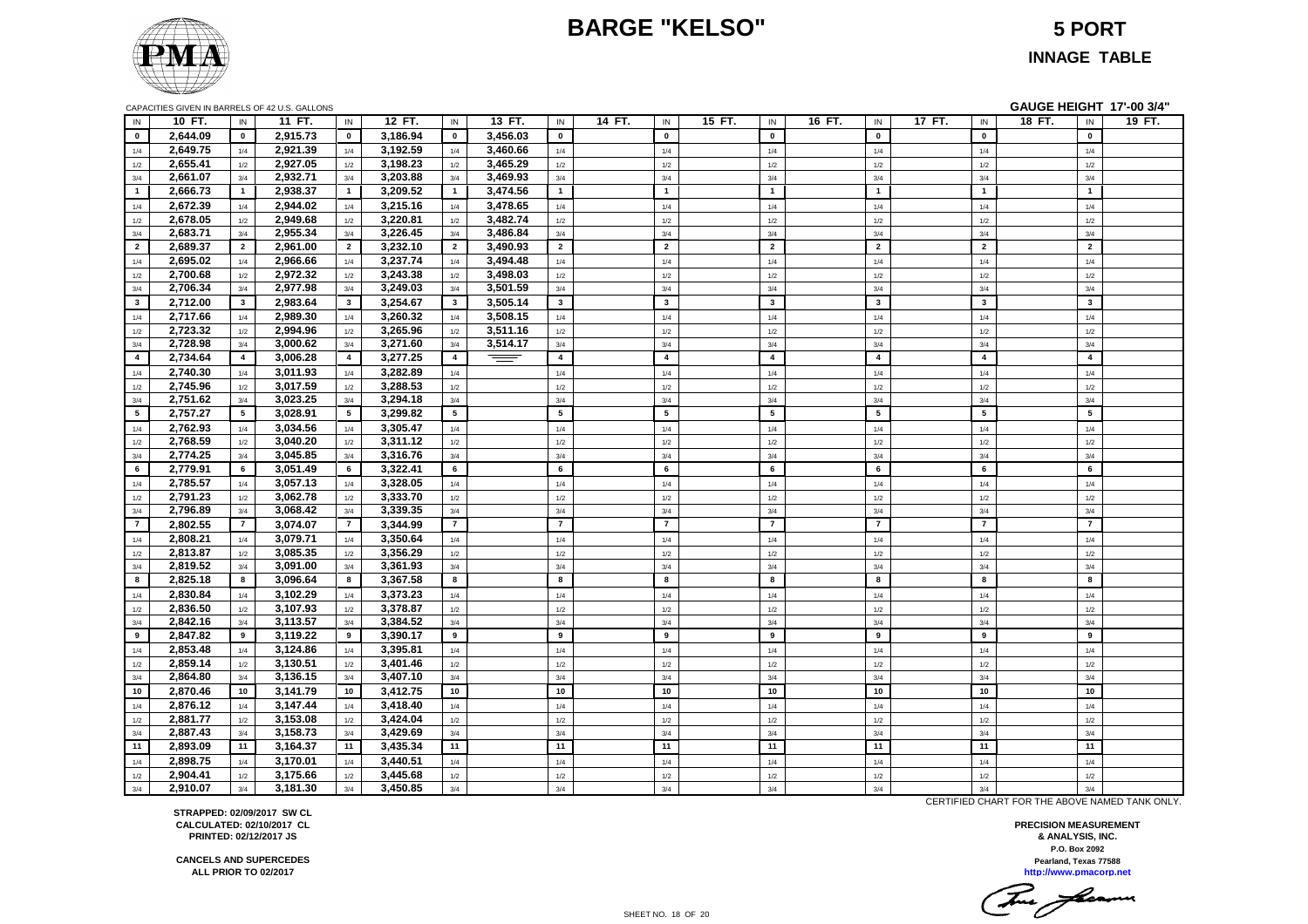# **BARGE "KELSO" 5 PORT**



#### **INNAGE TABLE**

| GAUGE HEIGHT 17'-00 3/4"<br>CAPACITIES GIVEN IN BARRELS OF 42 U.S. GALLONS |                      |                 |                      |                 |                      |                |          |                         |                 |        |                         |        |                         |        |                         |        |                         |        |
|----------------------------------------------------------------------------|----------------------|-----------------|----------------------|-----------------|----------------------|----------------|----------|-------------------------|-----------------|--------|-------------------------|--------|-------------------------|--------|-------------------------|--------|-------------------------|--------|
| IN                                                                         | 10 FT.               | $\sf IN$        | 11 FT.               | IN              | 12 FT.               | $\sf IN$       | 13 FT.   | IN                      | 14 FT.<br>IN    | 15 FT. | IN                      | 16 FT. | IN                      | 17 FT. | $\sf IN$                | 18 FT. | $\sf IN$                | 19 FT. |
| $\mathbf{0}$                                                               | 2,644.09             | $\mathbf{0}$    | 2,915.73             | $\mathbf{0}$    | 3,186.94             | $\pmb{0}$      | 3,456.03 | $\mathbf 0$             | $\mathbf{0}$    |        | $\mathbf{0}$            |        | $\mathbf 0$             |        | $\mathbf{0}$            |        | $\pmb{0}$               |        |
| 1/4                                                                        | 2,649.75             | 1/4             | 2,921.39             | 1/4             | 3,192.59             | 1/4            | 3,460.66 | 1/4                     | 1/4             |        | 1/4                     |        | 1/4                     |        | 1/4                     |        | 1/4                     |        |
| 1/2                                                                        | 2,655.41             | 1/2             | 2,927.05             | 1/2             | 3,198.23             | 1/2            | 3,465.29 | 1/2                     | $1/2\,$         |        | 1/2                     |        | $1/2$                   |        | 1/2                     |        | 1/2                     |        |
| 3/4                                                                        | 2,661.07             | 3/4             | 2,932.71             | 3/4             | 3,203.88             | 3/4            | 3,469.93 | 3/4                     | 3/4             |        | 3/4                     |        | 3/4                     |        | 3/4                     |        | 3/4                     |        |
| $\mathbf 1$                                                                | 2,666.73             | $\mathbf{1}$    | 2,938.37             | $\mathbf{1}$    | 3,209.52             | $\overline{1}$ | 3,474.56 | 1                       | $\mathbf{1}$    |        | $\mathbf{1}$            |        | $\overline{1}$          |        | $\overline{1}$          |        | $\mathbf{1}$            |        |
| 1/4                                                                        | 2,672.39             | 1/4             | 2,944.02             | 1/4             | 3,215.16             | 1/4            | 3,478.65 | 1/4                     | 1/4             |        | 1/4                     |        | 1/4                     |        | 1/4                     |        | 1/4                     |        |
| 1/2                                                                        | 2,678.05             | 1/2             | 2,949.68             | 1/2             | 3,220.81             | 1/2            | 3,482.74 | 1/2                     | 1/2             |        | $1/2$                   |        | $1/2$                   |        | 1/2                     |        | 1/2                     |        |
| 3/4                                                                        | 2,683.71             | 3/4             | 2,955.34             | 3/4             | 3,226.45             | 3/4            | 3,486.84 | 3/4                     | 3/4             |        | 3/4                     |        | 3/4                     |        | 3/4                     |        | 3/4                     |        |
| $\overline{2}$                                                             | 2,689.37             | $\overline{2}$  | 2,961.00             | $\overline{2}$  | 3,232.10             | $\overline{2}$ | 3,490.93 | $\overline{2}$          | $\overline{2}$  |        | $\overline{2}$          |        | $\overline{2}$          |        | $\overline{2}$          |        | $\overline{2}$          |        |
| 1/4                                                                        | 2,695.02             | 1/4             | 2,966.66             | 1/4             | 3,237.74             | 1/4            | 3,494.48 | 1/4                     | 1/4             |        | 1/4                     |        | 1/4                     |        | 1/4                     |        | 1/4                     |        |
| 1/2                                                                        | 2,700.68             | 1/2             | 2,972.32             | 1/2             | 3,243.38             | 1/2            | 3,498.03 | 1/2                     | 1/2             |        | 1/2                     |        | 1/2                     |        | 1/2                     |        | 1/2                     |        |
| 3/4                                                                        | 2,706.34             | 3/4             | 2,977.98             | 3/4             | 3,249.03             | 3/4            | 3,501.59 | 3/4                     | 3/4             |        | 3/4                     |        | 3/4                     |        | 3/4                     |        | 3/4                     |        |
| $3^{\circ}$                                                                | 2,712.00             | $\mathbf{3}$    | 2,983.64             | $\mathbf{3}$    | 3,254.67             | $\mathbf{3}$   | 3,505.14 | $\mathbf{3}$            | $\mathbf{3}$    |        | $\overline{\mathbf{3}}$ |        | $\mathbf{3}$            |        | $\overline{\mathbf{3}}$ |        | $\mathbf{3}$            |        |
| 1/4                                                                        | 2,717.66             | 1/4             | 2,989.30             | 1/4             | 3,260.32             | 1/4            | 3,508.15 | 1/4                     | 1/4             |        | 1/4                     |        | 1/4                     |        | 1/4                     |        | 1/4                     |        |
| 1/2                                                                        | 2,723.32             | 1/2             | 2,994.96             | 1/2             | 3,265.96             | 1/2            | 3,511.16 | 1/2                     | 1/2             |        | 1/2                     |        | $1/2$                   |        | 1/2                     |        | 1/2                     |        |
| 3/4                                                                        | 2,728.98             | 3/4             | 3,000.62             | 3/4             | 3,271.60             | 3/4            | 3,514.17 | 3/4                     | 3/4             |        | 3/4                     |        | 3/4                     |        | 3/4                     |        | 3/4                     |        |
| $\overline{4}$                                                             | 2,734.64             | $\overline{4}$  | 3,006.28             | $\overline{4}$  | 3,277.25             | $\overline{4}$ | $=$      | $\overline{\mathbf{4}}$ | $\overline{4}$  |        | $\overline{4}$          |        | $\overline{\mathbf{4}}$ |        | $\overline{4}$          |        | $\overline{\mathbf{4}}$ |        |
| 1/4                                                                        | 2,740.30             | 1/4             | 3,011.93             | 1/4             | 3,282.89             | 1/4            |          | 1/4                     | 1/4             |        | 1/4                     |        | 1/4                     |        | 1/4                     |        | 1/4                     |        |
| 1/2                                                                        | 2,745.96             | 1/2             | 3,017.59             | 1/2             | 3,288.53             | 1/2            |          | 1/2                     | 1/2             |        | 1/2                     |        | 1/2                     |        | 1/2                     |        | 1/2                     |        |
| 3/4                                                                        | 2,751.62             | 3/4             | 3,023.25             | 3/4             | 3,294.18             | 3/4            |          | 3/4                     | 3/4             |        | 3/4                     |        | 3/4                     |        | 3/4                     |        | 3/4                     |        |
| 5 <sub>5</sub>                                                             | 2,757.27             | $5\overline{5}$ | 3,028.91             | $5\overline{5}$ | 3,299.82             | $\sqrt{5}$     |          | $5\overline{5}$         | $5\overline{5}$ |        | $5\overline{5}$         |        | 5                       |        | 5                       |        | ${\bf 5}$               |        |
| 1/4                                                                        | 2,762.93             | 1/4             | 3,034.56             | 1/4             | 3,305.47             | 1/4            |          | 1/4                     | 1/4             |        | 1/4                     |        | 1/4                     |        | 1/4                     |        | 1/4                     |        |
| 1/2                                                                        | 2,768.59             | 1/2             | 3,040.20             | 1/2             | 3,311.12             | $1/2$          |          | 1/2                     | 1/2             |        | 1/2                     |        | 1/2                     |        | 1/2                     |        | 1/2                     |        |
| 3/4                                                                        | 2,774.25             | 3/4             | 3,045.85             | 3/4             | 3,316.76             | 3/4            |          | 3/4                     | 3/4             |        | 3/4                     |        | 3/4                     |        | 3/4                     |        | 3/4                     |        |
| 6                                                                          | 2,779.91             | 6               | 3,051.49             | 6               | 3,322.41             | 6              |          | 6                       | 6               |        | 6                       |        | $6\phantom{a}$          |        | 6                       |        | 6                       |        |
| 1/4                                                                        | 2,785.57             | 1/4             | 3,057.13             | 1/4             | 3,328.05             | $1/4$          |          | 1/4                     | 1/4             |        | $1/4$                   |        | 1/4                     |        | 1/4                     |        | 1/4                     |        |
| 1/2                                                                        | 2,791.23             | $1/2$           | 3,062.78             | 1/2             | 3,333.70             | $1/2$          |          | 1/2                     | $1/2$           |        | $1/2$                   |        | $1/2$                   |        | 1/2                     |        | $1/2$                   |        |
| 3/4                                                                        | 2,796.89             | 3/4             | 3,068.42             | 3/4             | 3,339.35             | 3/4            |          | 3/4                     | 3/4             |        | 3/4                     |        | 3/4                     |        | 3/4                     |        | 3/4                     |        |
| $\overline{7}$                                                             | 2,802.55             | $\overline{7}$  | 3,074.07             | $\overline{7}$  | 3,344.99             | $\overline{7}$ |          | $\overline{7}$          | $\overline{7}$  |        | $\overline{7}$          |        | $\overline{7}$          |        | $\overline{7}$          |        | $\overline{7}$          |        |
| 1/4                                                                        | 2,808.21             | 1/4             | 3,079.71             | 1/4             | 3,350.64             | 1/4            |          | 1/4                     | 1/4             |        | 1/4                     |        | 1/4                     |        | 1/4                     |        | 1/4                     |        |
| 1/2                                                                        | 2,813.87             | 1/2             | 3,085.35             | 1/2             | 3,356.29             | 1/2            |          | 1/2                     | 1/2             |        | 1/2                     |        | 1/2                     |        | 1/2                     |        | 1/2                     |        |
| 3/4                                                                        | 2,819.52             | 3/4             | 3,091.00             | 3/4             | 3,361.93             | 3/4            |          | 3/4                     | 3/4             |        | 3/4                     |        | 3/4                     |        | 3/4                     |        | 3/4                     |        |
| 8                                                                          | 2,825.18             | 8               | 3,096.64             | 8               | 3,367.58             | 8              |          | 8                       | 8               |        | 8                       |        | 8                       |        | 8                       |        | 8                       |        |
| 1/4                                                                        | 2,830.84             | 1/4             | 3,102.29             | 1/4             | 3,373.23             | $1/4$          |          | $1/4$                   | $1/4$           |        | $1/4$                   |        | 1/4                     |        | 1/4                     |        | $1/4$                   |        |
| 1/2                                                                        | 2,836.50             | $1/2$           | 3,107.93             | 1/2             | 3,378.87             | $1/2$          |          | 1/2                     | $1/2$           |        | $1/2$                   |        | $1/2$                   |        | 1/2                     |        | $1/2$                   |        |
| 3/4                                                                        | 2,842.16             | 3/4             | 3,113.57             | 3/4             | 3,384.52             | 3/4            |          | 3/4                     | 3/4             |        | 3/4                     |        | 3/4                     |        | 3/4                     |        | 3/4                     |        |
| 9                                                                          | 2,847.82             | 9               | 3,119.22             | 9               | 3,390.17             | 9              |          | 9                       | 9               |        | $\boldsymbol{9}$        |        | 9                       |        | 9                       |        | 9                       |        |
| 1/4                                                                        | 2,853.48             | 1/4             | 3,124.86             | 1/4             | 3,395.81             | 1/4            |          | 1/4                     | 1/4             |        | 1/4                     |        | 1/4                     |        | 1/4                     |        | 1/4                     |        |
| 1/2                                                                        | 2,859.14             | 1/2             | 3,130.51             | 1/2             | 3,401.46             | 1/2            |          | 1/2                     | 1/2             |        | 1/2                     |        | 1/2                     |        | 1/2                     |        | 1/2                     |        |
| 3/4                                                                        | 2,864.80             | 3/4             | 3,136.15             | 3/4             | 3,407.10             | 3/4            |          | 3/4                     | 3/4             |        | 3/4                     |        | 3/4                     |        | 3/4                     |        | 3/4                     |        |
| 10                                                                         | 2,870.46             | 10              | 3,141.79             | 10              | 3,412.75             | 10             |          | $10$                    | 10              |        | 10                      |        | $10$                    |        | 10                      |        | 10                      |        |
| 1/4                                                                        | 2,876.12             | 1/4             | 3,147.44             | 1/4             | 3,418.40             | $1/4$          |          | 1/4                     | $1/4$           |        | 1/4                     |        | 1/4                     |        | 1/4                     |        | 1/4                     |        |
| 1/2                                                                        | 2,881.77             | 1/2             | 3,153.08             | 1/2             | 3,424.04             | $1/2$          |          | 1/2                     | $1/2$           |        | 1/2                     |        | 1/2                     |        | 1/2                     |        | $1/2$                   |        |
| 3/4                                                                        | 2,887.43             | 3/4             | 3,158.73             | 3/4             | 3,429.69             | 3/4            |          | 3/4<br>11               | 3/4             |        | 3/4<br>11               |        | 3/4<br>11               |        | 3/4<br>11               |        | 3/4<br>11               |        |
| 11                                                                         | 2,893.09             | 11              | 3,164.37             | 11              | 3,435.34             | 11             |          |                         | 11              |        |                         |        |                         |        |                         |        |                         |        |
| 1/4                                                                        | 2,898.75             | 1/4             | 3,170.01<br>3,175.66 | 1/4             | 3,440.51             | $1/4$          |          | 1/4                     | $1/4$           |        | 1/4                     |        | 1/4                     |        | 1/4                     |        | 1/4                     |        |
| 1/2<br>3/4                                                                 | 2,904.41<br>2,910.07 | 1/2<br>3/4      | 3,181.30             | 1/2<br>3/4      | 3,445.68<br>3,450.85 | $1/2$<br>3/4   |          | 1/2                     | 1/2<br>3/4      |        | 1/2                     |        | 1/2<br>3/4              |        | 1/2                     |        | 1/2<br>3/4              |        |
|                                                                            |                      |                 |                      |                 |                      |                |          | 3/4                     |                 |        | 3/4                     |        |                         |        | 3/4                     |        |                         |        |

**STRAPPED: 02/09/2017 SW CL CALCULATED: 02/10/2017 CL PRINTED: 02/12/2017 JS**

SHEET NO. 18 OF 20

**P.O. Box 2092 PRECISION MEASUREMENT & ANALYSIS, INC. Pearland, Texas 77588**

CERTIFIED CHART FOR THE ABOVE NAMED TANK ONLY.

**http://www.pmacorp.net**  $\overline{\phantom{a}}$ 

**CANCELS AND SUPERCEDES ALL PRIOR TO 02/2017**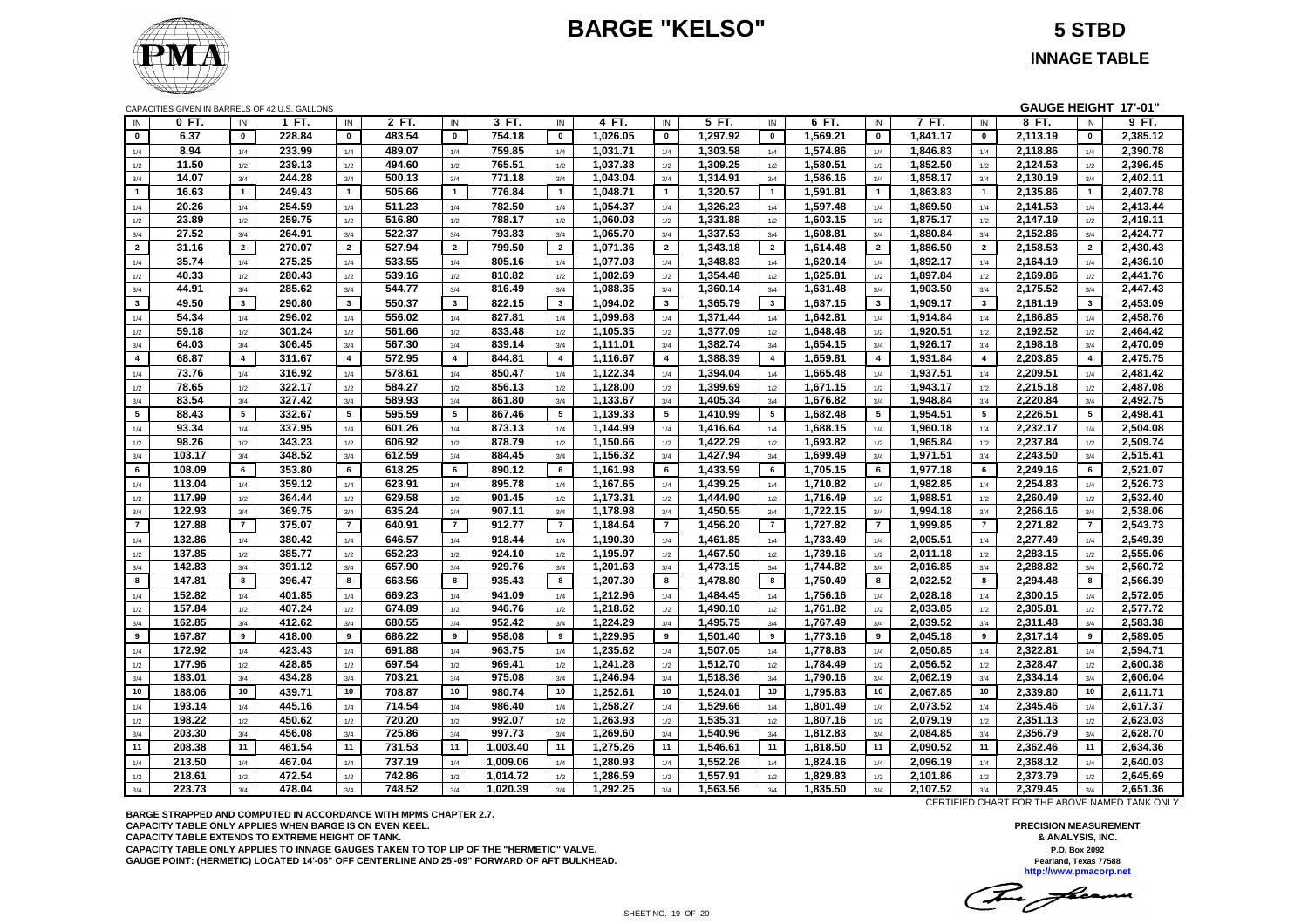# **BARGE "KELSO" 5 STBD**



**INNAGE TABLE**

| CAPACITIES GIVEN IN BARRELS OF 42 U.S. GALLONS |  |  |
|------------------------------------------------|--|--|
|------------------------------------------------|--|--|

| GAUGE HEIGHT 17'-01"<br>CAPACITIES GIVEN IN BARRELS OF 42 U.S. GALLONS |        |                |        |                |        |                         |          |                       |          |                |          |                |          |                |          |                         |          |                       |          |
|------------------------------------------------------------------------|--------|----------------|--------|----------------|--------|-------------------------|----------|-----------------------|----------|----------------|----------|----------------|----------|----------------|----------|-------------------------|----------|-----------------------|----------|
| IN                                                                     | 0 FT.  | IN             | 1 FT.  | IN             | 2 FT.  | IN                      | 3 FT.    | IN                    | 4 FT.    | IN             | 5 FT.    | IN             | 6 FT.    | IN             | 7 FT.    | IN                      | 8 FT.    | IN                    | 9 FT.    |
| $\mathbf 0$                                                            | 6.37   | $\pmb{0}$      | 228.84 | $\mathbf 0$    | 483.54 | $\mathbf 0$             | 754.18   | $\mathbf 0$           | 1,026.05 | $\mathbf 0$    | 1,297.92 | $\pmb{0}$      | 1,569.21 | $\mathbf 0$    | 1,841.17 | $\pmb{0}$               | 2,113.19 | $\mathbf 0$           | 2,385.12 |
| 1/4                                                                    | 8.94   | 1/4            | 233.99 | 1/4            | 489.07 | 1/4                     | 759.85   | 1/4                   | 1,031.71 | 1/4            | 1,303.58 | 1/4            | 1,574.86 | 1/4            | 1,846.83 | 1/4                     | 2,118.86 | 1/4                   | 2,390.78 |
| 1/2                                                                    | 11.50  | $1/2$          | 239.13 | 1/2            | 494.60 | 1/2                     | 765.51   | 1/2                   | 1,037.38 | 1/2            | 1,309.25 | 1/2            | 1,580.51 | 1/2            | 1,852.50 | 1/2                     | 2,124.53 | 1/2                   | 2,396.45 |
| 3/4                                                                    | 14.07  | 3/4            | 244.28 | 3/4            | 500.13 | 3/4                     | 771.18   | 3/4                   | 1,043.04 | 3/4            | 1,314.91 | 3/4            | 1,586.16 | 3/4            | 1,858.17 | 3/4                     | 2,130.19 | 3/4                   | 2,402.11 |
| $\overline{1}$                                                         | 16.63  | $\overline{1}$ | 249.43 | $\overline{1}$ | 505.66 | $\overline{1}$          | 776.84   | $\mathbf{1}$          | 1,048.71 | $\overline{1}$ | 1,320.57 | $\mathbf{1}$   | 1,591.81 | $\mathbf{1}$   | 1,863.83 | $\overline{1}$          | 2,135.86 | $\mathbf{1}$          | 2,407.78 |
| 1/4                                                                    | 20.26  | 1/4            | 254.59 | 1/4            | 511.23 | 1/4                     | 782.50   | 1/4                   | 1,054.37 | 1/4            | 1,326.23 | 1/4            | 1,597.48 | 1/4            | 1,869.50 | 1/4                     | 2,141.53 | 1/4                   | 2,413.44 |
| 1/2                                                                    | 23.89  | 1/2            | 259.75 | 1/2            | 516.80 | 1/2                     | 788.17   | 1/2                   | 1,060.03 | 1/2            | 1,331.88 | 1/2            | 1,603.15 | 1/2            | 1,875.17 | 1/2                     | 2,147.19 | 1/2                   | 2,419.11 |
| 3/4                                                                    | 27.52  | 3/4            | 264.91 | 3/4            | 522.37 | 3/4                     | 793.83   | 3/4                   | 1,065.70 | 3/4            | 1,337.53 | 3/4            | 1,608.81 | 3/4            | 1,880.84 | 3/4                     | 2,152.86 | 3/4                   | 2,424.77 |
| $\overline{2}$                                                         | 31.16  | $\overline{2}$ | 270.07 | $\overline{2}$ | 527.94 | $\overline{2}$          | 799.50   | $\overline{2}$        | 1,071.36 | $\overline{2}$ | 1,343.18 | $\overline{2}$ | 1,614.48 | $\overline{2}$ | 1,886.50 | $\overline{2}$          | 2,158.53 | $\overline{2}$        | 2,430.43 |
| 1/4                                                                    | 35.74  | 1/4            | 275.25 | 1/4            | 533.55 | 1/4                     | 805.16   | 1/4                   | 1,077.03 | 1/4            | 1,348.83 | 1/4            | 1,620.14 | 1/4            | 1,892.17 | 1/4                     | 2,164.19 | 1/4                   | 2,436.10 |
| 1/2                                                                    | 40.33  | 1/2            | 280.43 | 1/2            | 539.16 | 1/2                     | 810.82   | 1/2                   | 1,082.69 | 1/2            | 1,354.48 | 1/2            | 1,625.81 | 1/2            | 1,897.84 | 1/2                     | 2,169.86 | 1/2                   | 2,441.76 |
| 3/4                                                                    | 44.91  | 3/4            | 285.62 | 3/4            | 544.77 | 3/4                     | 816.49   | 3/4                   | 1,088.35 | 3/4            | 1,360.14 | 3/4            | 1,631.48 | 3/4            | 1,903.50 | 3/4                     | 2,175.52 | 3/4                   | 2,447.43 |
| $\mathbf{3}$                                                           | 49.50  | $\mathbf{3}$   | 290.80 | $\mathbf{3}$   | 550.37 | $\mathbf{3}$            | 822.15   | $\mathbf{3}$          | 1,094.02 | $\mathbf{3}$   | 1,365.79 | 3              | 1,637.15 | $\mathbf{3}$   | 1,909.17 | $\mathbf{3}$            | 2,181.19 | 3                     | 2,453.09 |
| 1/4                                                                    | 54.34  | 1/4            | 296.02 | 1/4            | 556.02 | 1/4                     | 827.81   | 1/4                   | 1,099.68 | 1/4            | 1,371.44 | 1/4            | 1,642.81 | 1/4            | 1,914.84 | 1/4                     | 2,186.85 | 1/4                   | 2,458.76 |
| 1/2                                                                    | 59.18  | 1/2            | 301.24 | 1/2            | 561.66 | 1/2                     | 833.48   | 1/2                   | 1,105.35 | 1/2            | 1,377.09 | 1/2            | 1,648.48 | 1/2            | 1,920.51 | 1/2                     | 2,192.52 | 1/2                   | 2,464.42 |
| 3/4                                                                    | 64.03  | 3/4            | 306.45 | 3/4            | 567.30 | 3/4                     | 839.14   | 3/4                   | 1,111.01 | 3/4            | 1,382.74 | 3/4            | 1,654.15 | 3/4            | 1,926.17 | 3/4                     | 2,198.18 | 3/4                   | 2,470.09 |
| $\overline{\mathbf{4}}$                                                | 68.87  | $\overline{4}$ | 311.67 | $\overline{4}$ | 572.95 | $\overline{\mathbf{4}}$ | 844.81   | $\overline{4}$        | 1,116.67 | $\overline{4}$ | 1,388.39 | $\overline{4}$ | 1,659.81 | $\overline{4}$ | 1,931.84 | $\overline{\mathbf{4}}$ | 2,203.85 | $\overline{4}$        | 2,475.75 |
| 1/4                                                                    | 73.76  | 1/4            | 316.92 | 1/4            | 578.61 | 1/4                     | 850.47   | 1/4                   | 1,122.34 | 1/4            | 1,394.04 | 1/4            | 1,665.48 | 1/4            | 1,937.51 | 1/4                     | 2,209.51 | 1/4                   | 2,481.42 |
| 1/2                                                                    | 78.65  | 1/2            | 322.17 | 1/2            | 584.27 | 1/2                     | 856.13   | 1/2                   | 1,128.00 | 1/2            | 1,399.69 | 1/2            | 1,671.15 | 1/2            | 1,943.17 | 1/2                     | 2,215.18 | 1/2                   | 2,487.08 |
| 3/4                                                                    | 83.54  | 3/4            | 327.42 | 3/4            | 589.93 | 3/4                     | 861.80   | 3/4                   | 1,133.67 | 3/4            | 1,405.34 | 3/4            | 1,676.82 | 3/4            | 1,948.84 | 3/4                     | 2,220.84 | 3/4                   | 2,492.75 |
| 5                                                                      | 88.43  | 5              | 332.67 | 5              | 595.59 | 5                       | 867.46   | 5                     | 1,139.33 | 5              | 1,410.99 | 5              | 1,682.48 | 5              | 1,954.51 | 5                       | 2,226.51 | $5\overline{5}$       | 2,498.41 |
| 1/4                                                                    | 93.34  | 1/4            | 337.95 | 1/4            | 601.26 | 1/4                     | 873.13   | 1/4                   | 1,144.99 | 1/4            | 1,416.64 | 1/4            | 1,688.15 | 1/4            | 1,960.18 | 1/4                     | 2,232.17 |                       | 2,504.08 |
|                                                                        | 98.26  | 1/2            | 343.23 | 1/2            | 606.92 | 1/2                     | 878.79   | 1/2                   | 1,150.66 | 1/2            | 1,422.29 | 1/2            | 1,693.82 | 1/2            | 1,965.84 | 1/2                     | 2,237.84 | 1/4<br>1/2            | 2,509.74 |
| 1/2<br>3/4                                                             | 103.17 | 3/4            | 348.52 | 3/4            | 612.59 | 3/4                     | 884.45   | 3/4                   | 1,156.32 | 3/4            | 1,427.94 | 3/4            | 1,699.49 | 3/4            | 1,971.51 | 3/4                     | 2,243.50 | 3/4                   | 2,515.41 |
| 6                                                                      | 108.09 | 6              | 353.80 | 6              | 618.25 | 6                       | 890.12   | 6                     | 1,161.98 | 6              | 1,433.59 | 6              | 1,705.15 | 6              | 1,977.18 | 6                       | 2,249.16 | 6                     | 2,521.07 |
|                                                                        |        |                |        |                |        |                         |          |                       |          |                |          |                |          |                |          |                         |          |                       |          |
| 1/4                                                                    | 113.04 | 1/4            | 359.12 | 1/4            | 623.91 | 1/4                     | 895.78   | 1/4                   | 1,167.65 | 1/4            | 1,439.25 | 1/4            | 1,710.82 | 1/4            | 1,982.85 | 1/4                     | 2,254.83 | 1/4                   | 2,526.73 |
| 1/2                                                                    | 117.99 | 1/2            | 364.44 | 1/2            | 629.58 | 1/2                     | 901.45   | 1/2                   | 1,173.31 | 1/2            | 1,444.90 | 1/2            | 1,716.49 | 1/2            | 1,988.51 | 1/2                     | 2,260.49 | 1/2                   | 2,532.40 |
| 3/4                                                                    | 122.93 | 3/4            | 369.75 | 3/4            | 635.24 | 3/4                     | 907.11   | 3/4<br>$\overline{7}$ | 1,178.98 | 3/4            | 1,450.55 | 3/4            | 1,722.15 | 3/4            | 1,994.18 | 3/4                     | 2,266.16 | 3/4<br>$\overline{7}$ | 2,538.06 |
| $\overline{7}$                                                         | 127.88 | $\overline{7}$ | 375.07 | $\overline{7}$ | 640.91 | $\overline{7}$          | 912.77   |                       | 1.184.64 | $\overline{7}$ | 1,456.20 | $\overline{7}$ | 1,727.82 | $\overline{7}$ | 1.999.85 | $\overline{7}$          | 2,271.82 |                       | 2.543.73 |
| 1/4                                                                    | 132.86 | 1/4            | 380.42 | 1/4            | 646.57 | 1/4                     | 918.44   | 1/4                   | 1,190.30 | 1/4            | 1,461.85 | 1/4            | 1,733.49 | 1/4            | 2,005.51 | 1/4                     | 2,277.49 | 1/4                   | 2,549.39 |
| 1/2                                                                    | 137.85 | 1/2            | 385.77 | 1/2            | 652.23 | 1/2                     | 924.10   | 1/2                   | 1,195.97 | 1/2            | 1,467.50 | 1/2            | 1,739.16 | 1/2            | 2,011.18 | 1/2                     | 2,283.15 | 1/2                   | 2,555.06 |
| 3/4                                                                    | 142.83 | 3/4            | 391.12 | 3/4            | 657.90 | 3/4                     | 929.76   | 3/4                   | 1,201.63 | 3/4            | 1,473.15 | 3/4            | 1,744.82 | 3/4            | 2,016.85 | 3/4                     | 2,288.82 | 3/4                   | 2,560.72 |
| 8                                                                      | 147.81 | 8              | 396.47 | 8              | 663.56 | 8                       | 935.43   | 8                     | 1,207.30 | 8              | 1,478.80 | 8              | 1,750.49 | 8              | 2,022.52 | 8                       | 2,294.48 | 8                     | 2,566.39 |
| 1/4                                                                    | 152.82 | 1/4            | 401.85 | 1/4            | 669.23 | 1/4                     | 941.09   | 1/4                   | 1,212.96 | 1/4            | 1,484.45 | 1/4            | 1,756.16 | 1/4            | 2,028.18 | 1/4                     | 2,300.15 | 1/4                   | 2,572.05 |
| 1/2                                                                    | 157.84 | 1/2            | 407.24 | 1/2            | 674.89 | 1/2                     | 946.76   | 1/2                   | 1,218.62 | 1/2            | 1,490.10 | 1/2            | 1,761.82 | 1/2            | 2,033.85 | 1/2                     | 2,305.81 | 1/2                   | 2,577.72 |
| 3/4                                                                    | 162.85 | 3/4            | 412.62 | 3/4            | 680.55 | 3/4                     | 952.42   | 3/4                   | 1,224.29 | 3/4            | 1,495.75 | 3/4            | 1,767.49 | 3/4            | 2,039.52 | 3/4                     | 2,311.48 | 3/4                   | 2,583.38 |
| 9                                                                      | 167.87 | 9              | 418.00 | 9              | 686.22 | 9                       | 958.08   | 9                     | 1,229.95 | 9              | 1,501.40 | 9              | 1,773.16 | 9              | 2,045.18 | 9                       | 2,317.14 | 9                     | 2,589.05 |
| 1/4                                                                    | 172.92 | 1/4            | 423.43 | 1/4            | 691.88 | 1/4                     | 963.75   | 1/4                   | 1,235.62 | 1/4            | 1,507.05 | 1/4            | 1,778.83 | 1/4            | 2,050.85 | 1/4                     | 2,322.81 | 1/4                   | 2,594.71 |
| 1/2                                                                    | 177.96 | 1/2            | 428.85 | 1/2            | 697.54 | 1/2                     | 969.41   | 1/2                   | 1.241.28 | 1/2            | 1.512.70 | 1/2            | 1.784.49 | 1/2            | 2.056.52 | 1/2                     | 2.328.47 | 1/2                   | 2.600.38 |
| 3/4                                                                    | 183.01 | 3/4            | 434.28 | 3/4            | 703.21 | 3/4                     | 975.08   | 3/4                   | 1,246.94 | 3/4            | 1,518.36 | 3/4            | 1,790.16 | 3/4            | 2,062.19 | 3/4                     | 2,334.14 | 3/4                   | 2,606.04 |
| 10                                                                     | 188.06 | 10             | 439.71 | 10             | 708.87 | 10                      | 980.74   | 10                    | 1,252.61 | 10             | 1,524.01 | 10             | 1,795.83 | 10             | 2,067.85 | 10                      | 2,339.80 | 10                    | 2,611.71 |
| 1/4                                                                    | 193.14 | 1/4            | 445.16 | 1/4            | 714.54 | 1/4                     | 986.40   | 1/4                   | 1,258.27 | 1/4            | 1,529.66 | 1/4            | 1,801.49 | 1/4            | 2,073.52 | 1/4                     | 2,345.46 | 1/4                   | 2,617.37 |
| 1/2                                                                    | 198.22 | 1/2            | 450.62 | 1/2            | 720.20 | 1/2                     | 992.07   | 1/2                   | 1,263.93 | 1/2            | 1,535.31 | 1/2            | 1,807.16 | 1/2            | 2,079.19 | 1/2                     | 2,351.13 | 1/2                   | 2,623.03 |
| 3/4                                                                    | 203.30 | 3/4            | 456.08 | 3/4            | 725.86 | 3/4                     | 997.73   | 3/4                   | 1,269.60 | 3/4            | 1,540.96 | 3/4            | 1,812.83 | 3/4            | 2,084.85 | 3/4                     | 2,356.79 | 3/4                   | 2,628.70 |
| 11                                                                     | 208.38 | 11             | 461.54 | 11             | 731.53 | 11                      | 1,003.40 | 11                    | 1,275.26 | 11             | 1,546.61 | 11             | 1,818.50 | 11             | 2,090.52 | 11                      | 2,362.46 | 11                    | 2,634.36 |
| 1/4                                                                    | 213.50 | 1/4            | 467.04 | 1/4            | 737.19 | 1/4                     | 1,009.06 | 1/4                   | 1,280.93 | 1/4            | 1,552.26 | 1/4            | 1,824.16 | 1/4            | 2,096.19 | 1/4                     | 2,368.12 | 1/4                   | 2,640.03 |
| 1/2                                                                    | 218.61 | 1/2            | 472.54 | 1/2            | 742.86 | 1/2                     | 1,014.72 | 1/2                   | 1,286.59 | 1/2            | 1,557.91 | 1/2            | 1,829.83 | 1/2            | 2,101.86 | 1/2                     | 2,373.79 | 1/2                   | 2,645.69 |
| 3/4                                                                    | 223.73 | 3/4            | 478.04 | 3/4            | 748.52 | 3/4                     | 1,020.39 | 3/4                   | 1,292.25 | 3/4            | 1,563.56 | 3/4            | 1,835.50 | 3/4            | 2,107.52 | 3/4                     | 2,379.45 | 3/4                   | 2,651.36 |

**BARGE STRAPPED AND COMPUTED IN ACCORDANCE WITH MPMS CHAPTER 2.7. CAPACITY TABLE ONLY APPLIES WHEN BARGE IS ON EVEN KEEL. CAPACITY TABLE EXTENDS TO EXTREME HEIGHT OF TANK. CAPACITY TABLE ONLY APPLIES TO INNAGE GAUGES TAKEN TO TOP LIP OF THE "HERMETIC" VALVE. GAUGE POINT: (HERMETIC) LOCATED 14'-06" OFF CENTERLINE AND 25'-09" FORWARD OF AFT BULKHEAD.** CERTIFIED CHART FOR THE ABOVE NAMED TANK ONLY.

The fame